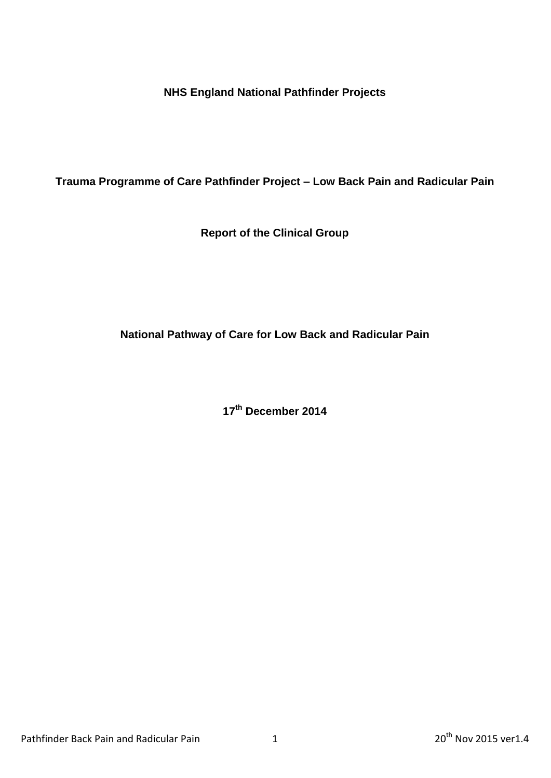**NHS England National Pathfinder Projects**

**Trauma Programme of Care Pathfinder Project – Low Back Pain and Radicular Pain**

**Report of the Clinical Group**

**National Pathway of Care for Low Back and Radicular Pain**

**17th December 2014**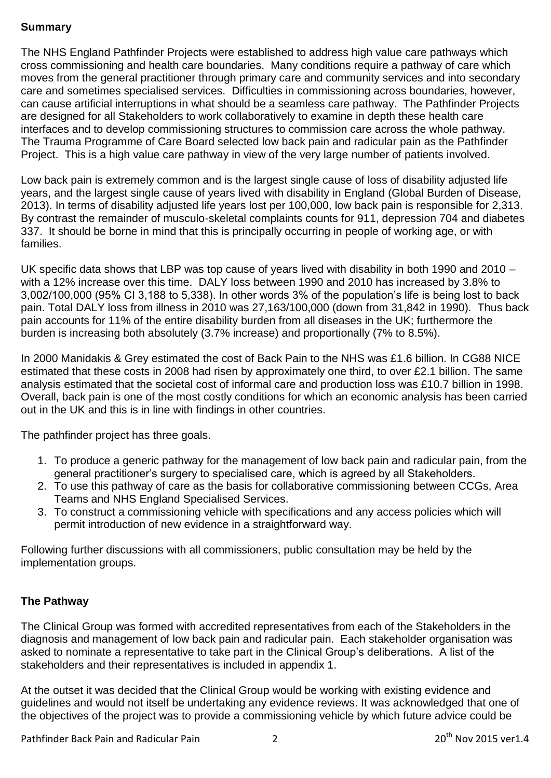## **Summary**

The NHS England Pathfinder Projects were established to address high value care pathways which cross commissioning and health care boundaries. Many conditions require a pathway of care which moves from the general practitioner through primary care and community services and into secondary care and sometimes specialised services. Difficulties in commissioning across boundaries, however, can cause artificial interruptions in what should be a seamless care pathway. The Pathfinder Projects are designed for all Stakeholders to work collaboratively to examine in depth these health care interfaces and to develop commissioning structures to commission care across the whole pathway. The Trauma Programme of Care Board selected low back pain and radicular pain as the Pathfinder Project. This is a high value care pathway in view of the very large number of patients involved.

Low back pain is extremely common and is the largest single cause of loss of disability adjusted life years, and the largest single cause of years lived with disability in England (Global Burden of Disease, 2013). In terms of disability adjusted life years lost per 100,000, low back pain is responsible for 2,313. By contrast the remainder of musculo-skeletal complaints counts for 911, depression 704 and diabetes 337. It should be borne in mind that this is principally occurring in people of working age, or with families.

UK specific data shows that LBP was top cause of years lived with disability in both 1990 and 2010 – with a 12% increase over this time. DALY loss between 1990 and 2010 has increased by 3.8% to 3,002/100,000 (95% CI 3,188 to 5,338). In other words 3% of the population's life is being lost to back pain. Total DALY loss from illness in 2010 was 27,163/100,000 (down from 31,842 in 1990). Thus back pain accounts for 11% of the entire disability burden from all diseases in the UK; furthermore the burden is increasing both absolutely (3.7% increase) and proportionally (7% to 8.5%).

In 2000 Manidakis & Grey estimated the cost of Back Pain to the NHS was £1.6 billion. In CG88 NICE estimated that these costs in 2008 had risen by approximately one third, to over £2.1 billion. The same analysis estimated that the societal cost of informal care and production loss was £10.7 billion in 1998. Overall, back pain is one of the most costly conditions for which an economic analysis has been carried out in the UK and this is in line with findings in other countries.

The pathfinder project has three goals.

- 1. To produce a generic pathway for the management of low back pain and radicular pain, from the general practitioner's surgery to specialised care, which is agreed by all Stakeholders.
- 2. To use this pathway of care as the basis for collaborative commissioning between CCGs, Area Teams and NHS England Specialised Services.
- 3. To construct a commissioning vehicle with specifications and any access policies which will permit introduction of new evidence in a straightforward way.

Following further discussions with all commissioners, public consultation may be held by the implementation groups.

## **The Pathway**

The Clinical Group was formed with accredited representatives from each of the Stakeholders in the diagnosis and management of low back pain and radicular pain. Each stakeholder organisation was asked to nominate a representative to take part in the Clinical Group's deliberations. A list of the stakeholders and their representatives is included in appendix 1.

At the outset it was decided that the Clinical Group would be working with existing evidence and guidelines and would not itself be undertaking any evidence reviews. It was acknowledged that one of the objectives of the project was to provide a commissioning vehicle by which future advice could be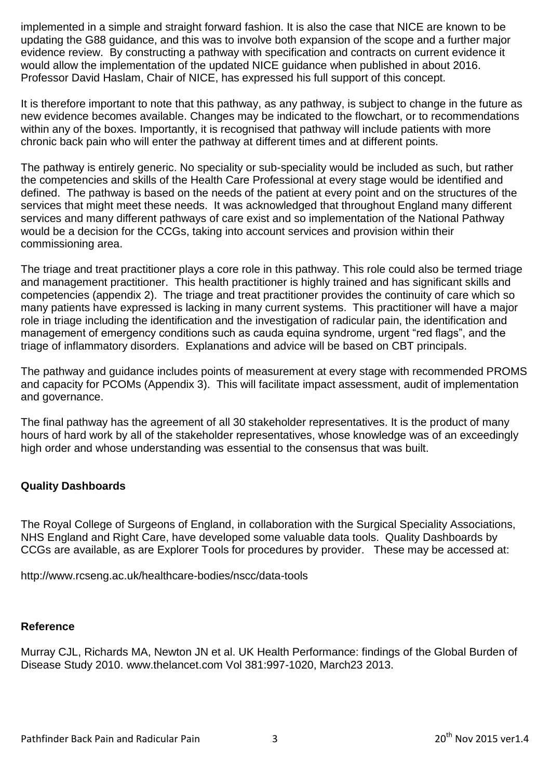implemented in a simple and straight forward fashion. It is also the case that NICE are known to be updating the G88 guidance, and this was to involve both expansion of the scope and a further major evidence review. By constructing a pathway with specification and contracts on current evidence it would allow the implementation of the updated NICE guidance when published in about 2016. Professor David Haslam, Chair of NICE, has expressed his full support of this concept.

It is therefore important to note that this pathway, as any pathway, is subject to change in the future as new evidence becomes available. Changes may be indicated to the flowchart, or to recommendations within any of the boxes. Importantly, it is recognised that pathway will include patients with more chronic back pain who will enter the pathway at different times and at different points.

The pathway is entirely generic. No speciality or sub-speciality would be included as such, but rather the competencies and skills of the Health Care Professional at every stage would be identified and defined. The pathway is based on the needs of the patient at every point and on the structures of the services that might meet these needs. It was acknowledged that throughout England many different services and many different pathways of care exist and so implementation of the National Pathway would be a decision for the CCGs, taking into account services and provision within their commissioning area.

The triage and treat practitioner plays a core role in this pathway. This role could also be termed triage and management practitioner. This health practitioner is highly trained and has significant skills and competencies (appendix 2). The triage and treat practitioner provides the continuity of care which so many patients have expressed is lacking in many current systems. This practitioner will have a major role in triage including the identification and the investigation of radicular pain, the identification and management of emergency conditions such as cauda equina syndrome, urgent "red flags", and the triage of inflammatory disorders. Explanations and advice will be based on CBT principals.

The pathway and guidance includes points of measurement at every stage with recommended PROMS and capacity for PCOMs (Appendix 3). This will facilitate impact assessment, audit of implementation and governance.

The final pathway has the agreement of all 30 stakeholder representatives. It is the product of many hours of hard work by all of the stakeholder representatives, whose knowledge was of an exceedingly high order and whose understanding was essential to the consensus that was built.

## **Quality Dashboards**

The Royal College of Surgeons of England, in collaboration with the Surgical Speciality Associations, NHS England and Right Care, have developed some valuable data tools. Quality Dashboards by CCGs are available, as are Explorer Tools for procedures by provider. These may be accessed at:

<http://www.rcseng.ac.uk/healthcare-bodies/nscc/data-tools>

### **Reference**

Murray CJL, Richards MA, Newton JN et al. UK Health Performance: findings of the Global Burden of Disease Study 2010. [www.thelancet.com](http://www.thelancet.com/) Vol 381:997-1020, March23 2013.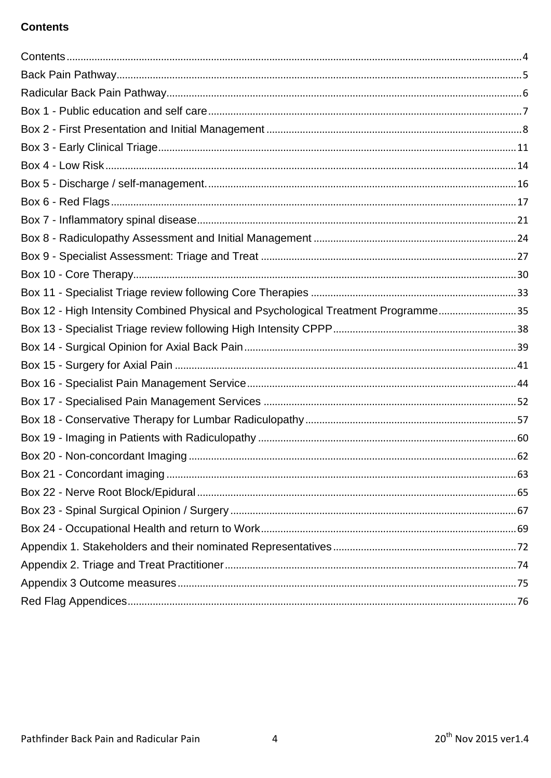# <span id="page-3-0"></span>**Contents**

| Box 12 - High Intensity Combined Physical and Psychological Treatment Programme35 |  |
|-----------------------------------------------------------------------------------|--|
|                                                                                   |  |
|                                                                                   |  |
|                                                                                   |  |
|                                                                                   |  |
|                                                                                   |  |
|                                                                                   |  |
|                                                                                   |  |
|                                                                                   |  |
|                                                                                   |  |
|                                                                                   |  |
|                                                                                   |  |
|                                                                                   |  |
|                                                                                   |  |
|                                                                                   |  |
|                                                                                   |  |
|                                                                                   |  |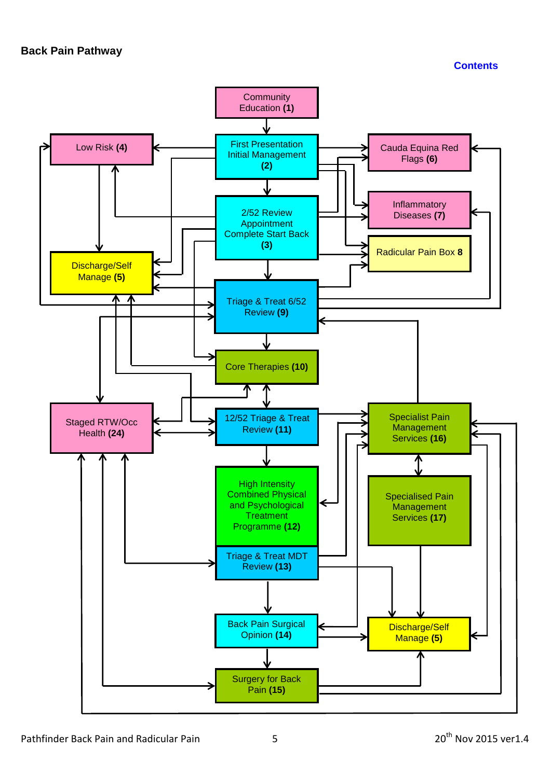**[Contents](#page-3-0)**

<span id="page-4-0"></span>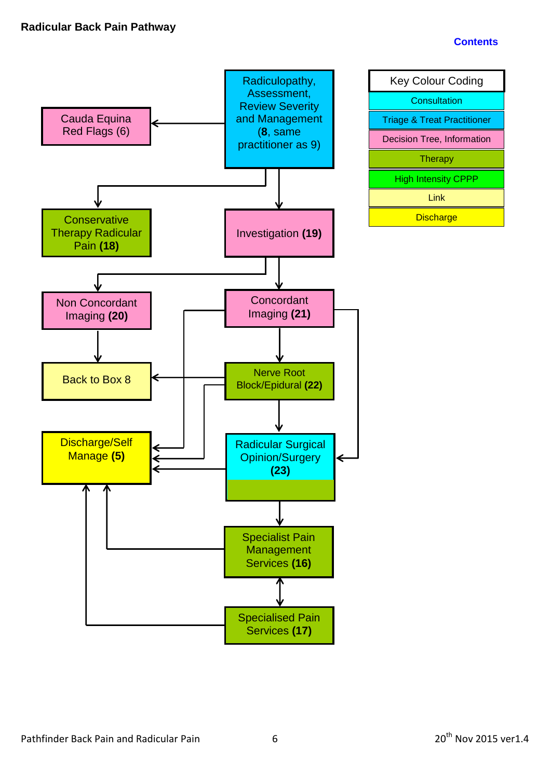### **[Contents](#page-3-0)**

<span id="page-5-0"></span>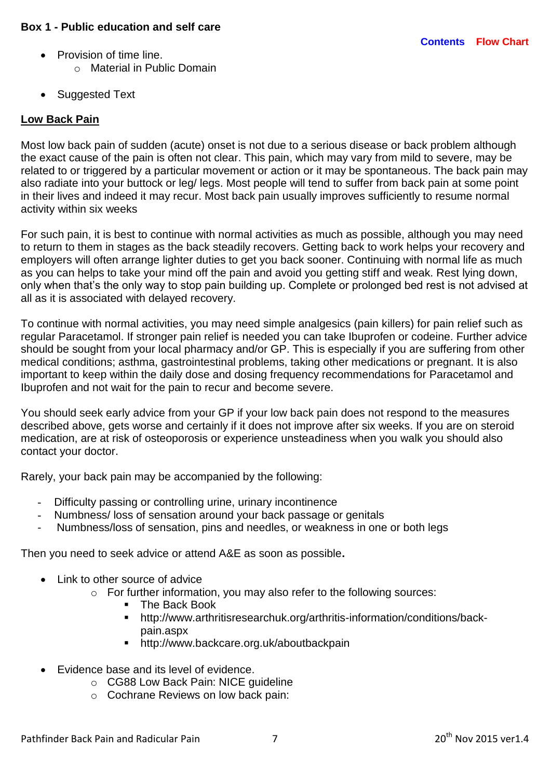- <span id="page-6-0"></span>• Provision of time line.
	- o Material in Public Domain
- Suggested Text

## **Low Back Pain**

Most low back pain of sudden (acute) onset is not due to a serious disease or back problem although the exact cause of the pain is often not clear. This pain, which may vary from mild to severe, may be related to or triggered by a particular movement or action or it may be spontaneous. The back pain may also radiate into your buttock or leg/ legs. Most people will tend to suffer from back pain at some point in their lives and indeed it may recur. Most back pain usually improves sufficiently to resume normal activity within six weeks

For such pain, it is best to continue with normal activities as much as possible, although you may need to return to them in stages as the back steadily recovers. Getting back to work helps your recovery and employers will often arrange lighter duties to get you back sooner. Continuing with normal life as much as you can helps to take your mind off the pain and avoid you getting stiff and weak. Rest lying down, only when that's the only way to stop pain building up. Complete or prolonged bed rest is not advised at all as it is associated with delayed recovery.

To continue with normal activities, you may need simple analgesics (pain killers) for pain relief such as regular Paracetamol. If stronger pain relief is needed you can take Ibuprofen or codeine. Further advice should be sought from your local pharmacy and/or GP. This is especially if you are suffering from other medical conditions; asthma, gastrointestinal problems, taking other medications or pregnant. It is also important to keep within the daily dose and dosing frequency recommendations for Paracetamol and Ibuprofen and not wait for the pain to recur and become severe.

You should seek early advice from your GP if your low back pain does not respond to the measures described above, gets worse and certainly if it does not improve after six weeks. If you are on steroid medication, are at risk of osteoporosis or experience unsteadiness when you walk you should also contact your doctor.

Rarely, your back pain may be accompanied by the following:

- Difficulty passing or controlling urine, urinary incontinence
- Numbness/ loss of sensation around your back passage or genitals
- Numbness/loss of sensation, pins and needles, or weakness in one or both legs

Then you need to seek advice or attend A&E as soon as possible**.**

- Link to other source of advice
	- o For further information, you may also refer to the following sources:
		- **F** The Back Book
		- [http://www.arthritisresearchuk.org/arthritis-information/conditions/back](http://www.arthritisresearchuk.org/arthritis-information/conditions/back-pain.aspx)[pain.aspx](http://www.arthritisresearchuk.org/arthritis-information/conditions/back-pain.aspx)
		- <http://www.backcare.org.uk/aboutbackpain>
- Evidence base and its level of evidence.
	- o CG88 Low Back Pain: NICE guideline
	- o Cochrane Reviews on low back pain: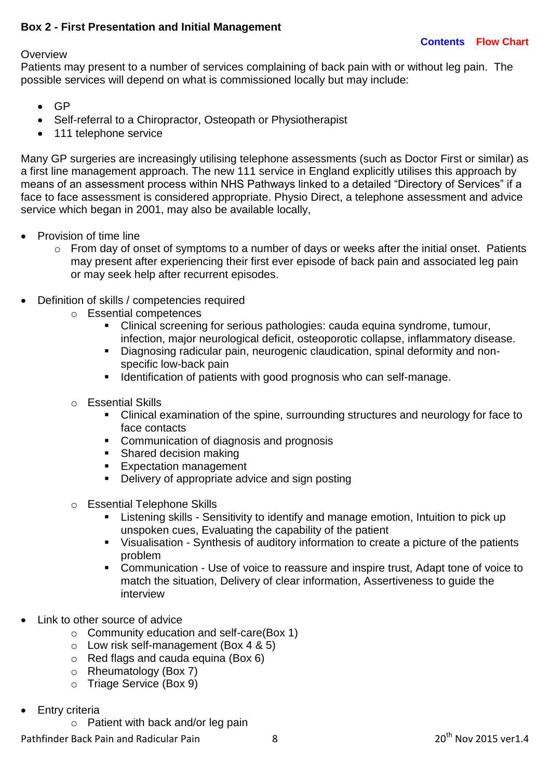### <span id="page-7-0"></span>**Box 2 - First Presentation and Initial Management**

#### **Overview**

Patients may present to a number of services complaining of back pain with or without leg pain. The possible services will depend on what is commissioned locally but may include:

- $\bullet$  GP
- Self-referral to a Chiropractor, Osteopath or Physiotherapist
- 111 telephone service

Many GP surgeries are increasingly utilising telephone assessments (such as Doctor First or similar) as a first line management approach. The new 111 service in England explicitly utilises this approach by means of an assessment process within NHS Pathways linked to a detailed "Directory of Services" if a face to face assessment is considered appropriate. Physio Direct, a telephone assessment and advice service which began in 2001, may also be available locally,

- Provision of time line
	- $\circ$  From day of onset of symptoms to a number of days or weeks after the initial onset. Patients may present after experiencing their first ever episode of back pain and associated leg pain or may seek help after recurrent episodes.
- Definition of skills / competencies required
	- o Essential competences
		- Clinical screening for serious pathologies: cauda equina syndrome, tumour, infection, major neurological deficit, osteoporotic collapse, inflammatory disease.
		- Diagnosing radicular pain, neurogenic claudication, spinal deformity and nonspecific low-back pain
		- **If identification of patients with good prognosis who can self-manage.**
	- o Essential Skills
		- Clinical examination of the spine, surrounding structures and neurology for face to face contacts
		- **Communication of diagnosis and prognosis**
		- Shared decision making
		- **Expectation management**
		- Delivery of appropriate advice and sign posting
	- o Essential Telephone Skills
		- Listening skills Sensitivity to identify and manage emotion, Intuition to pick up unspoken cues, Evaluating the capability of the patient
		- Visualisation Synthesis of auditory information to create a picture of the patients problem
		- Communication Use of voice to reassure and inspire trust, Adapt tone of voice to match the situation, Delivery of clear information, Assertiveness to guide the interview
- Link to other source of advice
	- o Community education and self-care(Box 1)
	- $\circ$  Low risk self-management (Box 4 & 5)
	- o Red flags and cauda equina (Box 6)
	- o Rheumatology (Box 7)
	- o Triage Service (Box 9)
- Entry criteria
	- o Patient with back and/or leg pain

Pathfinder Back Pain and Radicular Pain 18 20 1 20<sup>th</sup> Nov 2015 ver1.4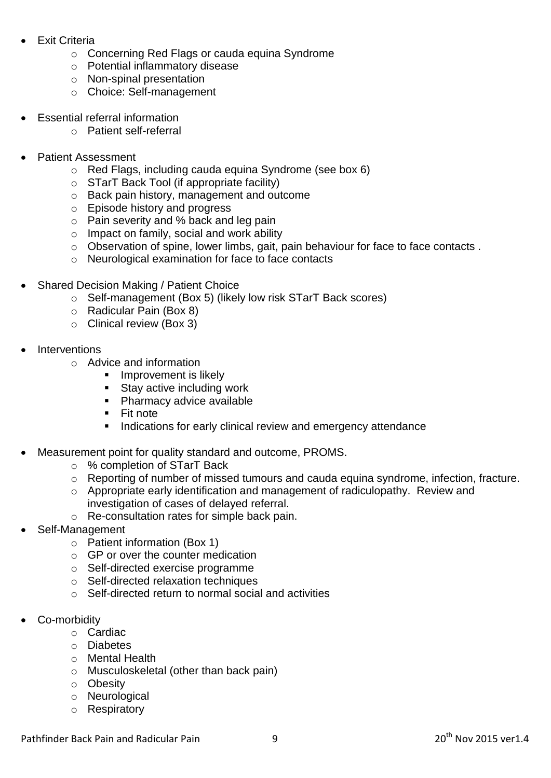- Exit Criteria
	- o Concerning Red Flags or cauda equina Syndrome
	- o Potential inflammatory disease
	- o Non-spinal presentation
	- o Choice: Self-management
- Essential referral information
	- o Patient self-referral
- Patient Assessment
	- o Red Flags, including cauda equina Syndrome (see box 6)
	- o STarT Back Tool (if appropriate facility)
	- o Back pain history, management and outcome
	- o Episode history and progress
	- o Pain severity and % back and leg pain
	- o Impact on family, social and work ability
	- o Observation of spine, lower limbs, gait, pain behaviour for face to face contacts .
	- o Neurological examination for face to face contacts
- Shared Decision Making / Patient Choice
	- o Self-management (Box 5) (likely low risk STarT Back scores)
	- o Radicular Pain (Box 8)
	- o Clinical review (Box 3)
- **Interventions** 
	- o Advice and information
		- **Improvement is likely**
		- **Stay active including work**
		- **Pharmacy advice available**
		- **Fit note**
		- **Indications for early clinical review and emergency attendance**
- Measurement point for quality standard and outcome, PROMS.
	- o % completion of STarT Back
	- o Reporting of number of missed tumours and cauda equina syndrome, infection, fracture.
	- o Appropriate early identification and management of radiculopathy. Review and investigation of cases of delayed referral.
	- o Re-consultation rates for simple back pain.
- Self-Management
	- o Patient information (Box 1)
	- o GP or over the counter medication
	- o Self-directed exercise programme
	- o Self-directed relaxation techniques
	- o Self-directed return to normal social and activities
- Co-morbidity
	- o Cardiac
	- o Diabetes
	- o Mental Health
	- o Musculoskeletal (other than back pain)
	- o Obesity
	- o Neurological
	- o Respiratory

Pathfinder Back Pain and Radicular Pain 19 20 1 20<sup>th</sup> Nov 2015 ver1.4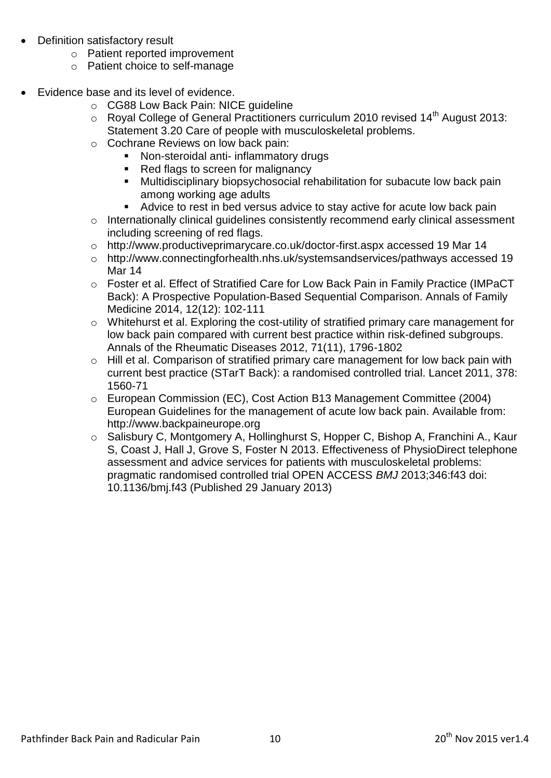- Definition satisfactory result
	- o Patient reported improvement
	- o Patient choice to self-manage
- Evidence base and its level of evidence.
	- o CG88 Low Back Pain: NICE guideline
	- $\circ$  Royal College of General Practitioners curriculum 2010 revised 14<sup>th</sup> August 2013: Statement 3.20 Care of people with musculoskeletal problems.
	- o Cochrane Reviews on low back pain:
		- Non-steroidal anti- inflammatory drugs
		- Red flags to screen for malignancy
		- Multidisciplinary biopsychosocial rehabilitation for subacute low back pain among working age adults
		- Advice to rest in bed versus advice to stay active for acute low back pain
	- o Internationally clinical guidelines consistently recommend early clinical assessment including screening of red flags.
	- o [http://www.productiveprimarycare.co.uk/doctor-first.aspx accessed 19 Mar 14](http://www.productiveprimarycare.co.uk/doctor-first.aspx%20accessed%2019%20Mar%2014)
	- o [http://www.connectingforhealth.nhs.uk/systemsandservices/pathways accessed 19](http://www.connectingforhealth.nhs.uk/systemsandservices/pathways%20accessed%2019%20Mar%2014)  [Mar 14](http://www.connectingforhealth.nhs.uk/systemsandservices/pathways%20accessed%2019%20Mar%2014)
	- o Foster et al. Effect of Stratified Care for Low Back Pain in Family Practice (IMPaCT Back): A Prospective Population-Based Sequential Comparison. Annals of Family Medicine 2014, 12(12): 102-111
	- o Whitehurst et al. Exploring the cost-utility of stratified primary care management for low back pain compared with current best practice within risk-defined subgroups. Annals of the Rheumatic Diseases 2012, 71(11), 1796-1802
	- o Hill et al. Comparison of stratified primary care management for low back pain with current best practice (STarT Back): a randomised controlled trial. Lancet 2011, 378: 1560-71
	- o European Commission (EC), Cost Action B13 Management Committee (2004) European Guidelines for the management of acute low back pain. Available from: [http://www.backpaineurope.org](http://www.backpaineurope.org/)
	- o Salisbury C, Montgomery A, Hollinghurst S, Hopper C, Bishop A, Franchini A., Kaur S, Coast J, Hall J, Grove S, Foster N 2013. Effectiveness of PhysioDirect telephone assessment and advice services for patients with musculoskeletal problems: pragmatic randomised controlled trial OPEN ACCESS *BMJ* 2013;346:f43 doi: 10.1136/bmj.f43 (Published 29 January 2013)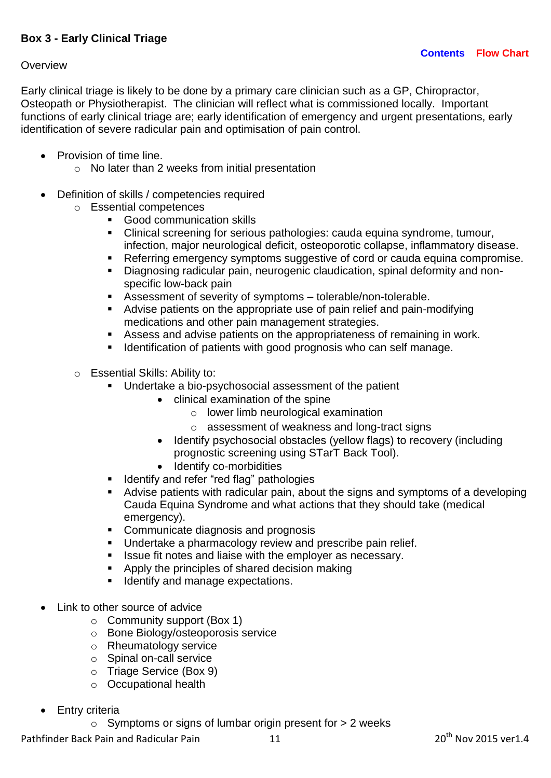### <span id="page-10-0"></span>**Overview**

Early clinical triage is likely to be done by a primary care clinician such as a GP, Chiropractor, Osteopath or Physiotherapist. The clinician will reflect what is commissioned locally. Important functions of early clinical triage are; early identification of emergency and urgent presentations, early identification of severe radicular pain and optimisation of pain control.

- Provision of time line.
	- o No later than 2 weeks from initial presentation
- Definition of skills / competencies required
	- o Essential competences
		- Good communication skills
		- Clinical screening for serious pathologies: cauda equina syndrome, tumour, infection, major neurological deficit, osteoporotic collapse, inflammatory disease.
		- Referring emergency symptoms suggestive of cord or cauda equina compromise.
		- Diagnosing radicular pain, neurogenic claudication, spinal deformity and nonspecific low-back pain
		- Assessment of severity of symptoms tolerable/non-tolerable.
		- Advise patients on the appropriate use of pain relief and pain-modifying medications and other pain management strategies.
		- Assess and advise patients on the appropriateness of remaining in work.
		- **IDENTIFICATE IDENTIFICATE:** Identification of patients with good prognosis who can self manage.
	- o Essential Skills: Ability to:
		- Undertake a bio-psychosocial assessment of the patient
			- clinical examination of the spine
				- o lower limb neurological examination
				- o assessment of weakness and long-tract signs
				- Identify psychosocial obstacles (yellow flags) to recovery (including prognostic screening using STarT Back Tool).
				- Identify co-morbidities
		- **IDENTIFY and refer "red flag" pathologies**
		- Advise patients with radicular pain, about the signs and symptoms of a developing Cauda Equina Syndrome and what actions that they should take (medical emergency).
		- Communicate diagnosis and prognosis
		- **Undertake a pharmacology review and prescribe pain relief.**
		- **ISSUE fit notes and liaise with the employer as necessary.**
		- Apply the principles of shared decision making
		- Identify and manage expectations.
- Link to other source of advice
	- o Community support (Box 1)
	- o Bone Biology/osteoporosis service
	- o Rheumatology service
	- o Spinal on-call service
	- o Triage Service (Box 9)
	- o Occupational health
- Entry criteria
	- $\circ$  Symptoms or signs of lumbar origin present for  $> 2$  weeks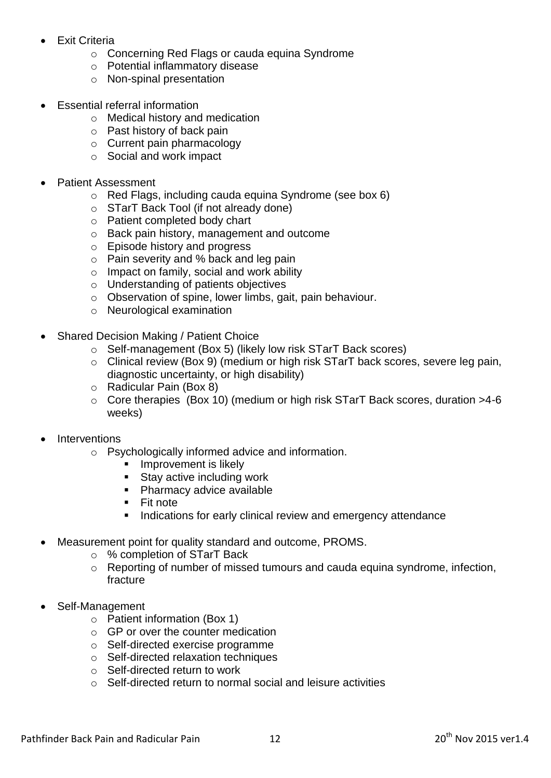- Exit Criteria
	- o Concerning Red Flags or cauda equina Syndrome
	- o Potential inflammatory disease
	- o Non-spinal presentation
- Essential referral information
	- o Medical history and medication
	- o Past history of back pain
	- o Current pain pharmacology
	- o Social and work impact
- Patient Assessment
	- o Red Flags, including cauda equina Syndrome (see box 6)
	- o STarT Back Tool (if not already done)
	- o Patient completed body chart
	- o Back pain history, management and outcome
	- o Episode history and progress
	- o Pain severity and % back and leg pain
	- o Impact on family, social and work ability
	- o Understanding of patients objectives
	- o Observation of spine, lower limbs, gait, pain behaviour.
	- o Neurological examination
- Shared Decision Making / Patient Choice
	- o Self-management (Box 5) (likely low risk STarT Back scores)
	- o Clinical review (Box 9) (medium or high risk STarT back scores, severe leg pain, diagnostic uncertainty, or high disability)
	- o Radicular Pain (Box 8)
	- o Core therapies (Box 10) (medium or high risk STarT Back scores, duration >4-6 weeks)
- **Interventions** 
	- o Psychologically informed advice and information.
		- **Improvement is likely**
		- **Stay active including work**
		- **Pharmacy advice available**
		- **Fit note**
		- **Indications for early clinical review and emergency attendance**
- Measurement point for quality standard and outcome, PROMS.
	- o % completion of STarT Back
	- o Reporting of number of missed tumours and cauda equina syndrome, infection, fracture
- Self-Management
	- o Patient information (Box 1)
	- o GP or over the counter medication
	- o Self-directed exercise programme
	- o Self-directed relaxation techniques
	- o Self-directed return to work
	- o Self-directed return to normal social and leisure activities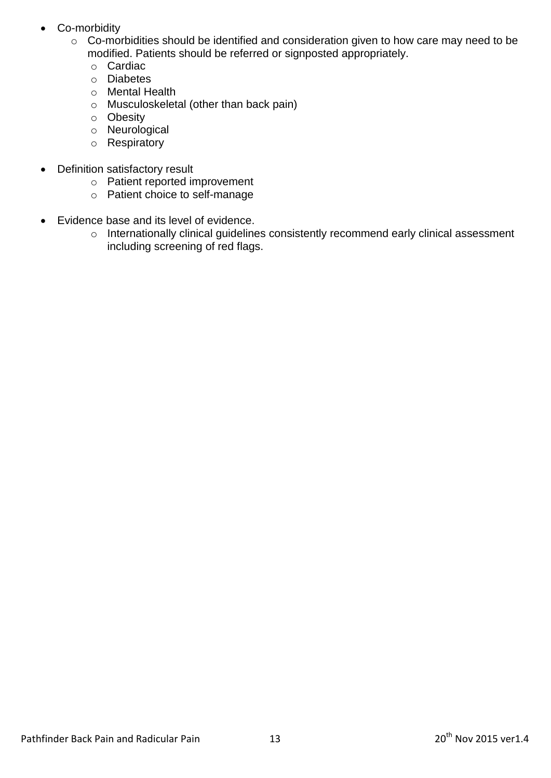- Co-morbidity
	- o Co-morbidities should be identified and consideration given to how care may need to be modified. Patients should be referred or signposted appropriately.
		- o Cardiac
		- o Diabetes
		- o Mental Health
		- o Musculoskeletal (other than back pain)
		- o Obesity
		- o Neurological
		- o Respiratory
- Definition satisfactory result
	- o Patient reported improvement
	- o Patient choice to self-manage
- Evidence base and its level of evidence.
	- o Internationally clinical guidelines consistently recommend early clinical assessment including screening of red flags.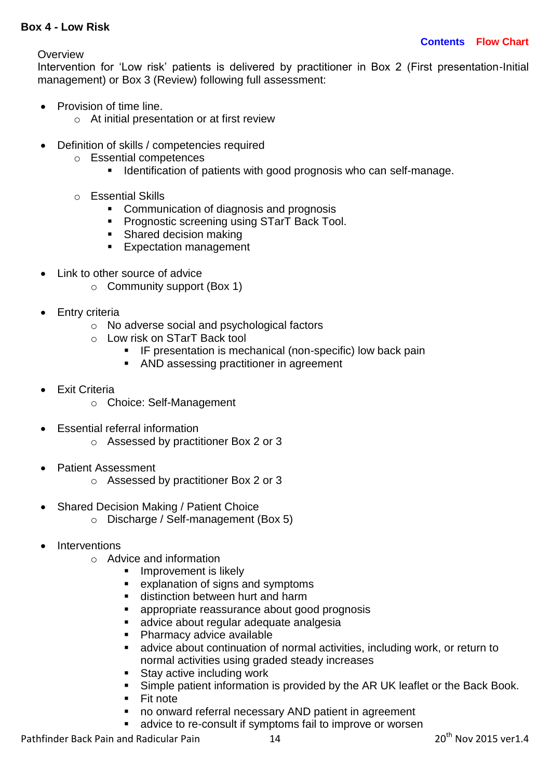### <span id="page-13-0"></span>**Box 4 - Low Risk**

**Overview** 

Intervention for 'Low risk' patients is delivered by practitioner in Box 2 (First presentation-Initial management) or Box 3 (Review) following full assessment:

- Provision of time line.
	- o At initial presentation or at first review
- Definition of skills / competencies required
	- o Essential competences
		- **IDENTIFICATE IDENTIFICATE:** Identification of patients with good prognosis who can self-manage.
	- o Essential Skills
		- Communication of diagnosis and prognosis
		- Prognostic screening using STarT Back Tool.
		- Shared decision making
		- Expectation management
- Link to other source of advice
	- o Community support (Box 1)
- Entry criteria
	- o No adverse social and psychological factors
	- o Low risk on STarT Back tool
		- **IF presentation is mechanical (non-specific) low back pain**
		- AND assessing practitioner in agreement
- Exit Criteria
	- o Choice: Self-Management
- Essential referral information
	- o Assessed by practitioner Box 2 or 3
- Patient Assessment
	- o Assessed by practitioner Box 2 or 3
- Shared Decision Making / Patient Choice
	- o Discharge / Self-management (Box 5)
- Interventions
	- o Advice and information
		- Improvement is likely
		- explanation of signs and symptoms
		- **distinction between hurt and harm**
		- appropriate reassurance about good prognosis
		- **advice about regular adequate analgesia**
		- Pharmacy advice available
		- advice about continuation of normal activities, including work, or return to normal activities using graded steady increases
		- **Stay active including work**
		- Simple patient information is provided by the AR UK leaflet or the Back Book.
		- $\blacksquare$  Fit note
		- no onward referral necessary AND patient in agreement
		- advice to re-consult if symptoms fail to improve or worsen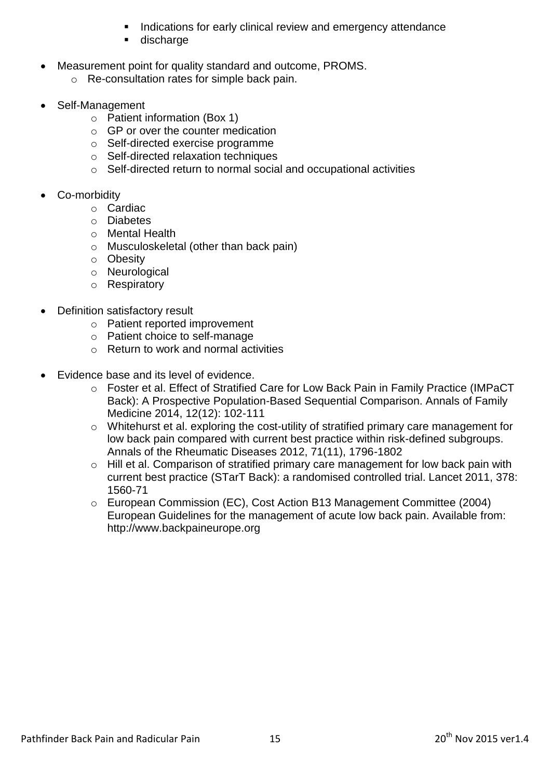- Indications for early clinical review and emergency attendance
- discharge
- Measurement point for quality standard and outcome, PROMS.
	- o Re-consultation rates for simple back pain.
- Self-Management
	- o Patient information (Box 1)
	- o GP or over the counter medication
	- o Self-directed exercise programme
	- o Self-directed relaxation techniques
	- o Self-directed return to normal social and occupational activities
- Co-morbidity
	- o Cardiac
		- o Diabetes
		- o Mental Health
		- o Musculoskeletal (other than back pain)
		- o Obesity
		- o Neurological
		- o Respiratory
- Definition satisfactory result
	- o Patient reported improvement
	- o Patient choice to self-manage
	- o Return to work and normal activities
- Evidence base and its level of evidence.
	- o Foster et al. Effect of Stratified Care for Low Back Pain in Family Practice (IMPaCT Back): A Prospective Population-Based Sequential Comparison. Annals of Family Medicine 2014, 12(12): 102-111
	- o Whitehurst et al. exploring the cost-utility of stratified primary care management for low back pain compared with current best practice within risk-defined subgroups. Annals of the Rheumatic Diseases 2012, 71(11), 1796-1802
	- o Hill et al. Comparison of stratified primary care management for low back pain with current best practice (STarT Back): a randomised controlled trial. Lancet 2011, 378: 1560-71
	- o European Commission (EC), Cost Action B13 Management Committee (2004) European Guidelines for the management of acute low back pain. Available from: http://www.backpaineurope.org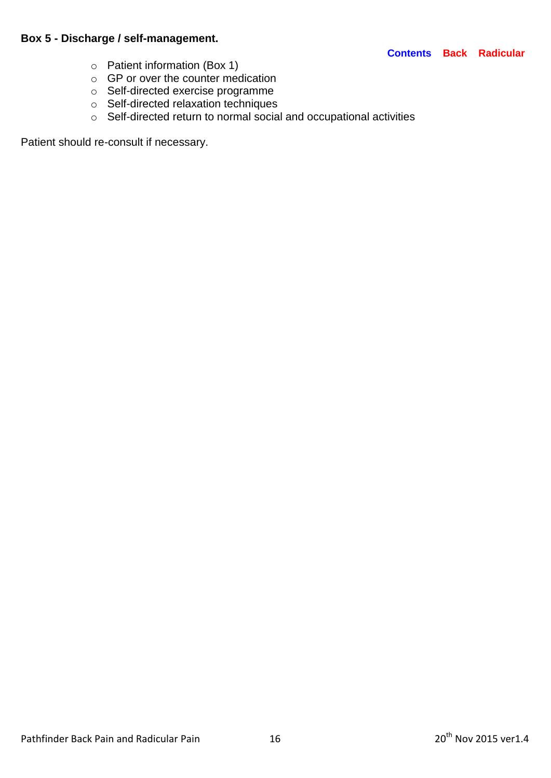## <span id="page-15-0"></span>**Box 5 - Discharge / self-management.**

#### **[Contents](#page-3-0) [Back](#page-4-0) [Radicular](#page-5-0)**

- o Patient information (Box 1)
- $\circ$  GP or over the counter medication
- o Self-directed exercise programme
- o Self-directed relaxation techniques
- o Self-directed return to normal social and occupational activities

Patient should re-consult if necessary.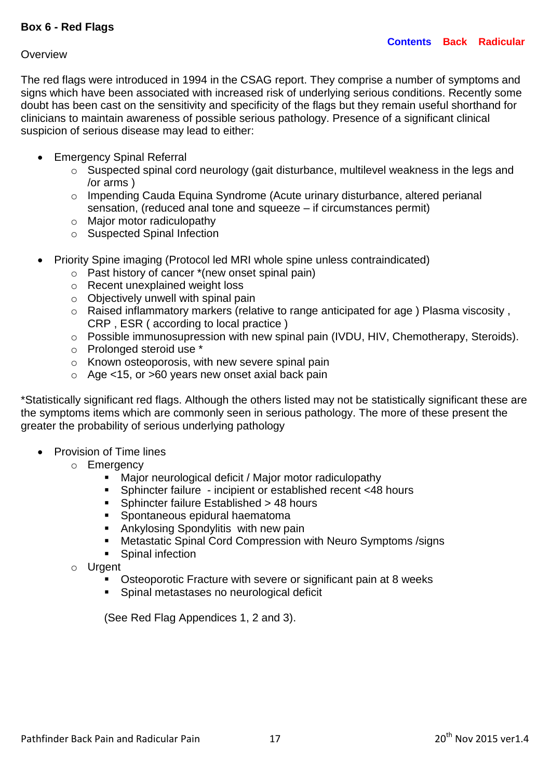#### <span id="page-16-0"></span>**Overview**

The red flags were introduced in 1994 in the CSAG report. They comprise a number of symptoms and signs which have been associated with increased risk of underlying serious conditions. Recently some doubt has been cast on the sensitivity and specificity of the flags but they remain useful shorthand for clinicians to maintain awareness of possible serious pathology. Presence of a significant clinical suspicion of serious disease may lead to either:

- Emergency Spinal Referral
	- o Suspected spinal cord neurology (gait disturbance, multilevel weakness in the legs and /or arms )
	- o Impending Cauda Equina Syndrome (Acute urinary disturbance, altered perianal sensation, (reduced anal tone and squeeze – if circumstances permit)
	- o Major motor radiculopathy
	- o Suspected Spinal Infection
- Priority Spine imaging (Protocol led MRI whole spine unless contraindicated)
	- o Past history of cancer \*(new onset spinal pain)
	- o Recent unexplained weight loss
	- $\circ$  Objectively unwell with spinal pain
	- o Raised inflammatory markers (relative to range anticipated for age ) Plasma viscosity , CRP , ESR ( according to local practice )
	- o Possible immunosupression with new spinal pain (IVDU, HIV, Chemotherapy, Steroids).
	- o Prolonged steroid use \*
	- o Known osteoporosis, with new severe spinal pain
	- $\circ$  Age <15, or >60 years new onset axial back pain

\*Statistically significant red flags. Although the others listed may not be statistically significant these are the symptoms items which are commonly seen in serious pathology. The more of these present the greater the probability of serious underlying pathology

- Provision of Time lines
	- o Emergency
		- Major neurological deficit / Major motor radiculopathy
		- Sphincter failure incipient or established recent <48 hours
		- **Sphincter failure Established > 48 hours**
		- **Spontaneous epidural haematoma**
		- **Ankylosing Spondylitis with new pain**
		- Metastatic Spinal Cord Compression with Neuro Symptoms /signs
		- **Spinal infection**
	- o Urgent
		- Osteoporotic Fracture with severe or significant pain at 8 weeks
		- **Spinal metastases no neurological deficit**

(See Red Flag Appendices 1, 2 and 3).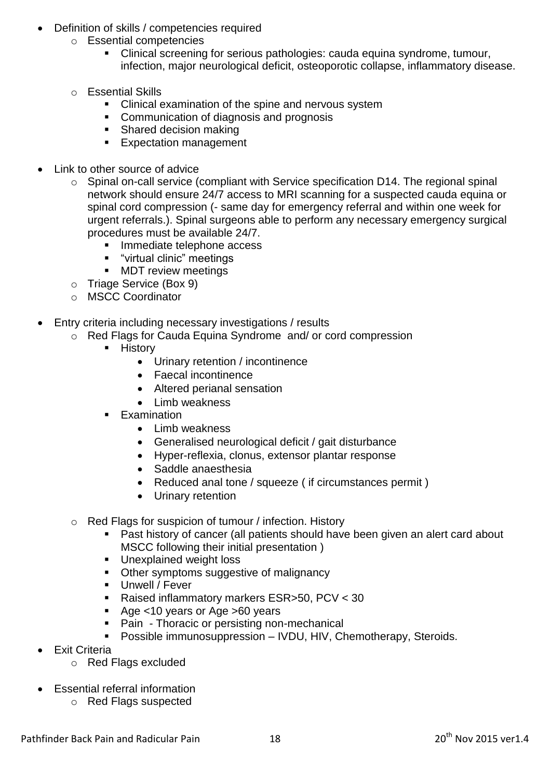- Definition of skills / competencies required
	- o Essential competencies
		- Clinical screening for serious pathologies: cauda equina syndrome, tumour, infection, major neurological deficit, osteoporotic collapse, inflammatory disease.
	- o Essential Skills
		- **EXTER** Clinical examination of the spine and nervous system
		- **Communication of diagnosis and prognosis**
		- **Shared decision making**
		- **Expectation management**
- Link to other source of advice
	- o Spinal on-call service (compliant with Service specification D14. The regional spinal network should ensure 24/7 access to MRI scanning for a suspected cauda equina or spinal cord compression (- same day for emergency referral and within one week for urgent referrals.). Spinal surgeons able to perform any necessary emergency surgical procedures must be available 24/7.
		- **Immediate telephone access**
		- "virtual clinic" meetings
		- **MDT** review meetings
	- o Triage Service (Box 9)
	- o MSCC Coordinator
- Entry criteria including necessary investigations / results
	- o Red Flags for Cauda Equina Syndrome and/ or cord compression
		- **-** History
			- Urinary retention / incontinence
			- Faecal incontinence
			- Altered perianal sensation
			- Limb weakness
		- **Examination** 
			- Limb weakness
			- Generalised neurological deficit / gait disturbance
			- Hyper-reflexia, clonus, extensor plantar response
			- Saddle anaesthesia
			- Reduced anal tone / squeeze ( if circumstances permit )
			- Urinary retention
	- o Red Flags for suspicion of tumour / infection. History
		- Past history of cancer (all patients should have been given an alert card about MSCC following their initial presentation )
		- **Unexplained weight loss**
		- Other symptoms suggestive of malignancy
		- **Unwell / Fever**
		- Raised inflammatory markers ESR>50, PCV < 30
		- Age <10 years or Age >60 years
		- Pain Thoracic or persisting non-mechanical
		- **Possible immunosuppression IVDU, HIV, Chemotherapy, Steroids.**
- Exit Criteria
	- o Red Flags excluded
- Essential referral information
	- o Red Flags suspected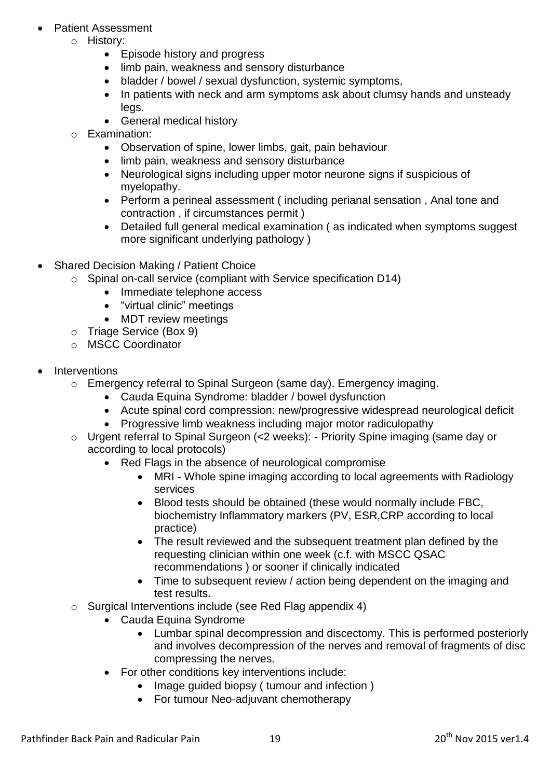- Patient Assessment
	- o History:
		- Episode history and progress
		- limb pain, weakness and sensory disturbance
		- bladder / bowel / sexual dysfunction, systemic symptoms,
		- In patients with neck and arm symptoms ask about clumsy hands and unsteady leas.
		- General medical history
	- o Examination:
		- Observation of spine, lower limbs, gait, pain behaviour
		- limb pain, weakness and sensory disturbance
		- Neurological signs including upper motor neurone signs if suspicious of myelopathy.
		- Perform a perineal assessment ( including perianal sensation , Anal tone and contraction , if circumstances permit )
		- Detailed full general medical examination ( as indicated when symptoms suggest more significant underlying pathology )
- Shared Decision Making / Patient Choice
	- o Spinal on-call service (compliant with Service specification D14)
		- Immediate telephone access
		- "virtual clinic" meetings
		- MDT review meetings
	- o Triage Service (Box 9)
	- o MSCC Coordinator
- Interventions
	- o Emergency referral to Spinal Surgeon (same day). Emergency imaging.
		- Cauda Equina Syndrome: bladder / bowel dysfunction
		- Acute spinal cord compression: new/progressive widespread neurological deficit
		- Progressive limb weakness including major motor radiculopathy
	- o Urgent referral to Spinal Surgeon (<2 weeks): Priority Spine imaging (same day or according to local protocols)
		- Red Flags in the absence of neurological compromise
			- MRI Whole spine imaging according to local agreements with Radiology services
			- Blood tests should be obtained (these would normally include FBC, biochemistry Inflammatory markers (PV, ESR,CRP according to local practice)
			- The result reviewed and the subsequent treatment plan defined by the requesting clinician within one week (c.f. with MSCC QSAC recommendations ) or sooner if clinically indicated
			- Time to subsequent review / action being dependent on the imaging and test results.
	- o Surgical Interventions include (see Red Flag appendix 4)
		- Cauda Equina Syndrome
			- Lumbar spinal decompression and discectomy. This is performed posteriorly and involves decompression of the nerves and removal of fragments of disc compressing the nerves.
		- For other conditions key interventions include:
			- Image guided biopsy ( tumour and infection )
			- For tumour Neo-adjuvant chemotherapy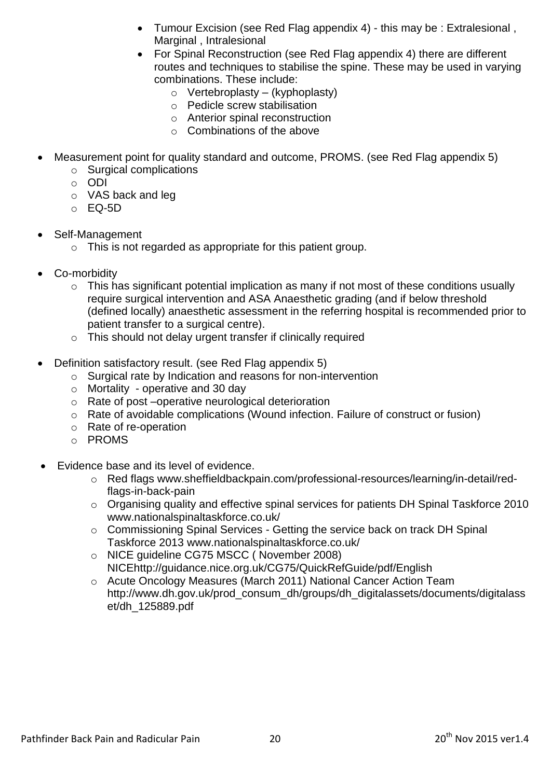- Tumour Excision (see Red Flag appendix 4) this may be : Extralesional , Marginal , Intralesional
- For Spinal Reconstruction (see Red Flag appendix 4) there are different routes and techniques to stabilise the spine. These may be used in varying combinations. These include:
	- $\circ$  Vertebroplasty (kyphoplasty)
	- o Pedicle screw stabilisation
	- o Anterior spinal reconstruction
	- o Combinations of the above
- Measurement point for quality standard and outcome, PROMS. (see Red Flag appendix 5)
	- o Surgical complications
	- o ODI
	- o VAS back and leg
	- o EQ-5D
- Self-Management
	- o This is not regarded as appropriate for this patient group.
- Co-morbidity
	- $\circ$  This has significant potential implication as many if not most of these conditions usually require surgical intervention and ASA Anaesthetic grading (and if below threshold (defined locally) anaesthetic assessment in the referring hospital is recommended prior to patient transfer to a surgical centre).
	- o This should not delay urgent transfer if clinically required
- Definition satisfactory result. (see Red Flag appendix 5)
	- o Surgical rate by Indication and reasons for non-intervention
	- o Mortality operative and 30 day
	- o Rate of post –operative neurological deterioration
	- o Rate of avoidable complications (Wound infection. Failure of construct or fusion)
	- o Rate of re-operation
	- o PROMS
- Evidence base and its level of evidence.
	- o Red flags [www.sheffieldbackpain.com/professional-resources/learning/in-detail/red](http://www.sheffieldbackpain.com/professional-resources/learning/in-detail/red-flags-in-back-pain)[flags-in-back-pain](http://www.sheffieldbackpain.com/professional-resources/learning/in-detail/red-flags-in-back-pain)
	- o Organising quality and effective spinal services for patients DH Spinal Taskforce 2010 [www.nationalspinaltaskforce.co.uk/](http://www.nationalspinaltaskforce.co.uk/)
	- o Commissioning Spinal Services Getting the service back on track DH Spinal Taskforce 2013 [www.nationalspinaltaskforce.co.uk/](http://www.nationalspinaltaskforce.co.uk/)
	- o NICE guideline CG75 MSCC ( November 2008) NIC[Ehttp://guidance.nice.org.uk/CG75/QuickRefGuide/pdf/English](http://guidance.nice.org.uk/CG75/QuickRefGuide/pdf/English)
	- o Acute Oncology Measures (March 2011) National Cancer Action Team [http://www.dh.gov.uk/prod\\_consum\\_dh/groups/dh\\_digitalassets/documents/digitalass](http://www.dh.gov.uk/prod_consum_dh/groups/dh_digitalassets/documents/digitalasset/dh_125889.pdf) [et/dh\\_125889.pdf](http://www.dh.gov.uk/prod_consum_dh/groups/dh_digitalassets/documents/digitalasset/dh_125889.pdf)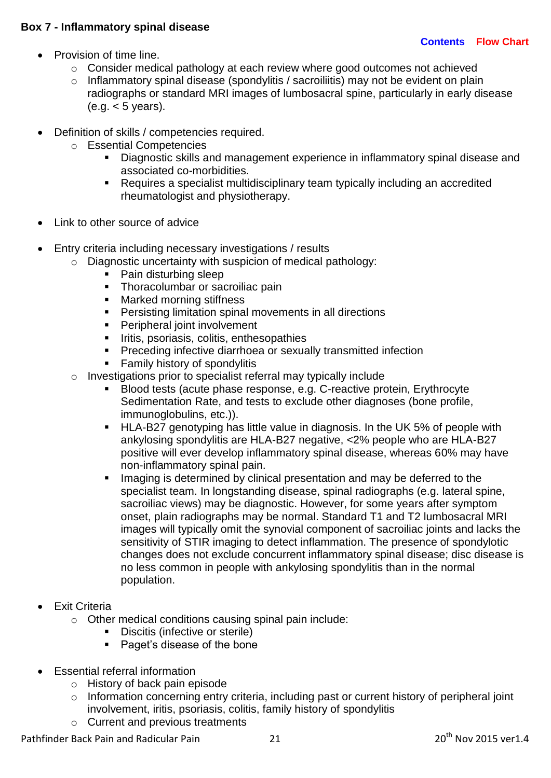### <span id="page-20-0"></span>**Box 7 - Inflammatory spinal disease**

- Provision of time line.
	- o Consider medical pathology at each review where good outcomes not achieved
	- o Inflammatory spinal disease (spondylitis / sacroiliitis) may not be evident on plain radiographs or standard MRI images of lumbosacral spine, particularly in early disease  $(e.a. < 5$  years).
- Definition of skills / competencies required.
	- o Essential Competencies
		- Diagnostic skills and management experience in inflammatory spinal disease and associated co-morbidities.
		- Requires a specialist multidisciplinary team typically including an accredited rheumatologist and physiotherapy.
- Link to other source of advice
- Entry criteria including necessary investigations / results
	- $\circ$  Diagnostic uncertainty with suspicion of medical pathology:
		- Pain disturbing sleep
		- Thoracolumbar or sacroiliac pain
		- **Marked morning stiffness**
		- **Persisting limitation spinal movements in all directions**
		- **Peripheral joint involvement**
		- **IFILM** Iritis, psoriasis, colitis, enthesopathies
		- **Preceding infective diarrhoea or sexually transmitted infection**
		- Family history of spondylitis
	- o Investigations prior to specialist referral may typically include
		- Blood tests (acute phase response, e.g. C-reactive protein, Erythrocyte Sedimentation Rate, and tests to exclude other diagnoses (bone profile, immunoglobulins, etc.)).
		- HLA-B27 genotyping has little value in diagnosis. In the UK 5% of people with ankylosing spondylitis are HLA-B27 negative, <2% people who are HLA-B27 positive will ever develop inflammatory spinal disease, whereas 60% may have non-inflammatory spinal pain.
		- **Imaging is determined by clinical presentation and may be deferred to the** specialist team. In longstanding disease, spinal radiographs (e.g. lateral spine, sacroiliac views) may be diagnostic. However, for some years after symptom onset, plain radiographs may be normal. Standard T1 and T2 lumbosacral MRI images will typically omit the synovial component of sacroiliac joints and lacks the sensitivity of STIR imaging to detect inflammation. The presence of spondylotic changes does not exclude concurrent inflammatory spinal disease; disc disease is no less common in people with ankylosing spondylitis than in the normal population.
- Exit Criteria
	- o Other medical conditions causing spinal pain include:
		- Discitis (infective or sterile)
		- Paget's disease of the bone
- Essential referral information
	- o History of back pain episode
	- o Information concerning entry criteria, including past or current history of peripheral joint involvement, iritis, psoriasis, colitis, family history of spondylitis
	- o Current and previous treatments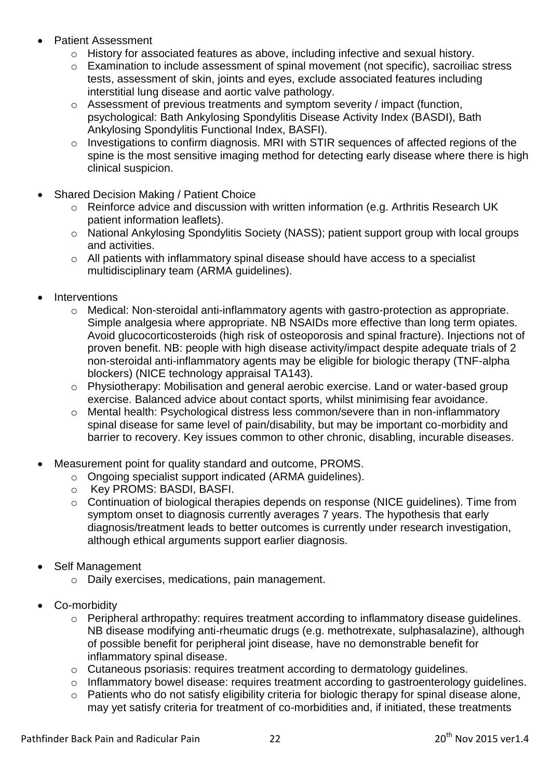- Patient Assessment
	- o History for associated features as above, including infective and sexual history.
	- o Examination to include assessment of spinal movement (not specific), sacroiliac stress tests, assessment of skin, joints and eyes, exclude associated features including interstitial lung disease and aortic valve pathology.
	- o Assessment of previous treatments and symptom severity / impact (function, psychological: Bath Ankylosing Spondylitis Disease Activity Index (BASDI), Bath Ankylosing Spondylitis Functional Index, BASFI).
	- o Investigations to confirm diagnosis. MRI with STIR sequences of affected regions of the spine is the most sensitive imaging method for detecting early disease where there is high clinical suspicion.
- Shared Decision Making / Patient Choice
	- o Reinforce advice and discussion with written information (e.g. Arthritis Research UK patient information leaflets).
	- o National Ankylosing Spondylitis Society (NASS); patient support group with local groups and activities.
	- o All patients with inflammatory spinal disease should have access to a specialist multidisciplinary team (ARMA guidelines).
- **Interventions** 
	- o Medical: Non-steroidal anti-inflammatory agents with gastro-protection as appropriate. Simple analgesia where appropriate. NB NSAIDs more effective than long term opiates. Avoid glucocorticosteroids (high risk of osteoporosis and spinal fracture). Injections not of proven benefit. NB: people with high disease activity/impact despite adequate trials of 2 non-steroidal anti-inflammatory agents may be eligible for biologic therapy (TNF-alpha blockers) (NICE technology appraisal TA143).
	- o Physiotherapy: Mobilisation and general aerobic exercise. Land or water-based group exercise. Balanced advice about contact sports, whilst minimising fear avoidance.
	- o Mental health: Psychological distress less common/severe than in non-inflammatory spinal disease for same level of pain/disability, but may be important co-morbidity and barrier to recovery. Key issues common to other chronic, disabling, incurable diseases.
- Measurement point for quality standard and outcome, PROMS.
	- o Ongoing specialist support indicated (ARMA guidelines).
	- o Key PROMS: BASDI, BASFI.
	- o Continuation of biological therapies depends on response (NICE guidelines). Time from symptom onset to diagnosis currently averages 7 years. The hypothesis that early diagnosis/treatment leads to better outcomes is currently under research investigation, although ethical arguments support earlier diagnosis.
- Self Management
	- o Daily exercises, medications, pain management.
- Co-morbidity
	- o Peripheral arthropathy: requires treatment according to inflammatory disease guidelines. NB disease modifying anti-rheumatic drugs (e.g. methotrexate, sulphasalazine), although of possible benefit for peripheral joint disease, have no demonstrable benefit for inflammatory spinal disease.
	- o Cutaneous psoriasis: requires treatment according to dermatology guidelines.
	- o Inflammatory bowel disease: requires treatment according to gastroenterology guidelines.
	- o Patients who do not satisfy eligibility criteria for biologic therapy for spinal disease alone, may yet satisfy criteria for treatment of co-morbidities and, if initiated, these treatments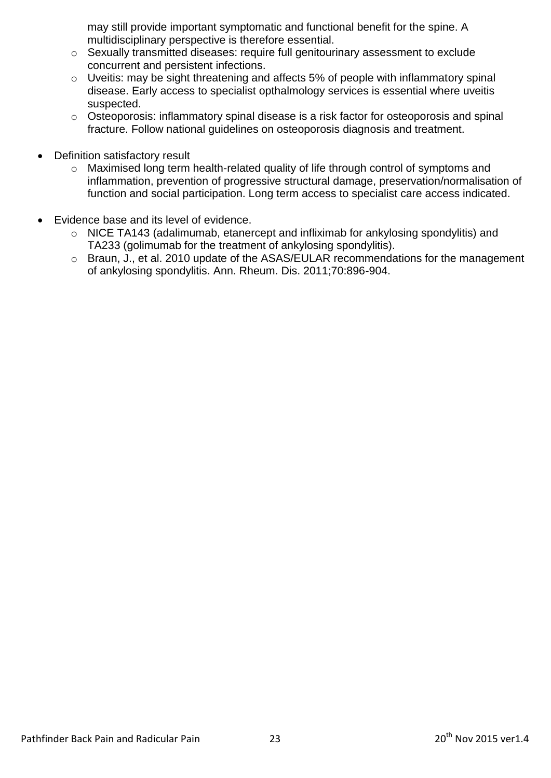may still provide important symptomatic and functional benefit for the spine. A multidisciplinary perspective is therefore essential.

- o Sexually transmitted diseases: require full genitourinary assessment to exclude concurrent and persistent infections.
- $\circ$  Uveitis: may be sight threatening and affects 5% of people with inflammatory spinal disease. Early access to specialist opthalmology services is essential where uveitis suspected.
- o Osteoporosis: inflammatory spinal disease is a risk factor for osteoporosis and spinal fracture. Follow national guidelines on osteoporosis diagnosis and treatment.
- Definition satisfactory result
	- o Maximised long term health-related quality of life through control of symptoms and inflammation, prevention of progressive structural damage, preservation/normalisation of function and social participation. Long term access to specialist care access indicated.
- Evidence base and its level of evidence.
	- o NICE TA143 (adalimumab, etanercept and infliximab for ankylosing spondylitis) and TA233 (golimumab for the treatment of ankylosing spondylitis).
	- o Braun, J., et al. 2010 update of the ASAS/EULAR recommendations for the management of ankylosing spondylitis. Ann. Rheum. Dis. 2011;70:896-904.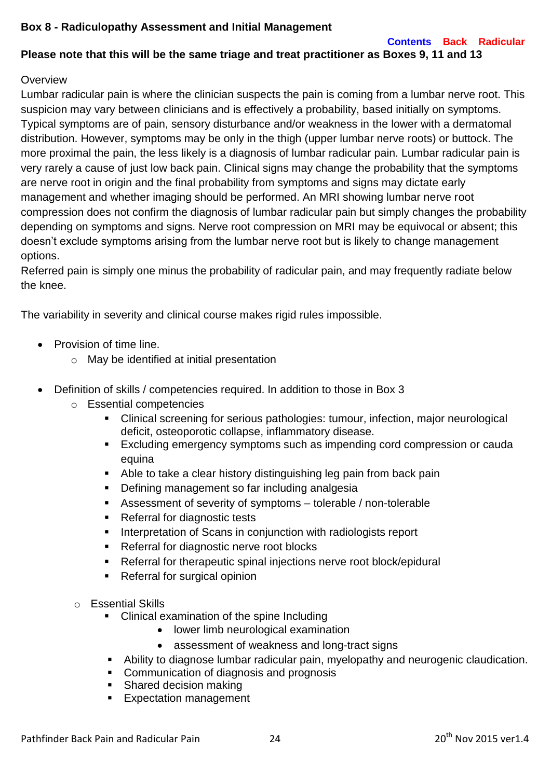### <span id="page-23-0"></span>**Box 8 - Radiculopathy Assessment and Initial Management**

**[Contents](#page-3-0) [Back](#page-4-0) [Radicular](#page-5-0)**

## **Please note that this will be the same triage and treat practitioner as Boxes 9, 11 and 13**

### **Overview**

Lumbar radicular pain is where the clinician suspects the pain is coming from a lumbar nerve root. This suspicion may vary between clinicians and is effectively a probability, based initially on symptoms. Typical symptoms are of pain, sensory disturbance and/or weakness in the lower with a dermatomal distribution. However, symptoms may be only in the thigh (upper lumbar nerve roots) or buttock. The more proximal the pain, the less likely is a diagnosis of lumbar radicular pain. Lumbar radicular pain is very rarely a cause of just low back pain. Clinical signs may change the probability that the symptoms are nerve root in origin and the final probability from symptoms and signs may dictate early management and whether imaging should be performed. An MRI showing lumbar nerve root compression does not confirm the diagnosis of lumbar radicular pain but simply changes the probability depending on symptoms and signs. Nerve root compression on MRI may be equivocal or absent; this doesn't exclude symptoms arising from the lumbar nerve root but is likely to change management options.

Referred pain is simply one minus the probability of radicular pain, and may frequently radiate below the knee.

The variability in severity and clinical course makes rigid rules impossible.

- Provision of time line.
	- o May be identified at initial presentation
- Definition of skills / competencies required. In addition to those in Box 3
	- o Essential competencies
		- Clinical screening for serious pathologies: tumour, infection, major neurological deficit, osteoporotic collapse, inflammatory disease.
		- **Excluding emergency symptoms such as impending cord compression or cauda** equina
		- Able to take a clear history distinguishing leg pain from back pain
		- **Defining management so far including analgesia**
		- Assessment of severity of symptoms tolerable / non-tolerable
		- Referral for diagnostic tests
		- **Interpretation of Scans in conjunction with radiologists report**
		- **Referral for diagnostic nerve root blocks**
		- Referral for therapeutic spinal injections nerve root block/epidural
		- Referral for surgical opinion
	- o Essential Skills
		- Clinical examination of the spine Including
			- lower limb neurological examination
			- assessment of weakness and long-tract signs
		- Ability to diagnose lumbar radicular pain, myelopathy and neurogenic claudication.
		- **Communication of diagnosis and prognosis**
		- Shared decision making
		- Expectation management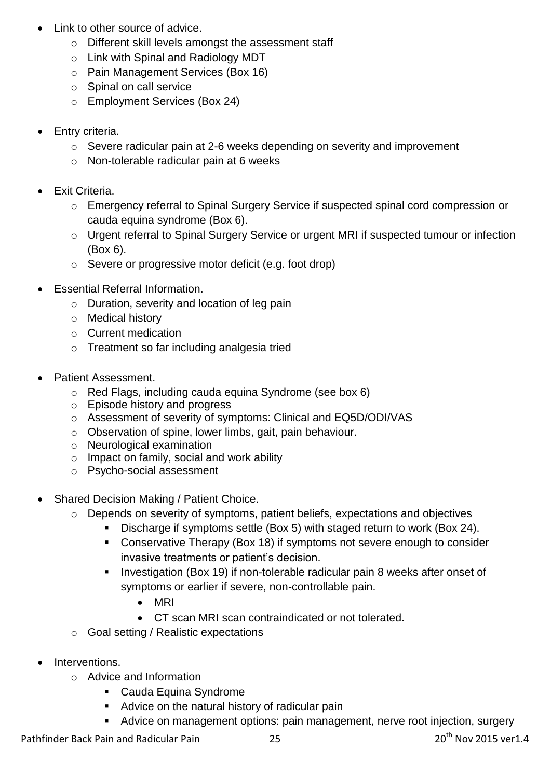- Link to other source of advice.
	- o Different skill levels amongst the assessment staff
	- o Link with Spinal and Radiology MDT
	- o Pain Management Services (Box 16)
	- o Spinal on call service
	- o Employment Services (Box 24)
- Entry criteria.
	- o Severe radicular pain at 2-6 weeks depending on severity and improvement
	- o Non-tolerable radicular pain at 6 weeks
- Exit Criteria.
	- o Emergency referral to Spinal Surgery Service if suspected spinal cord compression or cauda equina syndrome (Box 6).
	- o Urgent referral to Spinal Surgery Service or urgent MRI if suspected tumour or infection (Box 6).
	- o Severe or progressive motor deficit (e.g. foot drop)
- Essential Referral Information.
	- o Duration, severity and location of leg pain
	- o Medical history
	- o Current medication
	- o Treatment so far including analgesia tried
- Patient Assessment.
	- o Red Flags, including cauda equina Syndrome (see box 6)
	- o Episode history and progress
	- o Assessment of severity of symptoms: Clinical and EQ5D/ODI/VAS
	- o Observation of spine, lower limbs, gait, pain behaviour.
	- o Neurological examination
	- o Impact on family, social and work ability
	- o Psycho-social assessment
- Shared Decision Making / Patient Choice.
	- o Depends on severity of symptoms, patient beliefs, expectations and objectives
		- Discharge if symptoms settle (Box 5) with staged return to work (Box 24).
		- Conservative Therapy (Box 18) if symptoms not severe enough to consider invasive treatments or patient's decision.
		- **Investigation (Box 19) if non-tolerable radicular pain 8 weeks after onset of** symptoms or earlier if severe, non-controllable pain.
			- MRI
			- CT scan MRI scan contraindicated or not tolerated.
	- o Goal setting / Realistic expectations
- Interventions.
	- o Advice and Information
		- Cauda Equina Syndrome
		- **Advice on the natural history of radicular pain**
		- Advice on management options: pain management, nerve root injection, surgery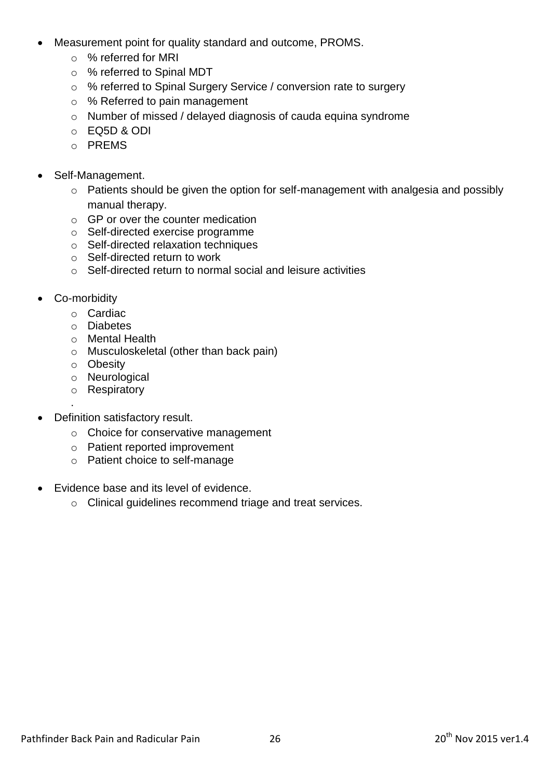- Measurement point for quality standard and outcome, PROMS.
	- o % referred for MRI
	- o % referred to Spinal MDT
	- o % referred to Spinal Surgery Service / conversion rate to surgery
	- o % Referred to pain management
	- o Number of missed / delayed diagnosis of cauda equina syndrome
	- o EQ5D & ODI
	- o PREMS
- Self-Management.
	- o Patients should be given the option for self-management with analgesia and possibly manual therapy.
	- o GP or over the counter medication
	- o Self-directed exercise programme
	- o Self-directed relaxation techniques
	- o Self-directed return to work
	- o Self-directed return to normal social and leisure activities
- Co-morbidity

.

- o Cardiac
- o Diabetes
- o Mental Health
- o Musculoskeletal (other than back pain)
- o Obesity
- o Neurological
- o Respiratory
- Definition satisfactory result.
	- o Choice for conservative management
	- o Patient reported improvement
	- o Patient choice to self-manage
- Evidence base and its level of evidence.
	- o Clinical guidelines recommend triage and treat services.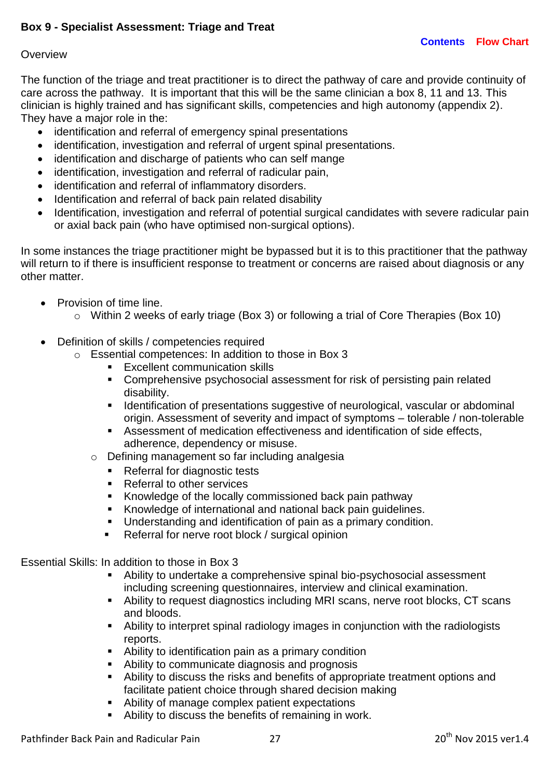## <span id="page-26-0"></span>**Box 9 - Specialist Assessment: Triage and Treat**

### **Overview**

The function of the triage and treat practitioner is to direct the pathway of care and provide continuity of care across the pathway. It is important that this will be the same clinician a box 8, 11 and 13. This clinician is highly trained and has significant skills, competencies and high autonomy (appendix 2). They have a major role in the:

- identification and referral of emergency spinal presentations
- identification, investigation and referral of urgent spinal presentations.
- identification and discharge of patients who can self mange
- identification, investigation and referral of radicular pain,
- identification and referral of inflammatory disorders.
- Identification and referral of back pain related disability
- Identification, investigation and referral of potential surgical candidates with severe radicular pain or axial back pain (who have optimised non-surgical options).

In some instances the triage practitioner might be bypassed but it is to this practitioner that the pathway will return to if there is insufficient response to treatment or concerns are raised about diagnosis or any other matter.

- Provision of time line.
	- o Within 2 weeks of early triage (Box 3) or following a trial of Core Therapies (Box 10)
- Definition of skills / competencies required
	- o Essential competences: In addition to those in Box 3
		- **Excellent communication skills**
		- Comprehensive psychosocial assessment for risk of persisting pain related disability.
		- **IDEDEDIATE:** Identification of presentations suggestive of neurological, vascular or abdominal origin. Assessment of severity and impact of symptoms – tolerable / non-tolerable
		- Assessment of medication effectiveness and identification of side effects, adherence, dependency or misuse.
		- o Defining management so far including analgesia
			- Referral for diagnostic tests
			- Referral to other services
			- Knowledge of the locally commissioned back pain pathway
			- Knowledge of international and national back pain guidelines.
			- Understanding and identification of pain as a primary condition.
			- **Referral for nerve root block / surgical opinion**

Essential Skills: In addition to those in Box 3

- Ability to undertake a comprehensive spinal bio-psychosocial assessment including screening questionnaires, interview and clinical examination.
- Ability to request diagnostics including MRI scans, nerve root blocks, CT scans and bloods.
- Ability to interpret spinal radiology images in conjunction with the radiologists reports.
- Ability to identification pain as a primary condition
- Ability to communicate diagnosis and prognosis
- Ability to discuss the risks and benefits of appropriate treatment options and facilitate patient choice through shared decision making
- Ability of manage complex patient expectations
- Ability to discuss the benefits of remaining in work.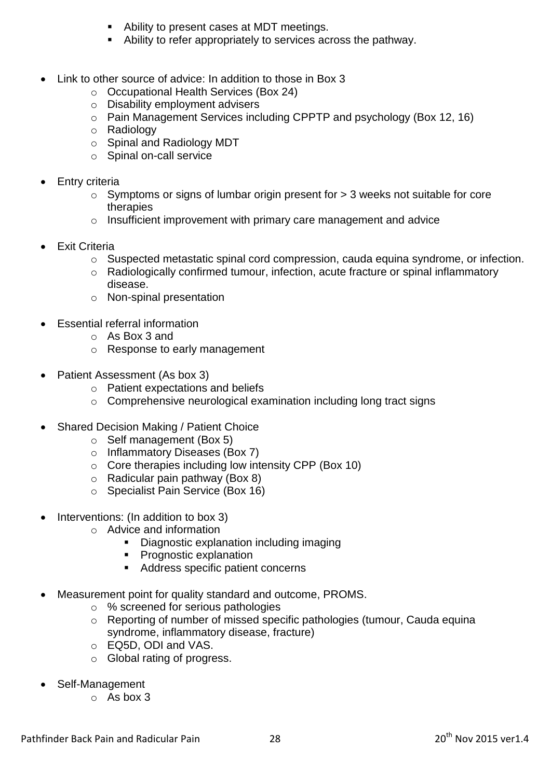- Ability to present cases at MDT meetings.
- Ability to refer appropriately to services across the pathway.
- Link to other source of advice: In addition to those in Box 3
	- o Occupational Health Services (Box 24)
	- o Disability employment advisers
	- o Pain Management Services including CPPTP and psychology (Box 12, 16)
	- o Radiology
	- o Spinal and Radiology MDT
	- o Spinal on-call service
- Entry criteria
	- o Symptoms or signs of lumbar origin present for > 3 weeks not suitable for core therapies
	- o Insufficient improvement with primary care management and advice
- Exit Criteria
	- o Suspected metastatic spinal cord compression, cauda equina syndrome, or infection.
	- o Radiologically confirmed tumour, infection, acute fracture or spinal inflammatory disease.
	- o Non-spinal presentation
- Essential referral information
	- o As Box 3 and
	- o Response to early management
- Patient Assessment (As box 3)
	- o Patient expectations and beliefs
	- o Comprehensive neurological examination including long tract signs
- Shared Decision Making / Patient Choice
	- o Self management (Box 5)
	- o Inflammatory Diseases (Box 7)
	- o Core therapies including low intensity CPP (Box 10)
	- $\circ$  Radicular pain pathway (Box 8)
	- o Specialist Pain Service (Box 16)
- Interventions: (In addition to box 3)
	- o Advice and information
		- Diagnostic explanation including imaging
		- **Prognostic explanation**
		- Address specific patient concerns
- Measurement point for quality standard and outcome, PROMS.
	- o % screened for serious pathologies
	- o Reporting of number of missed specific pathologies (tumour, Cauda equina syndrome, inflammatory disease, fracture)
	- o EQ5D, ODI and VAS.
	- o Global rating of progress.
- Self-Management
	- $\circ$  As box 3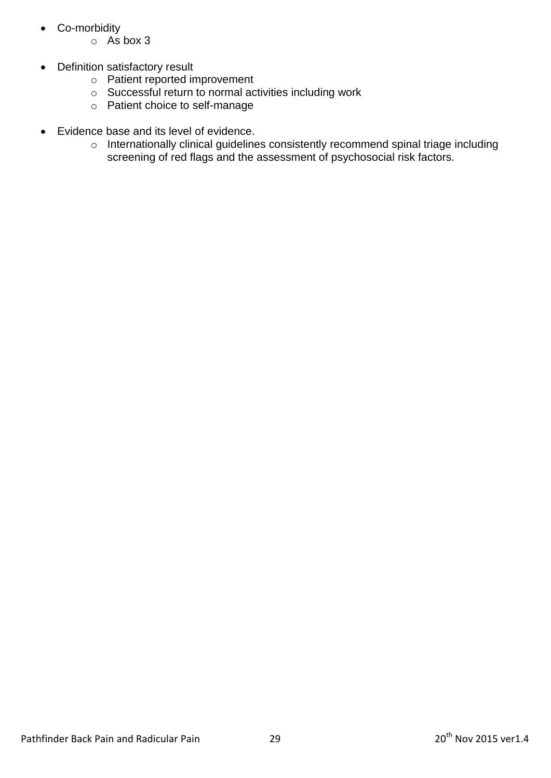- Co-morbidity
	- o As box 3
- Definition satisfactory result
	- o Patient reported improvement
	- o Successful return to normal activities including work
	- o Patient choice to self-manage
- Evidence base and its level of evidence.
	- o Internationally clinical guidelines consistently recommend spinal triage including screening of red flags and the assessment of psychosocial risk factors.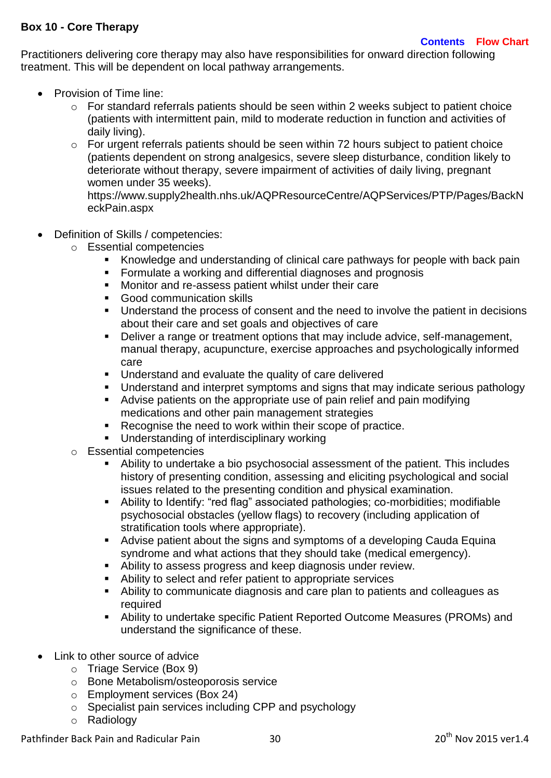### <span id="page-29-0"></span>**Box 10 - Core Therapy**

Practitioners delivering core therapy may also have responsibilities for onward direction following treatment. This will be dependent on local pathway arrangements.

- Provision of Time line:
	- o For standard referrals patients should be seen within 2 weeks subject to patient choice (patients with intermittent pain, mild to moderate reduction in function and activities of daily living).
	- o For urgent referrals patients should be seen within 72 hours subject to patient choice (patients dependent on strong analgesics, severe sleep disturbance, condition likely to deteriorate without therapy, severe impairment of activities of daily living, pregnant women under 35 weeks).

[https://www.supply2health.nhs.uk/AQPResourceCentre/AQPServices/PTP/Pages/BackN](https://www.supply2health.nhs.uk/AQPResourceCentre/AQPServices/PTP/Pages/BackNeckPain.aspx) [eckPain.aspx](https://www.supply2health.nhs.uk/AQPResourceCentre/AQPServices/PTP/Pages/BackNeckPain.aspx)

- Definition of Skills / competencies:
	- o Essential competencies
		- Knowledge and understanding of clinical care pathways for people with back pain
		- **Formulate a working and differential diagnoses and prognosis**
		- Monitor and re-assess patient whilst under their care
		- **Good communication skills**
		- Understand the process of consent and the need to involve the patient in decisions about their care and set goals and objectives of care
		- Deliver a range or treatment options that may include advice, self-management, manual therapy, acupuncture, exercise approaches and psychologically informed care
		- **Understand and evaluate the quality of care delivered**
		- Understand and interpret symptoms and signs that may indicate serious pathology
		- Advise patients on the appropriate use of pain relief and pain modifying medications and other pain management strategies
		- **Recognise the need to work within their scope of practice.**
		- **Understanding of interdisciplinary working**
	- o Essential competencies
		- Ability to undertake a bio psychosocial assessment of the patient. This includes history of presenting condition, assessing and eliciting psychological and social issues related to the presenting condition and physical examination.
		- Ability to Identify: "red flag" associated pathologies; co-morbidities; modifiable psychosocial obstacles (yellow flags) to recovery (including application of stratification tools where appropriate).
		- Advise patient about the signs and symptoms of a developing Cauda Equina syndrome and what actions that they should take (medical emergency).
		- Ability to assess progress and keep diagnosis under review.
		- Ability to select and refer patient to appropriate services
		- Ability to communicate diagnosis and care plan to patients and colleagues as required
		- Ability to undertake specific Patient Reported Outcome Measures (PROMs) and understand the significance of these.
- Link to other source of advice
	- o Triage Service (Box 9)
	- o Bone Metabolism/osteoporosis service
	- o Employment services (Box 24)
	- o Specialist pain services including CPP and psychology
	- o Radiology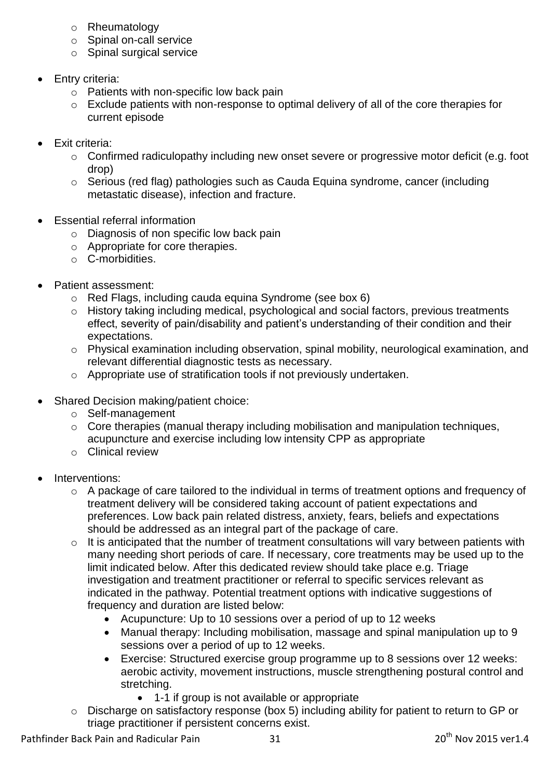- o Rheumatology
- o Spinal on-call service
- o Spinal surgical service
- Entry criteria:
	- o Patients with non-specific low back pain
	- o Exclude patients with non-response to optimal delivery of all of the core therapies for current episode
- Exit criteria:
	- o Confirmed radiculopathy including new onset severe or progressive motor deficit (e.g. foot drop)
	- o Serious (red flag) pathologies such as Cauda Equina syndrome, cancer (including metastatic disease), infection and fracture.
- Essential referral information
	- o Diagnosis of non specific low back pain
	- o Appropriate for core therapies.
	- o C-morbidities.
- Patient assessment:
	- o Red Flags, including cauda equina Syndrome (see box 6)
	- o History taking including medical, psychological and social factors, previous treatments effect, severity of pain/disability and patient's understanding of their condition and their expectations.
	- o Physical examination including observation, spinal mobility, neurological examination, and relevant differential diagnostic tests as necessary.
	- o Appropriate use of stratification tools if not previously undertaken.
- Shared Decision making/patient choice:
	- o Self-management
	- o Core therapies (manual therapy including mobilisation and manipulation techniques, acupuncture and exercise including low intensity CPP as appropriate
	- o Clinical review
- Interventions:
	- o A package of care tailored to the individual in terms of treatment options and frequency of treatment delivery will be considered taking account of patient expectations and preferences. Low back pain related distress, anxiety, fears, beliefs and expectations should be addressed as an integral part of the package of care.
	- $\circ$  It is anticipated that the number of treatment consultations will vary between patients with many needing short periods of care. If necessary, core treatments may be used up to the limit indicated below. After this dedicated review should take place e.g. Triage investigation and treatment practitioner or referral to specific services relevant as indicated in the pathway. Potential treatment options with indicative suggestions of frequency and duration are listed below:
		- Acupuncture: Up to 10 sessions over a period of up to 12 weeks
		- Manual therapy: Including mobilisation, massage and spinal manipulation up to 9 sessions over a period of up to 12 weeks.
		- Exercise: Structured exercise group programme up to 8 sessions over 12 weeks: aerobic activity, movement instructions, muscle strengthening postural control and stretching.
			- 1-1 if group is not available or appropriate
	- o Discharge on satisfactory response (box 5) including ability for patient to return to GP or triage practitioner if persistent concerns exist.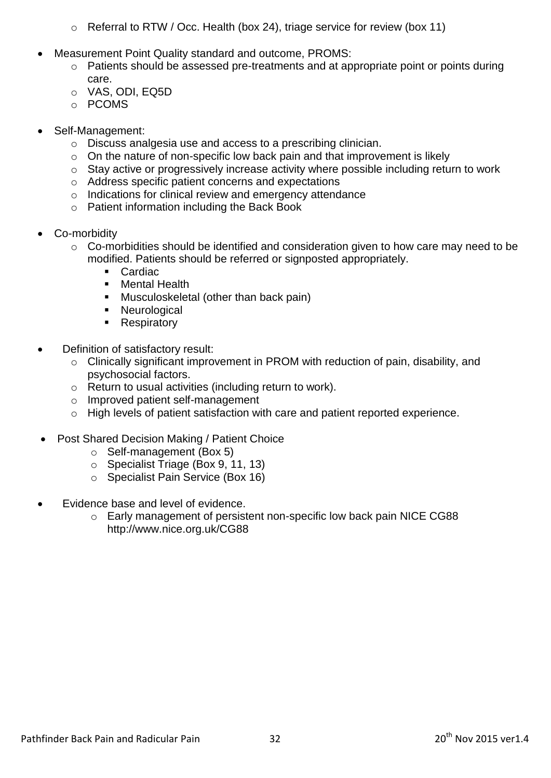- o Referral to RTW / Occ. Health (box 24), triage service for review (box 11)
- Measurement Point Quality standard and outcome, PROMS:
	- o Patients should be assessed pre-treatments and at appropriate point or points during care.
	- o VAS, ODI, EQ5D
	- o PCOMS
- Self-Management:
	- o Discuss analgesia use and access to a prescribing clinician.
	- $\circ$  On the nature of non-specific low back pain and that improvement is likely
	- o Stay active or progressively increase activity where possible including return to work
	- o Address specific patient concerns and expectations
	- o Indications for clinical review and emergency attendance
	- o Patient information including the Back Book
- Co-morbidity
	- o Co-morbidities should be identified and consideration given to how care may need to be modified. Patients should be referred or signposted appropriately.
		- **Cardiac**
		- **Nental Health**
		- **Musculoskeletal (other than back pain)**
		- **Neurological**
		- Respiratory
- Definition of satisfactory result:
	- o Clinically significant improvement in PROM with reduction of pain, disability, and psychosocial factors.
	- o Return to usual activities (including return to work).
	- o Improved patient self-management
	- o High levels of patient satisfaction with care and patient reported experience.
- Post Shared Decision Making / Patient Choice
	- o Self-management (Box 5)
	- o Specialist Triage (Box 9, 11, 13)
	- o Specialist Pain Service (Box 16)
- Evidence base and level of evidence.
	- o Early management of persistent non-specific low back pain NICE CG88 <http://www.nice.org.uk/CG88>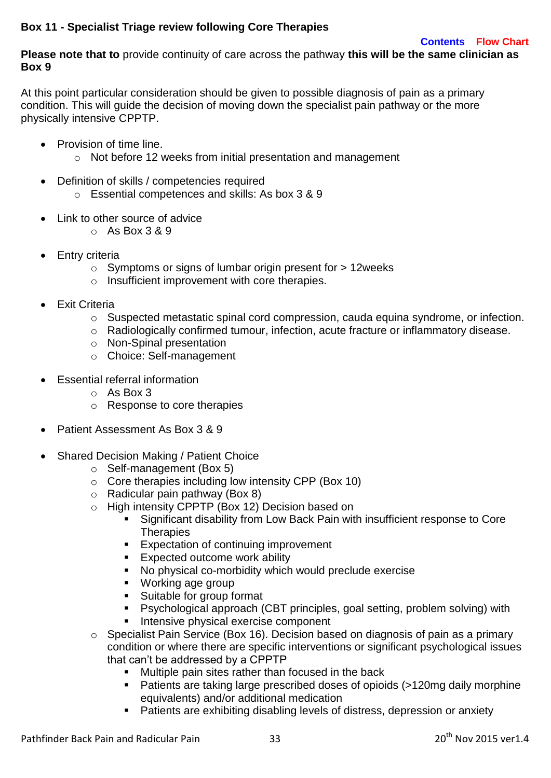## <span id="page-32-0"></span>**Box 11 - Specialist Triage review following Core Therapies**

#### **[Contents](#page-3-0) [Flow Chart](#page-4-0)**

**Please note that to** provide continuity of care across the pathway **this will be the same clinician as Box 9** 

At this point particular consideration should be given to possible diagnosis of pain as a primary condition. This will guide the decision of moving down the specialist pain pathway or the more physically intensive CPPTP.

- Provision of time line.
	- o Not before 12 weeks from initial presentation and management
- Definition of skills / competencies required
	- o Essential competences and skills: As box 3 & 9
- Link to other source of advice
	- $\circ$  As Box 3 & 9
- Entry criteria
	- o Symptoms or signs of lumbar origin present for > 12weeks
	- o Insufficient improvement with core therapies.
- Exit Criteria
	- o Suspected metastatic spinal cord compression, cauda equina syndrome, or infection.
	- o Radiologically confirmed tumour, infection, acute fracture or inflammatory disease.
	- o Non-Spinal presentation
	- o Choice: Self-management
- Essential referral information
	- o As Box 3
	- o Response to core therapies
- Patient Assessment As Box 3 & 9
- Shared Decision Making / Patient Choice
	- o Self-management (Box 5)
	- o Core therapies including low intensity CPP (Box 10)
	- $\circ$  Radicular pain pathway (Box 8)
	- o High intensity CPPTP (Box 12) Decision based on
		- Significant disability from Low Back Pain with insufficient response to Core **Therapies**
		- **Expectation of continuing improvement**
		- **Expected outcome work ability**
		- No physical co-morbidity which would preclude exercise
		- Working age group
		- Suitable for group format
		- Psychological approach (CBT principles, goal setting, problem solving) with
		- **Intensive physical exercise component**
	- o Specialist Pain Service (Box 16). Decision based on diagnosis of pain as a primary condition or where there are specific interventions or significant psychological issues that can't be addressed by a CPPTP
		- **Multiple pain sites rather than focused in the back**
		- Patients are taking large prescribed doses of opioids (>120mg daily morphine equivalents) and/or additional medication
		- Patients are exhibiting disabling levels of distress, depression or anxiety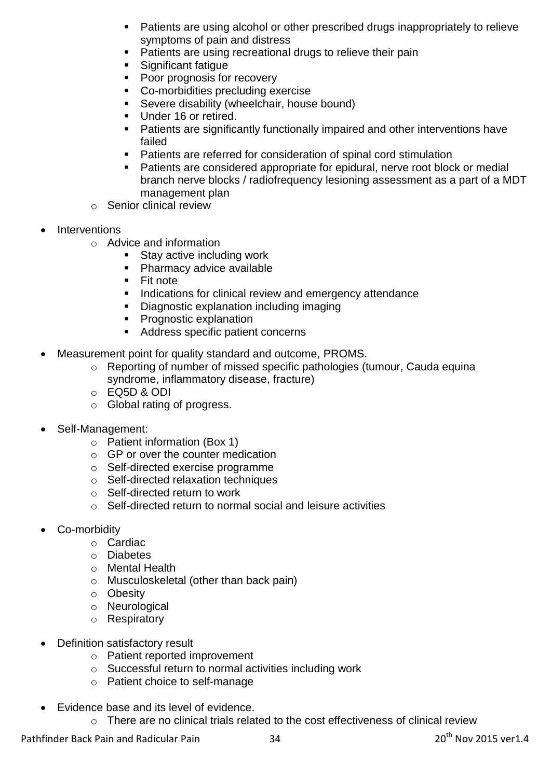- Patients are using alcohol or other prescribed drugs inappropriately to relieve symptoms of pain and distress
- Patients are using recreational drugs to relieve their pain
- Significant fatigue
- Poor prognosis for recovery
- Co-morbidities precluding exercise
- Severe disability (wheelchair, house bound)
- Under 16 or retired.
- Patients are significantly functionally impaired and other interventions have failed
- Patients are referred for consideration of spinal cord stimulation
- Patients are considered appropriate for epidural, nerve root block or medial branch nerve blocks / radiofrequency lesioning assessment as a part of a MDT management plan
- o Senior clinical review
- Interventions
	- o Advice and information
		- **Stay active including work**
		- **Pharmacy advice available**
		- **Fit note**
		- **Indications for clinical review and emergency attendance**
		- **Diagnostic explanation including imaging**
		- **Prognostic explanation**
		- Address specific patient concerns
- Measurement point for quality standard and outcome, PROMS.
	- o Reporting of number of missed specific pathologies (tumour, Cauda equina syndrome, inflammatory disease, fracture)
	- o EQ5D & ODI
	- o Global rating of progress.
- Self-Management:
	- o Patient information (Box 1)
	- $\circ$  GP or over the counter medication
	- o Self-directed exercise programme
	- o Self-directed relaxation techniques
	- o Self-directed return to work
	- $\circ$  Self-directed return to normal social and leisure activities
- Co-morbidity
	- o Cardiac
	- o Diabetes
	- o Mental Health
	- o Musculoskeletal (other than back pain)
	- o Obesity
	- o Neurological
	- o Respiratory
- Definition satisfactory result
	- o Patient reported improvement
	- o Successful return to normal activities including work
	- o Patient choice to self-manage
- Evidence base and its level of evidence.
	- o There are no clinical trials related to the cost effectiveness of clinical review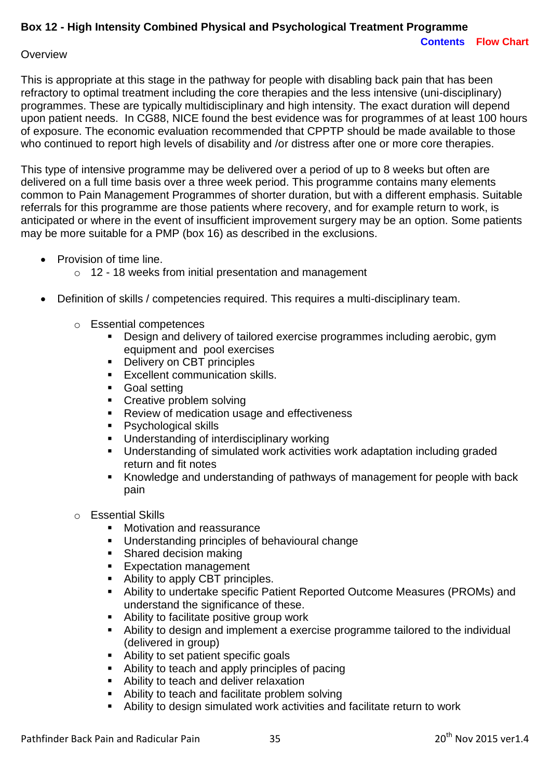# <span id="page-34-0"></span>**Box 12 - High Intensity Combined Physical and Psychological Treatment Programme**

#### **Overview**

This is appropriate at this stage in the pathway for people with disabling back pain that has been refractory to optimal treatment including the core therapies and the less intensive (uni-disciplinary) programmes. These are typically multidisciplinary and high intensity. The exact duration will depend upon patient needs. In CG88, NICE found the best evidence was for programmes of at least 100 hours of exposure. The economic evaluation recommended that CPPTP should be made available to those who continued to report high levels of disability and /or distress after one or more core therapies.

This type of intensive programme may be delivered over a period of up to 8 weeks but often are delivered on a full time basis over a three week period. This programme contains many elements common to Pain Management Programmes of shorter duration, but with a different emphasis. Suitable referrals for this programme are those patients where recovery, and for example return to work, is anticipated or where in the event of insufficient improvement surgery may be an option. Some patients may be more suitable for a PMP (box 16) as described in the exclusions.

- Provision of time line.
	- o 12 18 weeks from initial presentation and management
- Definition of skills / competencies required. This requires a multi-disciplinary team.
	- o Essential competences
		- Design and delivery of tailored exercise programmes including aerobic, gym equipment and pool exercises
		- Delivery on CBT principles
		- **Excellent communication skills.**
		- **Goal setting**
		- Creative problem solving
		- **Review of medication usage and effectiveness**
		- Psychological skills
		- Understanding of interdisciplinary working
		- Understanding of simulated work activities work adaptation including graded return and fit notes
		- Knowledge and understanding of pathways of management for people with back pain
	- o Essential Skills
		- Motivation and reassurance
		- Understanding principles of behavioural change
		- Shared decision making
		- **Expectation management**
		- Ability to apply CBT principles.
		- Ability to undertake specific Patient Reported Outcome Measures (PROMs) and understand the significance of these.
		- Ability to facilitate positive group work
		- Ability to design and implement a exercise programme tailored to the individual (delivered in group)
		- Ability to set patient specific goals
		- Ability to teach and apply principles of pacing
		- Ability to teach and deliver relaxation
		- Ability to teach and facilitate problem solving
		- Ability to design simulated work activities and facilitate return to work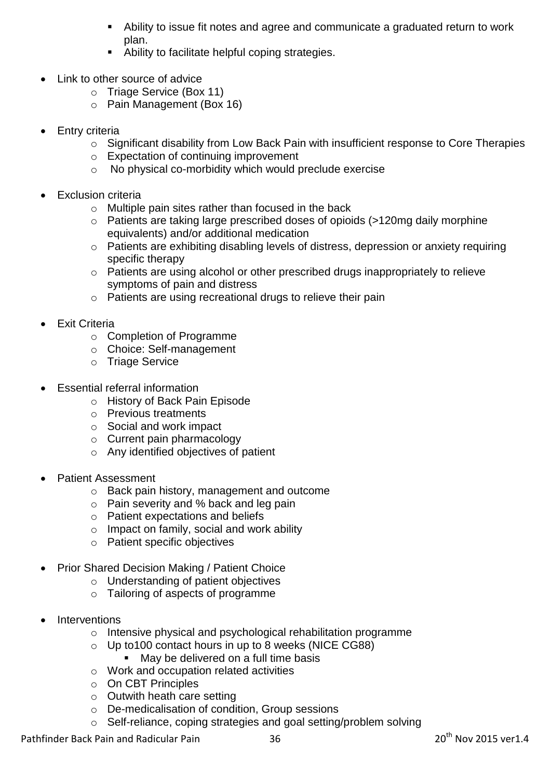- Ability to issue fit notes and agree and communicate a graduated return to work plan.
- Ability to facilitate helpful coping strategies.
- Link to other source of advice
	- o Triage Service (Box 11)
	- o Pain Management (Box 16)
- Entry criteria
	- o Significant disability from Low Back Pain with insufficient response to Core Therapies
	- o Expectation of continuing improvement
	- o No physical co-morbidity which would preclude exercise
- Exclusion criteria
	- o Multiple pain sites rather than focused in the back
	- o Patients are taking large prescribed doses of opioids (>120mg daily morphine equivalents) and/or additional medication
	- o Patients are exhibiting disabling levels of distress, depression or anxiety requiring specific therapy
	- o Patients are using alcohol or other prescribed drugs inappropriately to relieve symptoms of pain and distress
	- o Patients are using recreational drugs to relieve their pain
- Exit Criteria
	- o Completion of Programme
	- o Choice: Self-management
	- o Triage Service
- Essential referral information
	- o History of Back Pain Episode
	- o Previous treatments
	- o Social and work impact
	- o Current pain pharmacology
	- o Any identified objectives of patient
- Patient Assessment
	- o Back pain history, management and outcome
	- o Pain severity and % back and leg pain
	- o Patient expectations and beliefs
	- o Impact on family, social and work ability
	- o Patient specific objectives
- Prior Shared Decision Making / Patient Choice
	- o Understanding of patient objectives
	- o Tailoring of aspects of programme
- **Interventions** 
	- o Intensive physical and psychological rehabilitation programme
	- o Up to100 contact hours in up to 8 weeks (NICE CG88)
		- **May be delivered on a full time basis**
	- o Work and occupation related activities
	- o On CBT Principles
	- o Outwith heath care setting
	- o De-medicalisation of condition, Group sessions
	- o Self-reliance, coping strategies and goal setting/problem solving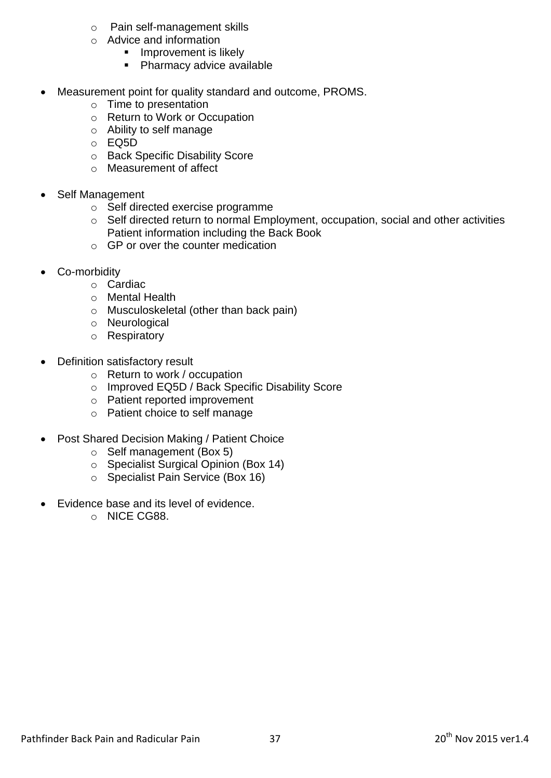- o Pain self-management skills
- o Advice and information
	- **Improvement is likely**
	- **Pharmacy advice available**
- Measurement point for quality standard and outcome, PROMS.
	- o Time to presentation
	- o Return to Work or Occupation
	- o Ability to self manage
	- o EQ5D
	- o Back Specific Disability Score
	- o Measurement of affect
- Self Management
	- o Self directed exercise programme
	- o Self directed return to normal Employment, occupation, social and other activities Patient information including the Back Book
	- $\circ$  GP or over the counter medication
- Co-morbidity
	- o Cardiac
	- o Mental Health
	- o Musculoskeletal (other than back pain)
	- o Neurological
	- o Respiratory
- Definition satisfactory result
	- o Return to work / occupation
	- o Improved EQ5D / Back Specific Disability Score
	- o Patient reported improvement
	- o Patient choice to self manage
- Post Shared Decision Making / Patient Choice
	- o Self management (Box 5)
	- o Specialist Surgical Opinion (Box 14)
	- o Specialist Pain Service (Box 16)
- Evidence base and its level of evidence.
	- o NICE CG88.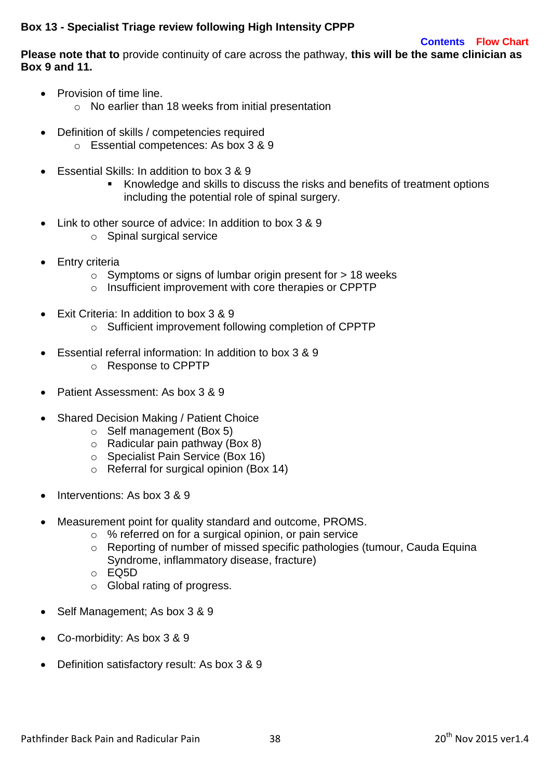## **Box 13 - Specialist Triage review following High Intensity CPPP**

#### **[Contents](#page-3-0) [Flow Chart](#page-4-0)**

**Please note that to** provide continuity of care across the pathway, **this will be the same clinician as Box 9 and 11.**

- Provision of time line.
	- o No earlier than 18 weeks from initial presentation
- Definition of skills / competencies required o Essential competences: As box 3 & 9
- $\bullet$  Essential Skills: In addition to box 3 & 9
	- Knowledge and skills to discuss the risks and benefits of treatment options including the potential role of spinal surgery.
- Link to other source of advice: In addition to box 3 & 9
	- o Spinal surgical service
- Entry criteria
	- $\circ$  Symptoms or signs of lumbar origin present for  $> 18$  weeks
	- o Insufficient improvement with core therapies or CPPTP
- Exit Criteria: In addition to box 3 & 9
	- o Sufficient improvement following completion of CPPTP
- Essential referral information: In addition to box 3 & 9
	- o Response to CPPTP
- Patient Assessment: As box 3 & 9
- Shared Decision Making / Patient Choice
	- o Self management (Box 5)
	- $\circ$  Radicular pain pathway (Box 8)
	- o Specialist Pain Service (Box 16)
	- o Referral for surgical opinion (Box 14)
- Interventions: As box 3 & 9
- Measurement point for quality standard and outcome, PROMS.
	- o % referred on for a surgical opinion, or pain service
	- o Reporting of number of missed specific pathologies (tumour, Cauda Equina Syndrome, inflammatory disease, fracture)
	- o EQ5D
	- o Global rating of progress.
- Self Management; As box 3 & 9
- Co-morbidity: As box 3 & 9
- Definition satisfactory result: As box 3 & 9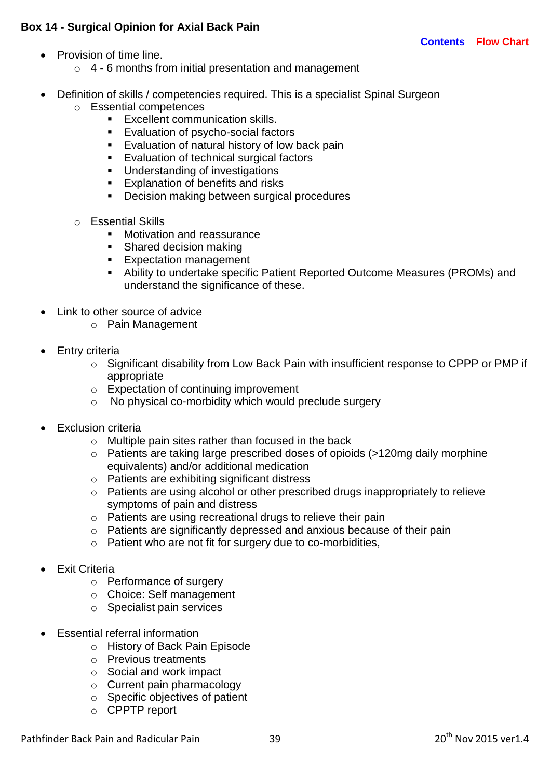# **Box 14 - Surgical Opinion for Axial Back Pain**

- Provision of time line.
	- $\circ$  4 6 months from initial presentation and management
- Definition of skills / competencies required. This is a specialist Spinal Surgeon
	- o Essential competences
		- **Excellent communication skills.**
		- **Evaluation of psycho-social factors**
		- **Evaluation of natural history of low back pain**
		- **Evaluation of technical surgical factors**
		- **Understanding of investigations**
		- **Explanation of benefits and risks**
		- **Decision making between surgical procedures**
	- o Essential Skills
		- **Motivation and reassurance**
		- Shared decision making
		- **Expectation management**
		- Ability to undertake specific Patient Reported Outcome Measures (PROMs) and understand the significance of these.
- Link to other source of advice
	- o Pain Management
- Entry criteria
	- o Significant disability from Low Back Pain with insufficient response to CPPP or PMP if appropriate
	- o Expectation of continuing improvement
	- o No physical co-morbidity which would preclude surgery
- Exclusion criteria
	- o Multiple pain sites rather than focused in the back
	- o Patients are taking large prescribed doses of opioids (>120mg daily morphine equivalents) and/or additional medication
	- o Patients are exhibiting significant distress
	- o Patients are using alcohol or other prescribed drugs inappropriately to relieve symptoms of pain and distress
	- o Patients are using recreational drugs to relieve their pain
	- o Patients are significantly depressed and anxious because of their pain
	- o Patient who are not fit for surgery due to co-morbidities,
- Exit Criteria
	- o Performance of surgery
	- o Choice: Self management
	- o Specialist pain services
- Essential referral information
	- o History of Back Pain Episode
	- o Previous treatments
	- o Social and work impact
	- o Current pain pharmacology
	- o Specific objectives of patient
	- o CPPTP report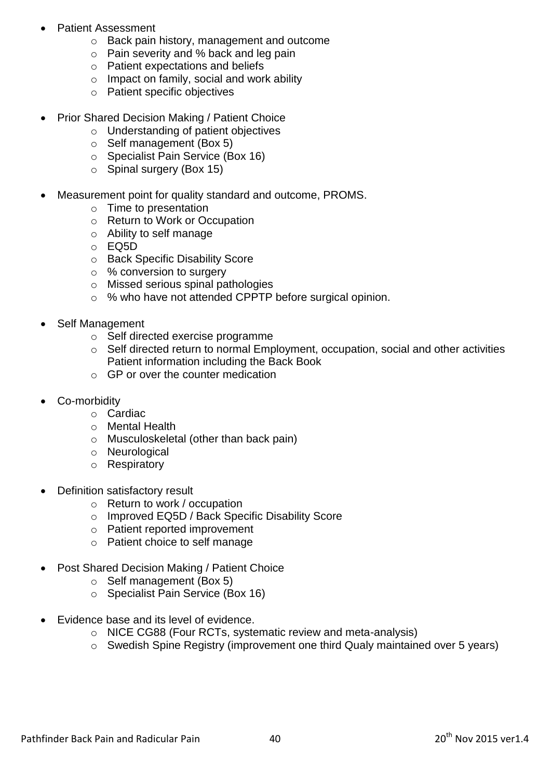- Patient Assessment
	- o Back pain history, management and outcome
	- o Pain severity and % back and leg pain
	- o Patient expectations and beliefs
	- o Impact on family, social and work ability
	- o Patient specific objectives
- Prior Shared Decision Making / Patient Choice
	- o Understanding of patient objectives
	- o Self management (Box 5)
	- o Specialist Pain Service (Box 16)
	- $\circ$  Spinal surgery (Box 15)
- Measurement point for quality standard and outcome, PROMS.
	- o Time to presentation
	- o Return to Work or Occupation
	- o Ability to self manage
	- o EQ5D
	- o Back Specific Disability Score
	- o % conversion to surgery
	- o Missed serious spinal pathologies
	- o % who have not attended CPPTP before surgical opinion.
- Self Management
	- o Self directed exercise programme
	- o Self directed return to normal Employment, occupation, social and other activities Patient information including the Back Book
	- $\circ$  GP or over the counter medication
- Co-morbidity
	- o Cardiac
	- o Mental Health
	- o Musculoskeletal (other than back pain)
	- o Neurological
	- o Respiratory
- Definition satisfactory result
	- o Return to work / occupation
	- o Improved EQ5D / Back Specific Disability Score
	- o Patient reported improvement
	- o Patient choice to self manage
- Post Shared Decision Making / Patient Choice
	- o Self management (Box 5)
	- o Specialist Pain Service (Box 16)
- Evidence base and its level of evidence.
	- o NICE CG88 (Four RCTs, systematic review and meta-analysis)
	- o Swedish Spine Registry (improvement one third Qualy maintained over 5 years)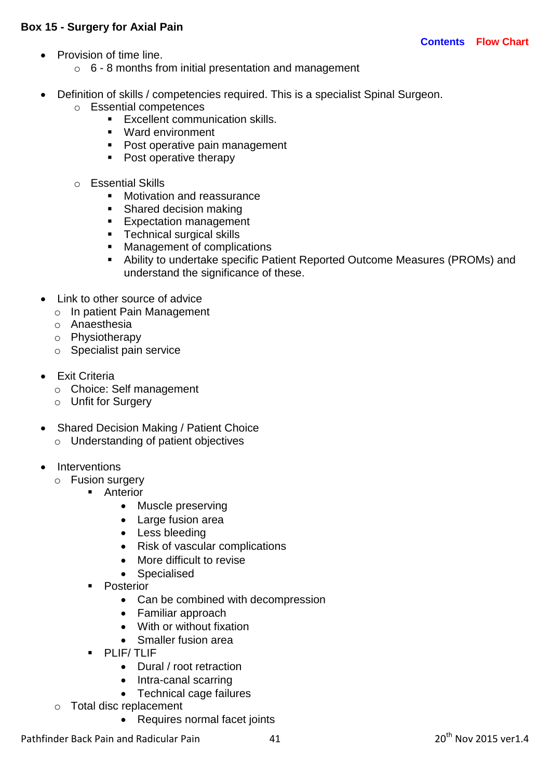### **Box 15 - Surgery for Axial Pain**

- Provision of time line.
	- $\circ$  6 8 months from initial presentation and management
- Definition of skills / competencies required. This is a specialist Spinal Surgeon.
	- o Essential competences
		- **Excellent communication skills.**
		- Ward environment
		- Post operative pain management
		- Post operative therapy
		- o Essential Skills
			- **Motivation and reassurance**
			- Shared decision making
			- **Expectation management**
			- **Technical surgical skills**
			- **Management of complications**
			- Ability to undertake specific Patient Reported Outcome Measures (PROMs) and understand the significance of these.
- Link to other source of advice
	- o In patient Pain Management
	- o Anaesthesia
	- o Physiotherapy
	- o Specialist pain service
- Exit Criteria
	- o Choice: Self management
	- o Unfit for Surgery
- Shared Decision Making / Patient Choice
	- o Understanding of patient objectives
- Interventions
	- o Fusion surgery
		- **Anterior** 
			- Muscle preserving
			- Large fusion area
			- Less bleeding
			- Risk of vascular complications
			- More difficult to revise
			- Specialised
		- Posterior
			- Can be combined with decompression
			- Familiar approach
			- With or without fixation
			- Smaller fusion area
		- **PLIF/ TLIF** 
			- Dural / root retraction
			- Intra-canal scarring
			- Technical cage failures
	- o Total disc replacement
		- Requires normal facet joints

Pathfinder Back Pain and Radicular Pain 41 41 20<sup>th</sup> Nov 2015 ver1.4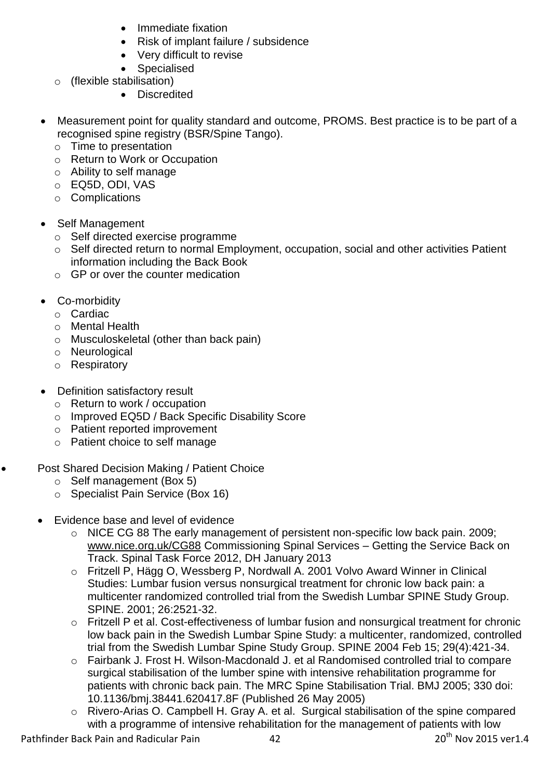- Immediate fixation
- Risk of implant failure / subsidence
- Very difficult to revise
- Specialised
- o (flexible stabilisation)
	- Discredited
- Measurement point for quality standard and outcome, PROMS. Best practice is to be part of a recognised spine registry (BSR/Spine Tango).
	- o Time to presentation
	- o Return to Work or Occupation
	- o Ability to self manage
	- o EQ5D, ODI, VAS
	- o Complications
- Self Management
	- o Self directed exercise programme
	- o Self directed return to normal Employment, occupation, social and other activities Patient information including the Back Book
	- o GP or over the counter medication
- Co-morbidity
	- o Cardiac
	- o Mental Health
	- o Musculoskeletal (other than back pain)
	- o Neurological
	- o Respiratory
- Definition satisfactory result
	- o Return to work / occupation
	- o Improved EQ5D / Back Specific Disability Score
	- o Patient reported improvement
	- o Patient choice to self manage

# • Post Shared Decision Making / Patient Choice

- o Self management (Box 5)
- o Specialist Pain Service (Box 16)
- Evidence base and level of evidence
	- o NICE CG 88 The early management of persistent non-specific low back pain. 2009; [www.nice.org.uk/CG88](http://www.nice.org.uk/CG88) Commissioning Spinal Services – Getting the Service Back on Track. Spinal Task Force 2012, DH January 2013
	- o Fritzell P, Hägg O, Wessberg P, Nordwall A. 2001 Volvo Award Winner in Clinical Studies: Lumbar fusion versus nonsurgical treatment for chronic low back pain: a multicenter randomized controlled trial from the Swedish Lumbar SPINE Study Group. SPINE. 2001; 26:2521-32.
	- o [Fritzell P](http://www.ncbi.nlm.nih.gov/pubmed?term=Fritzell%20P%5BAuthor%5D&cauthor=true&cauthor_uid=15094539) et al. Cost-effectiveness of lumbar fusion and nonsurgical treatment for chronic low back pain in the Swedish Lumbar Spine Study: a multicenter, randomized, controlled trial from the Swedish Lumbar Spine Study Group. SPINE 2004 Feb 15; 29(4):421-34.
	- o Fairbank J. Frost H. Wilson-Macdonald J. et al Randomised controlled trial to compare surgical stabilisation of the lumber spine with intensive rehabilitation programme for patients with chronic back pain. The MRC Spine Stabilisation Trial. BMJ 2005; 330 doi: 10.1136/bmj.38441.620417.8F (Published 26 May 2005)
	- o Rivero-Arias O. Campbell H. Gray A. et al. Surgical stabilisation of the spine compared with a programme of intensive rehabilitation for the management of patients with low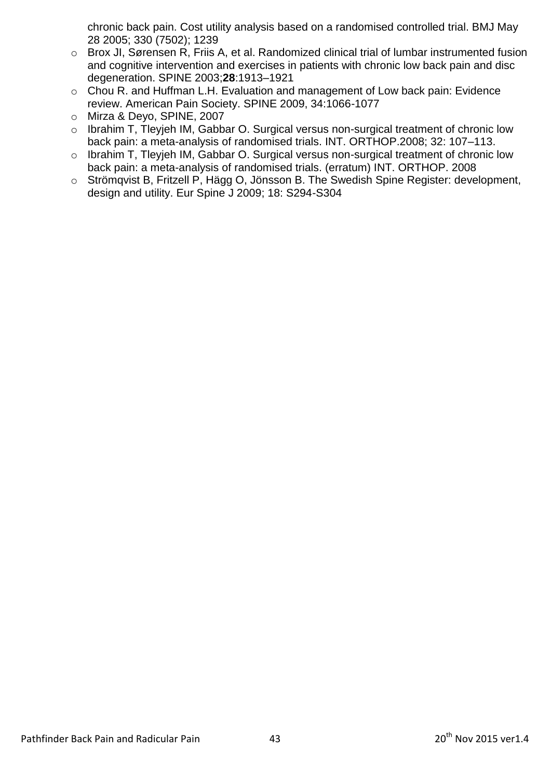chronic back pain. Cost utility analysis based on a randomised controlled trial. BMJ May 28 2005; 330 (7502); 1239

- o Brox JI, Sørensen R, Friis A, et al. Randomized clinical trial of lumbar instrumented fusion and cognitive intervention and exercises in patients with chronic low back pain and disc degeneration. SPINE 2003;**28**:1913–1921
- o Chou R. and Huffman L.H. Evaluation and management of Low back pain: Evidence review. American Pain Society. SPINE 2009, 34:1066-1077
- o Mirza & Deyo, SPINE, 2007
- o Ibrahim T, Tleyjeh IM, Gabbar O. Surgical versus non-surgical treatment of chronic low back pain: a meta-analysis of randomised trials. INT. ORTHOP.2008; 32: 107–113.
- o Ibrahim T, Tleyjeh IM, Gabbar O. Surgical versus non-surgical treatment of chronic low back pain: a meta-analysis of randomised trials. (erratum) INT. ORTHOP. 2008
- o Strömqvist B, Fritzell P, Hägg O, Jönsson B. The Swedish Spine Register: development, design and utility. Eur Spine J 2009; 18: S294-S304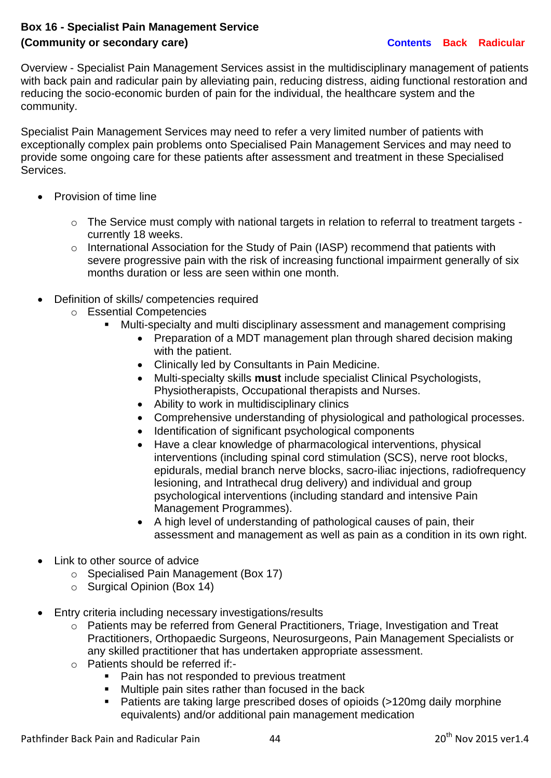# **Box 16 - Specialist Pain Management Service (Community or secondary care) [Contents](#page-3-0) [Back](#page-4-0) [Radicular](#page-5-0)**

Overview - Specialist Pain Management Services assist in the multidisciplinary management of patients with back pain and radicular pain by alleviating pain, reducing distress, aiding functional restoration and reducing the socio-economic burden of pain for the individual, the healthcare system and the community.

Specialist Pain Management Services may need to refer a very limited number of patients with exceptionally complex pain problems onto Specialised Pain Management Services and may need to provide some ongoing care for these patients after assessment and treatment in these Specialised Services.

- Provision of time line
	- o The Service must comply with national targets in relation to referral to treatment targets currently 18 weeks.
	- o International Association for the Study of Pain (IASP) recommend that patients with severe progressive pain with the risk of increasing functional impairment generally of six months duration or less are seen within one month.
- Definition of skills/ competencies required
	- o Essential Competencies
		- Multi-specialty and multi disciplinary assessment and management comprising
			- Preparation of a MDT management plan through shared decision making with the patient.
			- Clinically led by Consultants in Pain Medicine.
			- Multi-specialty skills **must** include specialist Clinical Psychologists, Physiotherapists, Occupational therapists and Nurses.
			- Ability to work in multidisciplinary clinics
			- Comprehensive understanding of physiological and pathological processes.
			- Identification of significant psychological components
			- Have a clear knowledge of pharmacological interventions, physical interventions (including spinal cord stimulation (SCS), nerve root blocks, epidurals, medial branch nerve blocks, sacro-iliac injections, radiofrequency lesioning, and Intrathecal drug delivery) and individual and group psychological interventions (including standard and intensive Pain Management Programmes).
			- A high level of understanding of pathological causes of pain, their assessment and management as well as pain as a condition in its own right.
- Link to other source of advice
	- o Specialised Pain Management (Box 17)
	- o Surgical Opinion (Box 14)
- Entry criteria including necessary investigations/results
	- o Patients may be referred from General Practitioners, Triage, Investigation and Treat Practitioners, Orthopaedic Surgeons, Neurosurgeons, Pain Management Specialists or any skilled practitioner that has undertaken appropriate assessment.
	- o Patients should be referred if:-
		- Pain has not responded to previous treatment
		- **Multiple pain sites rather than focused in the back**
		- Patients are taking large prescribed doses of opioids (>120mg daily morphine equivalents) and/or additional pain management medication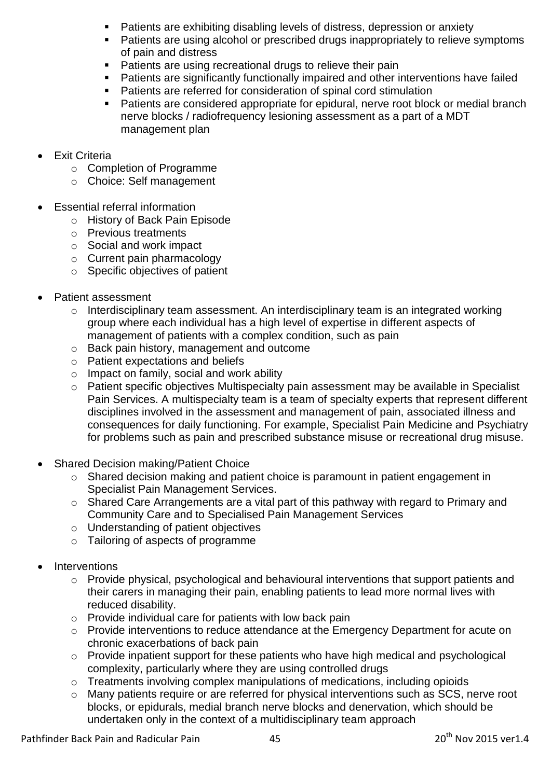- Patients are exhibiting disabling levels of distress, depression or anxiety
- **Patients are using alcohol or prescribed drugs inappropriately to relieve symptoms** of pain and distress
- **Patients are using recreational drugs to relieve their pain**
- **Patients are significantly functionally impaired and other interventions have failed**
- Patients are referred for consideration of spinal cord stimulation
- **Patients are considered appropriate for epidural, nerve root block or medial branch** nerve blocks / radiofrequency lesioning assessment as a part of a MDT management plan
- Exit Criteria
	- o Completion of Programme
	- o Choice: Self management
- Essential referral information
	- o History of Back Pain Episode
	- o Previous treatments
	- o Social and work impact
	- o Current pain pharmacology
	- o Specific objectives of patient
- Patient assessment
	- o Interdisciplinary team assessment. An interdisciplinary team is an integrated working group where each individual has a high level of expertise in different aspects of management of patients with a complex condition, such as pain
	- o Back pain history, management and outcome
	- o Patient expectations and beliefs
	- o Impact on family, social and work ability
	- o Patient specific objectives Multispecialty pain assessment may be available in Specialist Pain Services. A multispecialty team is a team of specialty experts that represent different disciplines involved in the assessment and management of pain, associated illness and consequences for daily functioning. For example, Specialist Pain Medicine and Psychiatry for problems such as pain and prescribed substance misuse or recreational drug misuse.
- Shared Decision making/Patient Choice
	- o Shared decision making and patient choice is paramount in patient engagement in Specialist Pain Management Services.
	- o Shared Care Arrangements are a vital part of this pathway with regard to Primary and Community Care and to Specialised Pain Management Services
	- o Understanding of patient objectives
	- o Tailoring of aspects of programme
- **Interventions** 
	- o Provide physical, psychological and behavioural interventions that support patients and their carers in managing their pain, enabling patients to lead more normal lives with reduced disability.
	- o Provide individual care for patients with low back pain
	- o Provide interventions to reduce attendance at the Emergency Department for acute on chronic exacerbations of back pain
	- o Provide inpatient support for these patients who have high medical and psychological complexity, particularly where they are using controlled drugs
	- $\circ$  Treatments involving complex manipulations of medications, including opioids
	- o Many patients require or are referred for physical interventions such as SCS, nerve root blocks, or epidurals, medial branch nerve blocks and denervation, which should be undertaken only in the context of a multidisciplinary team approach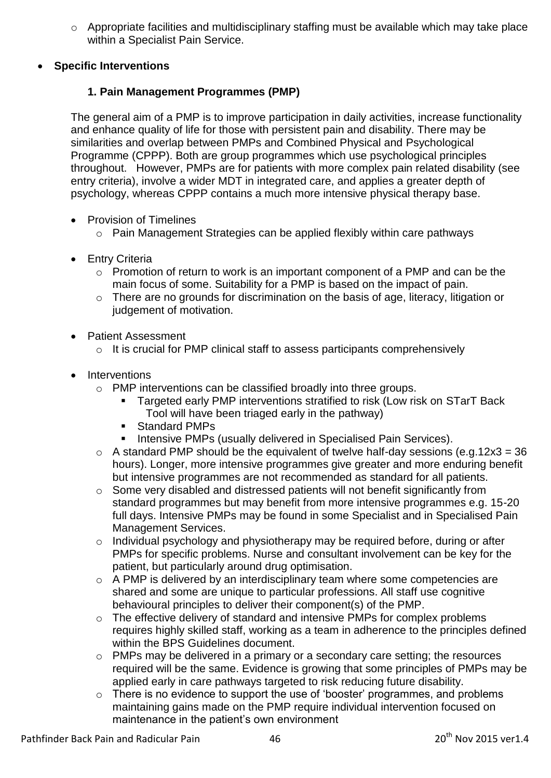- o Appropriate facilities and multidisciplinary staffing must be available which may take place within a Specialist Pain Service.
- **Specific Interventions**

# **1. Pain Management Programmes (PMP)**

The general aim of a PMP is to improve participation in daily activities, increase functionality and enhance quality of life for those with persistent pain and disability. There may be similarities and overlap between PMPs and Combined Physical and Psychological Programme (CPPP). Both are group programmes which use psychological principles throughout. However, PMPs are for patients with more complex pain related disability (see entry criteria), involve a wider MDT in integrated care, and applies a greater depth of psychology, whereas CPPP contains a much more intensive physical therapy base.

- Provision of Timelines
	- o Pain Management Strategies can be applied flexibly within care pathways
- **•** Entry Criteria
	- $\circ$  Promotion of return to work is an important component of a PMP and can be the main focus of some. Suitability for a PMP is based on the impact of pain.
	- o There are no grounds for discrimination on the basis of age, literacy, litigation or judgement of motivation.
- Patient Assessment
	- o It is crucial for PMP clinical staff to assess participants comprehensively
- Interventions
	- o PMP interventions can be classified broadly into three groups.
		- **Targeted early PMP interventions stratified to risk (Low risk on STarT Back)** Tool will have been triaged early in the pathway)
		- Standard PMPs
		- Intensive PMPs (usually delivered in Specialised Pain Services).
	- $\circ$  A standard PMP should be the equivalent of twelve half-day sessions (e.g.12x3 = 36 hours). Longer, more intensive programmes give greater and more enduring benefit but intensive programmes are not recommended as standard for all patients.
	- o Some very disabled and distressed patients will not benefit significantly from standard programmes but may benefit from more intensive programmes e.g. 15-20 full days. Intensive PMPs may be found in some Specialist and in Specialised Pain Management Services.
	- o Individual psychology and physiotherapy may be required before, during or after PMPs for specific problems. Nurse and consultant involvement can be key for the patient, but particularly around drug optimisation.
	- o A PMP is delivered by an interdisciplinary team where some competencies are shared and some are unique to particular professions. All staff use cognitive behavioural principles to deliver their component(s) of the PMP.
	- o The effective delivery of standard and intensive PMPs for complex problems requires highly skilled staff, working as a team in adherence to the principles defined within the BPS Guidelines document.
	- o PMPs may be delivered in a primary or a secondary care setting; the resources required will be the same. Evidence is growing that some principles of PMPs may be applied early in care pathways targeted to risk reducing future disability.
	- o There is no evidence to support the use of 'booster' programmes, and problems maintaining gains made on the PMP require individual intervention focused on maintenance in the patient's own environment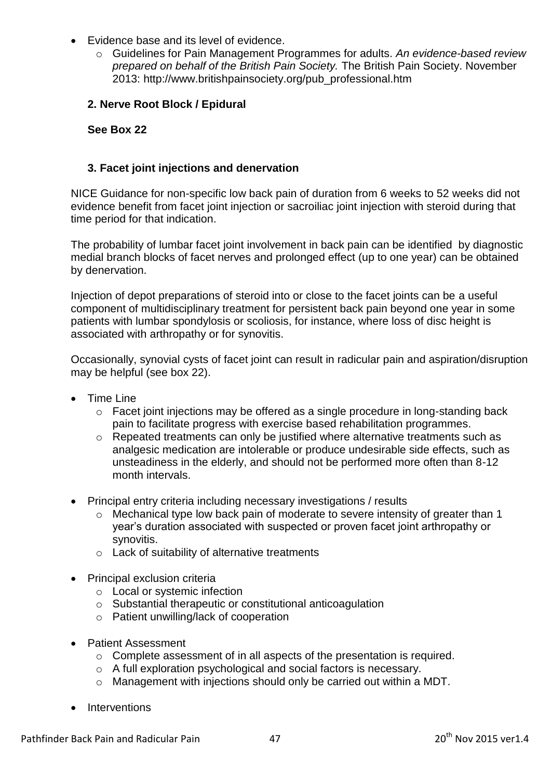- Evidence base and its level of evidence.
	- o Guidelines for Pain Management Programmes for adults. *An evidence-based review prepared on behalf of the British Pain Society.* The British Pain Society. November 2013: [http://www.britishpainsociety.org/pub\\_professional.htm](http://www.britishpainsociety.org/pub_professional.htm)

# **2. Nerve Root Block / Epidural**

**See Box 22**

## **3. Facet joint injections and denervation**

NICE Guidance for non-specific low back pain of duration from 6 weeks to 52 weeks did not evidence benefit from facet joint injection or sacroiliac joint injection with steroid during that time period for that indication.

The probability of lumbar facet joint involvement in back pain can be identified by diagnostic medial branch blocks of facet nerves and prolonged effect (up to one year) can be obtained by denervation.

Injection of depot preparations of steroid into or close to the facet joints can be a useful component of multidisciplinary treatment for persistent back pain beyond one year in some patients with lumbar spondylosis or scoliosis, for instance, where loss of disc height is associated with arthropathy or for synovitis.

Occasionally, synovial cysts of facet joint can result in radicular pain and aspiration/disruption may be helpful (see box 22).

- Time Line
	- o Facet joint injections may be offered as a single procedure in long-standing back pain to facilitate progress with exercise based rehabilitation programmes.
	- o Repeated treatments can only be justified where alternative treatments such as analgesic medication are intolerable or produce undesirable side effects, such as unsteadiness in the elderly, and should not be performed more often than 8-12 month intervals.
- Principal entry criteria including necessary investigations / results
	- o Mechanical type low back pain of moderate to severe intensity of greater than 1 year's duration associated with suspected or proven facet joint arthropathy or synovitis.
	- o Lack of suitability of alternative treatments
- Principal exclusion criteria
	- o Local or systemic infection
	- o Substantial therapeutic or constitutional anticoagulation
	- o Patient unwilling/lack of cooperation
- Patient Assessment
	- o Complete assessment of in all aspects of the presentation is required.
	- o A full exploration psychological and social factors is necessary.
	- o Management with injections should only be carried out within a MDT.
- Interventions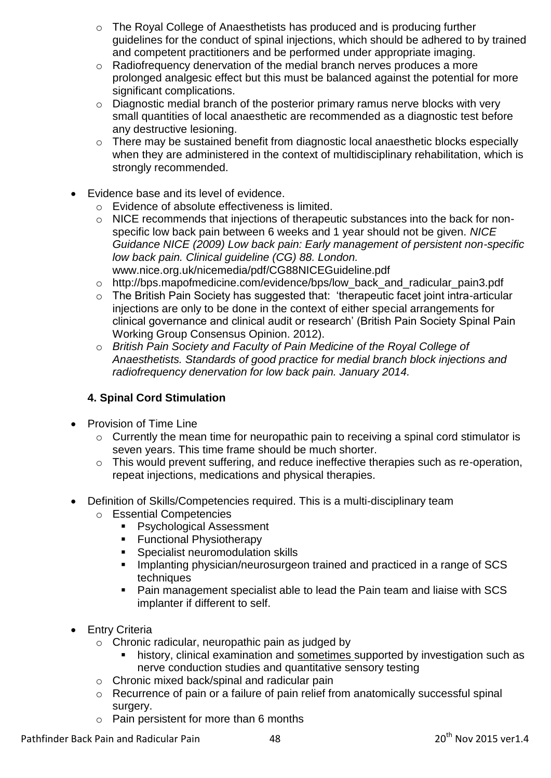- o The Royal College of Anaesthetists has produced and is producing further guidelines for the conduct of spinal injections, which should be adhered to by trained and competent practitioners and be performed under appropriate imaging.
- o Radiofrequency denervation of the medial branch nerves produces a more prolonged analgesic effect but this must be balanced against the potential for more significant complications.
- o Diagnostic medial branch of the posterior primary ramus nerve blocks with very small quantities of local anaesthetic are recommended as a diagnostic test before any destructive lesioning.
- o There may be sustained benefit from diagnostic local anaesthetic blocks especially when they are administered in the context of multidisciplinary rehabilitation, which is strongly recommended.
- Evidence base and its level of evidence.
	- o Evidence of absolute effectiveness is limited.
	- o NICE recommends that injections of therapeutic substances into the back for nonspecific low back pain between 6 weeks and 1 year should not be given. *NICE Guidance NICE (2009) Low back pain: Early management of persistent non-specific low back pain. Clinical guideline (CG) 88. London.*  [www.nice.org.uk/nicemedia/pdf/CG88NICEGuideline.pdf](file:///C:/Documents%20and%20Settings/AppData/Local/Microsoft/Windows/Users/beverlycollett/AppData/Local/Library/Containers/com.apple.mail/AppData/Local/Library/Containers/com.apple.mail/Downloads/www.nice.org.uk/nicemedia/pdf/CG88NICEGuideline.pdf)
	- o [http://bps.mapofmedicine.com/evidence/bps/low\\_back\\_and\\_radicular\\_pain3.pdf](http://bps.mapofmedicine.com/evidence/bps/low_back_and_radicular_pain3.pdf)
	- o The British Pain Society has suggested that: 'therapeutic facet joint intra-articular injections are only to be done in the context of either special arrangements for clinical governance and clinical audit or research' (British Pain Society Spinal Pain Working Group Consensus Opinion. 2012).
	- o *British Pain Society and Faculty of Pain Medicine of the Royal College of Anaesthetists. Standards of good practice for medial branch block injections and radiofrequency denervation for low back pain. January 2014.*

# **4. Spinal Cord Stimulation**

- Provision of Time Line
	- o Currently the mean time for neuropathic pain to receiving a spinal cord stimulator is seven years. This time frame should be much shorter.
	- o This would prevent suffering, and reduce ineffective therapies such as re-operation, repeat injections, medications and physical therapies.
- Definition of Skills/Competencies required. This is a multi-disciplinary team
	- o Essential Competencies
		- **Psychological Assessment**
		- **Functional Physiotherapy**
		- **Specialist neuromodulation skills**
		- **Implanting physician/neurosurgeon trained and practiced in a range of SCS** techniques
		- Pain management specialist able to lead the Pain team and liaise with SCS implanter if different to self.
- Entry Criteria
	- $\circ$  Chronic radicular, neuropathic pain as judged by
		- history, clinical examination and sometimes supported by investigation such as nerve conduction studies and quantitative sensory testing
	- o Chronic mixed back/spinal and radicular pain
	- o Recurrence of pain or a failure of pain relief from anatomically successful spinal surgery.
	- o Pain persistent for more than 6 months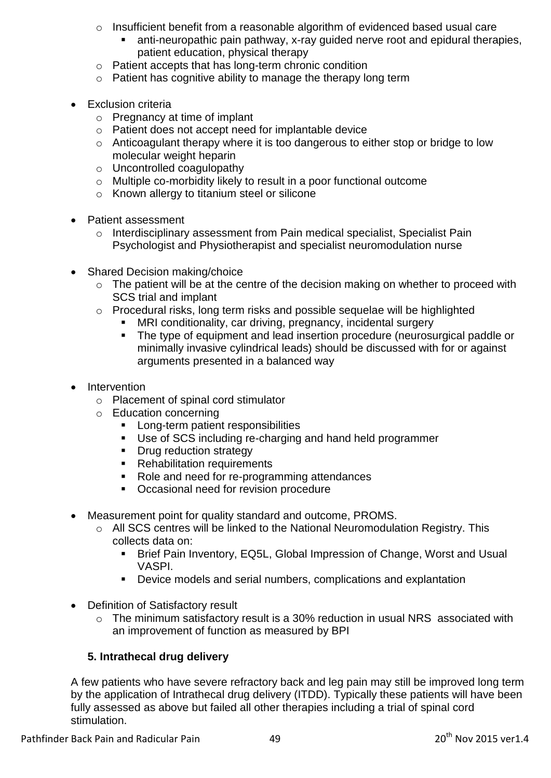- o Insufficient benefit from a reasonable algorithm of evidenced based usual care
	- anti-neuropathic pain pathway, x-ray guided nerve root and epidural therapies, patient education, physical therapy
- o Patient accepts that has long-term chronic condition
- o Patient has cognitive ability to manage the therapy long term
- Exclusion criteria
	- o Pregnancy at time of implant
	- o Patient does not accept need for implantable device
	- o Anticoagulant therapy where it is too dangerous to either stop or bridge to low molecular weight heparin
	- o Uncontrolled coagulopathy
	- o Multiple co-morbidity likely to result in a poor functional outcome
	- o Known allergy to titanium steel or silicone
- Patient assessment
	- o Interdisciplinary assessment from Pain medical specialist, Specialist Pain Psychologist and Physiotherapist and specialist neuromodulation nurse
- Shared Decision making/choice
	- o The patient will be at the centre of the decision making on whether to proceed with SCS trial and implant
	- o Procedural risks, long term risks and possible sequelae will be highlighted
		- MRI conditionality, car driving, pregnancy, incidental surgery
		- The type of equipment and lead insertion procedure (neurosurgical paddle or minimally invasive cylindrical leads) should be discussed with for or against arguments presented in a balanced way
- Intervention
	- o Placement of spinal cord stimulator
	- o Education concerning
		- Long-term patient responsibilities
		- Use of SCS including re-charging and hand held programmer
		- Drug reduction strategy
		- **Rehabilitation requirements**
		- Role and need for re-programming attendances
		- **Occasional need for revision procedure**
- Measurement point for quality standard and outcome, PROMS.
	- o All SCS centres will be linked to the National Neuromodulation Registry. This collects data on:
		- Brief Pain Inventory, EQ5L, Global Impression of Change, Worst and Usual VASPI.
		- Device models and serial numbers, complications and explantation
- Definition of Satisfactory result
	- o The minimum satisfactory result is a 30% reduction in usual NRS associated with an improvement of function as measured by BPI

# **5. Intrathecal drug delivery**

A few patients who have severe refractory back and leg pain may still be improved long term by the application of Intrathecal drug delivery (ITDD). Typically these patients will have been fully assessed as above but failed all other therapies including a trial of spinal cord stimulation.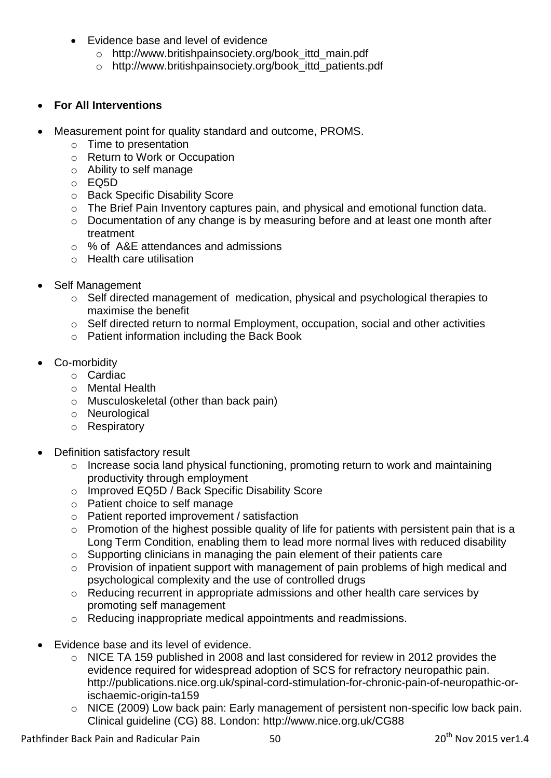- Evidence base and level of evidence
	- o [http://www.britishpainsociety.org/book\\_ittd\\_main.pdf](http://www.britishpainsociety.org/book_ittd_main.pdf)
	- o [http://www.britishpainsociety.org/book\\_ittd\\_patients.pdf](http://www.britishpainsociety.org/book_ittd_patients.pdf)

## **For All Interventions**

- Measurement point for quality standard and outcome, PROMS.
	- o Time to presentation
	- o Return to Work or Occupation
	- o Ability to self manage
	- o EQ5D
	- o Back Specific Disability Score
	- o The Brief Pain Inventory captures pain, and physical and emotional function data.
	- o Documentation of any change is by measuring before and at least one month after treatment
	- o % of A&E attendances and admissions
	- o Health care utilisation
- Self Management
	- o Self directed management of medication, physical and psychological therapies to maximise the benefit
	- o Self directed return to normal Employment, occupation, social and other activities
	- o Patient information including the Back Book
- Co-morbidity
	- o Cardiac
	- o Mental Health
	- o Musculoskeletal (other than back pain)
	- o Neurological
	- o Respiratory
- Definition satisfactory result
	- o Increase socia land physical functioning, promoting return to work and maintaining productivity through employment
	- o Improved EQ5D / Back Specific Disability Score
	- o Patient choice to self manage
	- o Patient reported improvement / satisfaction
	- o Promotion of the highest possible quality of life for patients with persistent pain that is a Long Term Condition, enabling them to lead more normal lives with reduced disability
	- o Supporting clinicians in managing the pain element of their patients care
	- o Provision of inpatient support with management of pain problems of high medical and psychological complexity and the use of controlled drugs
	- o Reducing recurrent in appropriate admissions and other health care services by promoting self management
	- o Reducing inappropriate medical appointments and readmissions.
- Evidence base and its level of evidence.
	- o NICE TA 159 published in 2008 and last considered for review in 2012 provides the evidence required for widespread adoption of SCS for refractory neuropathic pain. [http://publications.nice.org.uk/spinal-cord-stimulation-for-chronic-pain-of-neuropathic-or](http://publications.nice.org.uk/spinal-cord-stimulation-for-chronic-pain-of-neuropathic-or-ischaemic-origin-ta159)[ischaemic-origin-ta159](http://publications.nice.org.uk/spinal-cord-stimulation-for-chronic-pain-of-neuropathic-or-ischaemic-origin-ta159)
	- o NICE (2009) Low back pain: Early management of persistent non-specific low back pain. Clinical guideline (CG) 88. London:<http://www.nice.org.uk/CG88>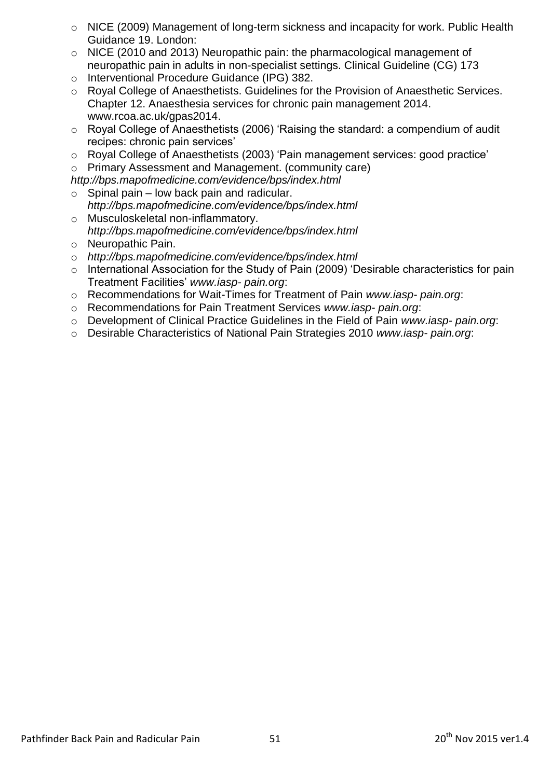- o NICE (2009) Management of long-term sickness and incapacity for work. Public Health Guidance 19. London:
- o NICE (2010 and 2013) Neuropathic pain: the pharmacological management of neuropathic pain in adults in non-specialist settings. Clinical Guideline (CG) 173
- o Interventional Procedure Guidance (IPG) 382.
- o Royal College of Anaesthetists. Guidelines for the Provision of Anaesthetic Services. Chapter 12. Anaesthesia services for chronic pain management 2014. [www.rcoa.ac.uk/gpas2014.](http://www.rcoa.ac.uk/gpas2014)
- o Royal College of Anaesthetists (2006) 'Raising the standard: a compendium of audit recipes: chronic pain services'
- o Royal College of Anaesthetists (2003) 'Pain management services: good practice'
- o Primary Assessment and Management. (community care)

*<http://bps.mapofmedicine.com/evidence/bps/index.html>*

- $\circ$  Spinal pain low back pain and radicular. *<http://bps.mapofmedicine.com/evidence/bps/index.html>*
- o Musculoskeletal non-inflammatory. *<http://bps.mapofmedicine.com/evidence/bps/index.html>*
- o Neuropathic Pain.
- o *<http://bps.mapofmedicine.com/evidence/bps/index.html>*
- o International Association for the Study of Pain (2009) 'Desirable characteristics for pain Treatment Facilities' *www.iasp- pain.org*:
- o Recommendations for Wait-Times for Treatment of Pain *www.iasp- pain.org*:
- o Recommendations for Pain Treatment Services *www.iasp- pain.org*:
- o Development of Clinical Practice Guidelines in the Field of Pain *www.iasp- pain.org*:
- o Desirable Characteristics of National Pain Strategies 2010 *www.iasp- pain.org*: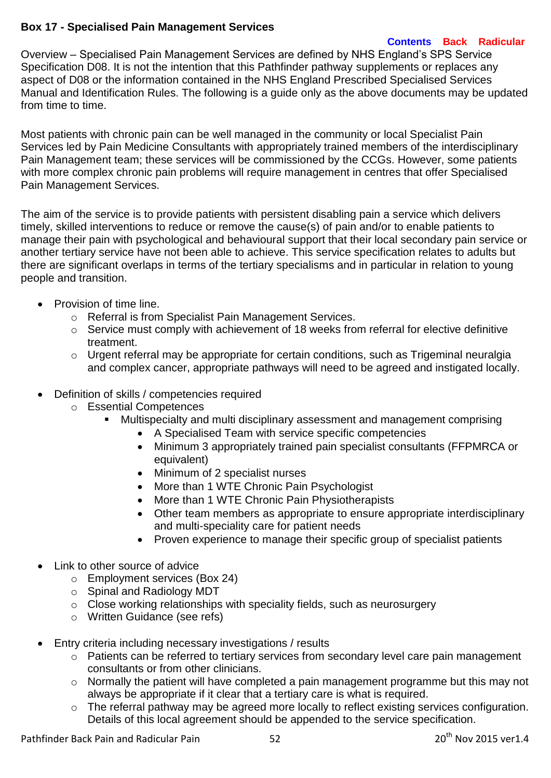# **Box 17 - Specialised Pain Management Services**

### **[Contents](#page-3-0) [Back](#page-4-0) [Radicular](#page-5-0)**

Overview – Specialised Pain Management Services are defined by NHS England's SPS Service Specification D08. It is not the intention that this Pathfinder pathway supplements or replaces any aspect of D08 or the information contained in the NHS England Prescribed Specialised Services Manual and Identification Rules. The following is a guide only as the above documents may be updated from time to time.

Most patients with chronic pain can be well managed in the community or local Specialist Pain Services led by Pain Medicine Consultants with appropriately trained members of the interdisciplinary Pain Management team; these services will be commissioned by the CCGs. However, some patients with more complex chronic pain problems will require management in centres that offer Specialised Pain Management Services.

The aim of the service is to provide patients with persistent disabling pain a service which delivers timely, skilled interventions to reduce or remove the cause(s) of pain and/or to enable patients to manage their pain with psychological and behavioural support that their local secondary pain service or another tertiary service have not been able to achieve. This service specification relates to adults but there are significant overlaps in terms of the tertiary specialisms and in particular in relation to young people and transition.

- Provision of time line.
	- o Referral is from Specialist Pain Management Services.
	- o Service must comply with achievement of 18 weeks from referral for elective definitive treatment.
	- $\circ$  Urgent referral may be appropriate for certain conditions, such as Trigeminal neuralgia and complex cancer, appropriate pathways will need to be agreed and instigated locally.
- Definition of skills / competencies required
	- o Essential Competences
		- Multispecialty and multi disciplinary assessment and management comprising
			- A Specialised Team with service specific competencies
			- Minimum 3 appropriately trained pain specialist consultants (FFPMRCA or equivalent)
			- Minimum of 2 specialist nurses
			- More than 1 WTE Chronic Pain Psychologist
			- More than 1 WTE Chronic Pain Physiotherapists
			- Other team members as appropriate to ensure appropriate interdisciplinary and multi-speciality care for patient needs
			- Proven experience to manage their specific group of specialist patients
- Link to other source of advice
	- o Employment services (Box 24)
	- o Spinal and Radiology MDT
	- $\circ$  Close working relationships with speciality fields, such as neurosurgery
	- o Written Guidance (see refs)
- Entry criteria including necessary investigations / results
	- o Patients can be referred to tertiary services from secondary level care pain management consultants or from other clinicians.
	- o Normally the patient will have completed a pain management programme but this may not always be appropriate if it clear that a tertiary care is what is required.
	- o The referral pathway may be agreed more locally to reflect existing services configuration. Details of this local agreement should be appended to the service specification.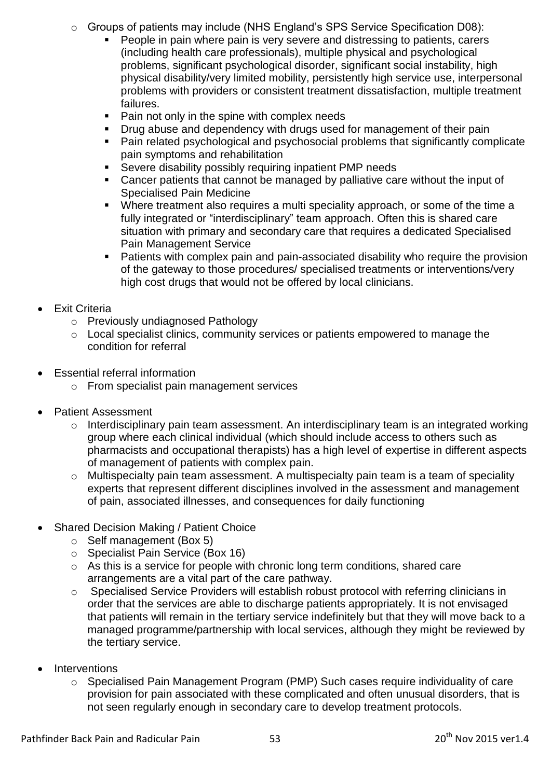- o Groups of patients may include (NHS England's SPS Service Specification D08):
	- People in pain where pain is very severe and distressing to patients, carers (including health care professionals), multiple physical and psychological problems, significant psychological disorder, significant social instability, high physical disability/very limited mobility, persistently high service use, interpersonal problems with providers or consistent treatment dissatisfaction, multiple treatment failures.
	- Pain not only in the spine with complex needs
	- Drug abuse and dependency with drugs used for management of their pain
	- Pain related psychological and psychosocial problems that significantly complicate pain symptoms and rehabilitation
	- Severe disability possibly requiring inpatient PMP needs
	- Cancer patients that cannot be managed by palliative care without the input of Specialised Pain Medicine
	- Where treatment also requires a multi speciality approach, or some of the time a fully integrated or "interdisciplinary" team approach. Often this is shared care situation with primary and secondary care that requires a dedicated Specialised Pain Management Service
	- Patients with complex pain and pain-associated disability who require the provision of the gateway to those procedures/ specialised treatments or interventions/very high cost drugs that would not be offered by local clinicians.
- Exit Criteria
	- o Previously undiagnosed Pathology
	- o Local specialist clinics, community services or patients empowered to manage the condition for referral
- Essential referral information
	- o From specialist pain management services
- Patient Assessment
	- o Interdisciplinary pain team assessment. An interdisciplinary team is an integrated working group where each clinical individual (which should include access to others such as pharmacists and occupational therapists) has a high level of expertise in different aspects of management of patients with complex pain.
	- o Multispecialty pain team assessment. A multispecialty pain team is a team of speciality experts that represent different disciplines involved in the assessment and management of pain, associated illnesses, and consequences for daily functioning
- Shared Decision Making / Patient Choice
	- o Self management (Box 5)
	- o Specialist Pain Service (Box 16)
	- o As this is a service for people with chronic long term conditions, shared care arrangements are a vital part of the care pathway.
	- o Specialised Service Providers will establish robust protocol with referring clinicians in order that the services are able to discharge patients appropriately. It is not envisaged that patients will remain in the tertiary service indefinitely but that they will move back to a managed programme/partnership with local services, although they might be reviewed by the tertiary service.
- **Interventions** 
	- $\circ$  Specialised Pain Management Program (PMP) Such cases require individuality of care provision for pain associated with these complicated and often unusual disorders, that is not seen regularly enough in secondary care to develop treatment protocols.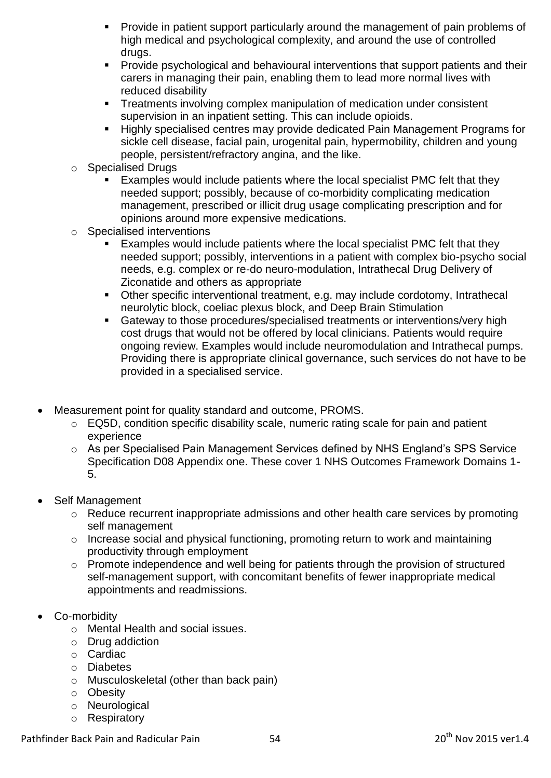- **Provide in patient support particularly around the management of pain problems of** high medical and psychological complexity, and around the use of controlled drugs.
- **Provide psychological and behavioural interventions that support patients and their** carers in managing their pain, enabling them to lead more normal lives with reduced disability
- **Treatments involving complex manipulation of medication under consistent** supervision in an inpatient setting. This can include opioids.
- Highly specialised centres may provide dedicated Pain Management Programs for sickle cell disease, facial pain, urogenital pain, hypermobility, children and young people, persistent/refractory angina, and the like.
- o Specialised Drugs
	- Examples would include patients where the local specialist PMC felt that they needed support; possibly, because of co-morbidity complicating medication management, prescribed or illicit drug usage complicating prescription and for opinions around more expensive medications.
- o Specialised interventions
	- Examples would include patients where the local specialist PMC felt that they needed support; possibly, interventions in a patient with complex bio-psycho social needs, e.g. complex or re-do neuro-modulation, Intrathecal Drug Delivery of Ziconatide and others as appropriate
	- Other specific interventional treatment, e.g. may include cordotomy, Intrathecal neurolytic block, coeliac plexus block, and Deep Brain Stimulation
	- Gateway to those procedures/specialised treatments or interventions/very high cost drugs that would not be offered by local clinicians. Patients would require ongoing review. Examples would include neuromodulation and Intrathecal pumps. Providing there is appropriate clinical governance, such services do not have to be provided in a specialised service.
- Measurement point for quality standard and outcome, PROMS.
	- o EQ5D, condition specific disability scale, numeric rating scale for pain and patient experience
	- o As per Specialised Pain Management Services defined by NHS England's SPS Service Specification D08 Appendix one. These cover 1 NHS Outcomes Framework Domains 1- 5.
- Self Management
	- o Reduce recurrent inappropriate admissions and other health care services by promoting self management
	- o Increase social and physical functioning, promoting return to work and maintaining productivity through employment
	- o Promote independence and well being for patients through the provision of structured self-management support, with concomitant benefits of fewer inappropriate medical appointments and readmissions.
- Co-morbidity
	- o Mental Health and social issues.
	- o Drug addiction
	- o Cardiac
	- o Diabetes
	- o Musculoskeletal (other than back pain)
	- o Obesity
	- o Neurological
	- o Respiratory

Pathfinder Back Pain and Radicular Pain 54 54 20<sup>th</sup> Nov 2015 ver1.4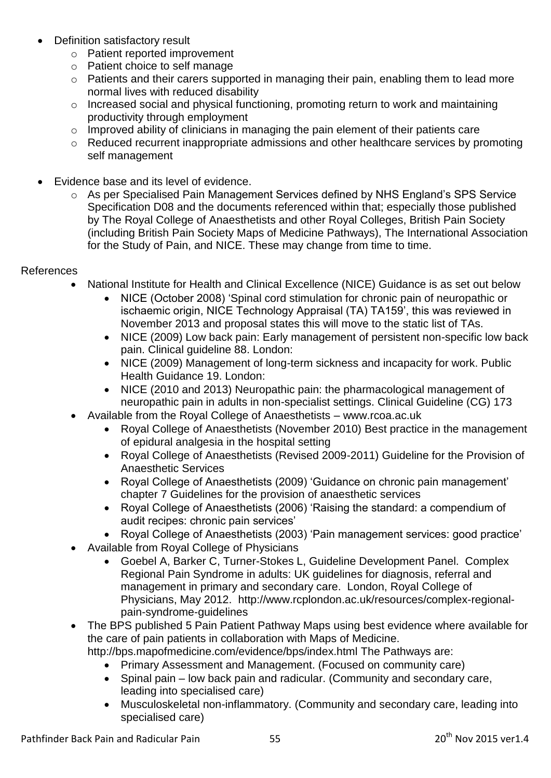- Definition satisfactory result
	- o Patient reported improvement
	- o Patient choice to self manage
	- o Patients and their carers supported in managing their pain, enabling them to lead more normal lives with reduced disability
	- o Increased social and physical functioning, promoting return to work and maintaining productivity through employment
	- o Improved ability of clinicians in managing the pain element of their patients care
	- o Reduced recurrent inappropriate admissions and other healthcare services by promoting self management
- Evidence base and its level of evidence.
	- o As per Specialised Pain Management Services defined by NHS England's SPS Service Specification D08 and the documents referenced within that; especially those published by The Royal College of Anaesthetists and other Royal Colleges, British Pain Society (including British Pain Society Maps of Medicine Pathways), The International Association for the Study of Pain, and NICE. These may change from time to time.

### References

- National Institute for Health and Clinical Excellence (NICE) Guidance is as set out below
	- NICE (October 2008) 'Spinal cord stimulation for chronic pain of neuropathic or ischaemic origin, NICE Technology Appraisal (TA) TA159', this was reviewed in November 2013 and proposal states this will move to the static list of TAs.
	- NICE (2009) Low back pain: Early management of persistent non-specific low back pain. Clinical guideline 88. London:
	- NICE (2009) Management of long-term sickness and incapacity for work. Public Health Guidance 19. London:
	- NICE (2010 and 2013) Neuropathic pain: the pharmacological management of neuropathic pain in adults in non-specialist settings. Clinical Guideline (CG) 173
- Available from the Royal College of Anaesthetists [www.rcoa.ac.uk](http://www.rcoa.ac.uk/)
	- Royal College of Anaesthetists (November 2010) Best practice in the management of epidural analgesia in the hospital setting
	- Royal College of Anaesthetists (Revised 2009-2011) Guideline for the Provision of Anaesthetic Services
	- Royal College of Anaesthetists (2009) 'Guidance on chronic pain management' chapter 7 Guidelines for the provision of anaesthetic services
	- Royal College of Anaesthetists (2006) 'Raising the standard: a compendium of audit recipes: chronic pain services'
	- Royal College of Anaesthetists (2003) 'Pain management services: good practice'
- Available from Royal College of Physicians
	- Goebel A, Barker C, Turner-Stokes L, Guideline Development Panel. Complex Regional Pain Syndrome in adults: UK guidelines for diagnosis, referral and management in primary and secondary care. London, Royal College of Physicians, May 2012. [http://www.rcplondon.ac.uk/resources/complex-regional](http://www.rcplondon.ac.uk/resources/complex-regional-pain-syndrome-guidelines)[pain-syndrome-guidelines](http://www.rcplondon.ac.uk/resources/complex-regional-pain-syndrome-guidelines)
- The BPS published 5 Pain Patient Pathway Maps using best evidence where available for the care of pain patients in collaboration with Maps of Medicine.

<http://bps.mapofmedicine.com/evidence/bps/index.html> The Pathways are:

- Primary Assessment and Management. (Focused on community care)
- Spinal pain low back pain and radicular. (Community and secondary care, leading into specialised care)
- Musculoskeletal non-inflammatory. (Community and secondary care, leading into specialised care)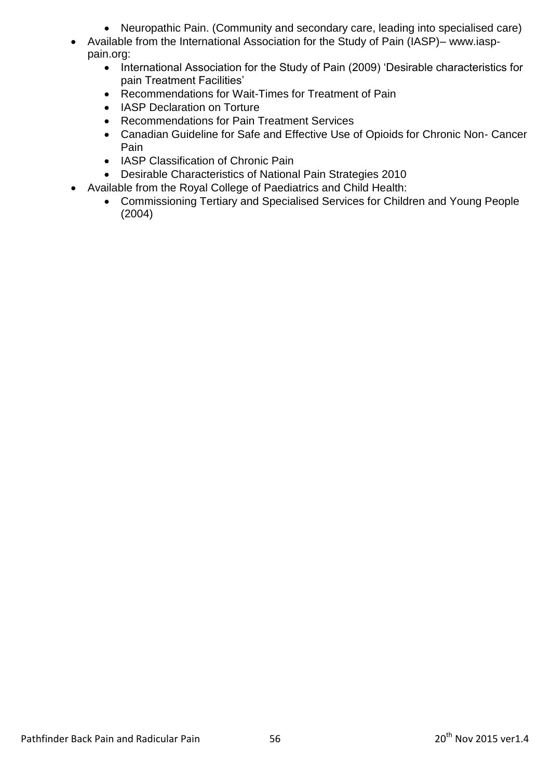- Neuropathic Pain. (Community and secondary care, leading into specialised care)
- Available from the International Association for the Study of Pain (IASP)– www.iasppain.org:
	- International Association for the Study of Pain (2009) 'Desirable characteristics for pain Treatment Facilities'
	- Recommendations for Wait-Times for Treatment of Pain
	- IASP Declaration on Torture
	- Recommendations for Pain Treatment Services
	- Canadian Guideline for Safe and Effective Use of Opioids for Chronic Non- Cancer Pain
	- IASP Classification of Chronic Pain
	- Desirable Characteristics of National Pain Strategies 2010
- Available from the Royal College of Paediatrics and Child Health:
	- Commissioning Tertiary and Specialised Services for Children and Young People (2004)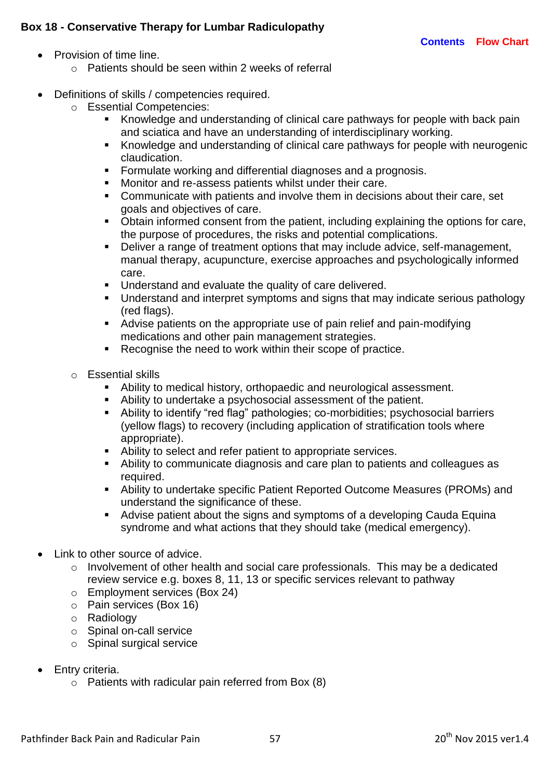## **Box 18 - Conservative Therapy for Lumbar Radiculopathy**

- Provision of time line.
	- o Patients should be seen within 2 weeks of referral
- Definitions of skills / competencies required.
	- o Essential Competencies:
		- Knowledge and understanding of clinical care pathways for people with back pain and sciatica and have an understanding of interdisciplinary working.
		- Knowledge and understanding of clinical care pathways for people with neurogenic claudication.
		- Formulate working and differential diagnoses and a prognosis.
		- **Monitor and re-assess patients whilst under their care.**
		- Communicate with patients and involve them in decisions about their care, set goals and objectives of care.
		- Obtain informed consent from the patient, including explaining the options for care, the purpose of procedures, the risks and potential complications.
		- Deliver a range of treatment options that may include advice, self-management, manual therapy, acupuncture, exercise approaches and psychologically informed care.
		- **Understand and evaluate the quality of care delivered.**
		- Understand and interpret symptoms and signs that may indicate serious pathology (red flags).
		- Advise patients on the appropriate use of pain relief and pain-modifying medications and other pain management strategies.
		- **Recognise the need to work within their scope of practice.**
		- o Essential skills
			- Ability to medical history, orthopaedic and neurological assessment.
			- Ability to undertake a psychosocial assessment of the patient.
			- Ability to identify "red flag" pathologies; co-morbidities; psychosocial barriers (yellow flags) to recovery (including application of stratification tools where appropriate).
			- Ability to select and refer patient to appropriate services.
			- Ability to communicate diagnosis and care plan to patients and colleagues as required.
			- Ability to undertake specific Patient Reported Outcome Measures (PROMs) and understand the significance of these.
			- Advise patient about the signs and symptoms of a developing Cauda Equina syndrome and what actions that they should take (medical emergency).
- Link to other source of advice.
	- o Involvement of other health and social care professionals. This may be a dedicated review service e.g. boxes 8, 11, 13 or specific services relevant to pathway
	- o Employment services (Box 24)
	- o Pain services (Box 16)
	- o Radiology
	- o Spinal on-call service
	- o Spinal surgical service
- Entry criteria.
	- $\circ$  Patients with radicular pain referred from Box (8)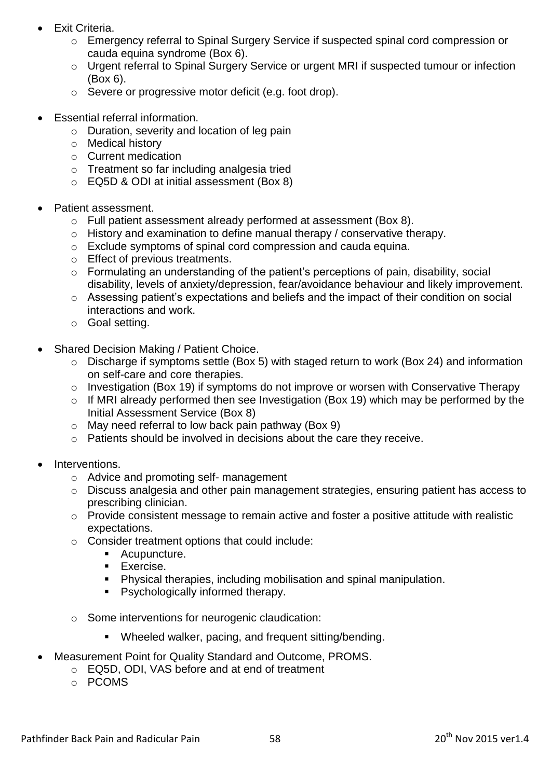- Exit Criteria.
	- o Emergency referral to Spinal Surgery Service if suspected spinal cord compression or cauda equina syndrome (Box 6).
	- o Urgent referral to Spinal Surgery Service or urgent MRI if suspected tumour or infection (Box 6).
	- o Severe or progressive motor deficit (e.g. foot drop).
- Essential referral information.
	- o Duration, severity and location of leg pain
	- o Medical history
	- o Current medication
	- o Treatment so far including analgesia tried
	- o EQ5D & ODI at initial assessment (Box 8)
- Patient assessment.
	- o Full patient assessment already performed at assessment (Box 8).
	- o History and examination to define manual therapy / conservative therapy.
	- o Exclude symptoms of spinal cord compression and cauda equina.
	- o Effect of previous treatments.
	- o Formulating an understanding of the patient's perceptions of pain, disability, social disability, levels of anxiety/depression, fear/avoidance behaviour and likely improvement.
	- o Assessing patient's expectations and beliefs and the impact of their condition on social interactions and work.
	- o Goal setting.
- Shared Decision Making / Patient Choice.
	- o Discharge if symptoms settle (Box 5) with staged return to work (Box 24) and information on self-care and core therapies.
	- o Investigation (Box 19) if symptoms do not improve or worsen with Conservative Therapy
	- o If MRI already performed then see Investigation (Box 19) which may be performed by the Initial Assessment Service (Box 8)
	- o May need referral to low back pain pathway (Box 9)
	- o Patients should be involved in decisions about the care they receive.
- Interventions.
	- o Advice and promoting self- management
	- o Discuss analgesia and other pain management strategies, ensuring patient has access to prescribing clinician.
	- o Provide consistent message to remain active and foster a positive attitude with realistic expectations.
	- o Consider treatment options that could include:
		- **Acupuncture.**
		- **Exercise.**
		- Physical therapies, including mobilisation and spinal manipulation.
		- **Psychologically informed therapy.**
	- o Some interventions for neurogenic claudication:
		- Wheeled walker, pacing, and frequent sitting/bending.
- Measurement Point for Quality Standard and Outcome, PROMS.
	- o EQ5D, ODI, VAS before and at end of treatment
	- o PCOMS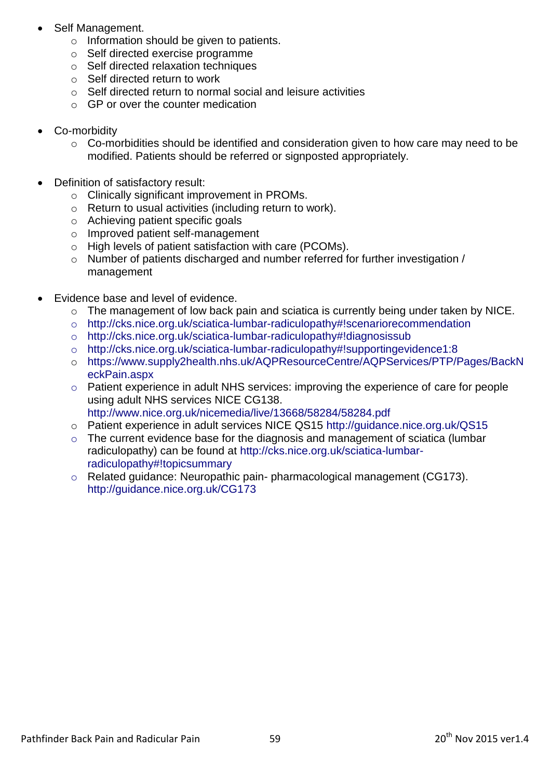- Self Management.
	- o Information should be given to patients.
	- o Self directed exercise programme
	- o Self directed relaxation techniques
	- o Self directed return to work
	- o Self directed return to normal social and leisure activities
	- $\circ$  GP or over the counter medication
- Co-morbidity
	- o Co-morbidities should be identified and consideration given to how care may need to be modified. Patients should be referred or signposted appropriately.
- Definition of satisfactory result:
	- o Clinically significant improvement in PROMs.
	- o Return to usual activities (including return to work).
	- o Achieving patient specific goals
	- o Improved patient self-management
	- o High levels of patient satisfaction with care (PCOMs).
	- $\circ$  Number of patients discharged and number referred for further investigation / management
- Evidence base and level of evidence.
	- o The management of low back pain and sciatica is currently being under taken by NICE.
	- o <http://cks.nice.org.uk/sciatica-lumbar-radiculopathy#!scenariorecommendation>
	- o <http://cks.nice.org.uk/sciatica-lumbar-radiculopathy#!diagnosissub>
	- o <http://cks.nice.org.uk/sciatica-lumbar-radiculopathy#!supportingevidence1:8>
	- o [https://www.supply2health.nhs.uk/AQPResourceCentre/AQPServices/PTP/Pages/BackN](https://www.supply2health.nhs.uk/AQPResourceCentre/AQPServices/PTP/Pages/BackNeckPain.aspx) [eckPain.aspx](https://www.supply2health.nhs.uk/AQPResourceCentre/AQPServices/PTP/Pages/BackNeckPain.aspx)
	- o Patient experience in adult NHS services: improving the experience of care for people using adult NHS services NICE CG138. <http://www.nice.org.uk/nicemedia/live/13668/58284/58284.pdf>
	- o Patient experience in adult services NICE QS15<http://guidance.nice.org.uk/QS15>
	- $\circ$  The current evidence base for the diagnosis and management of sciatica (lumbar radiculopathy) can be found at [http://cks.nice.org.uk/sciatica-lumbar](http://cks.nice.org.uk/sciatica-lumbar-radiculopathy#!topicsummary)[radiculopathy#!topicsummary](http://cks.nice.org.uk/sciatica-lumbar-radiculopathy#!topicsummary)
	- o Related guidance: Neuropathic pain- pharmacological management (CG173). http://guidance.nice.org.uk/CG173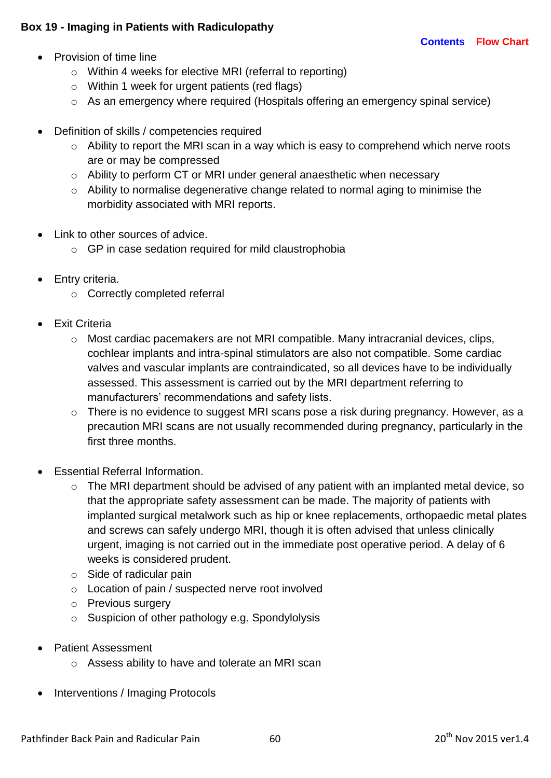# **Box 19 - Imaging in Patients with Radiculopathy**

- Provision of time line
	- o Within 4 weeks for elective MRI (referral to reporting)
	- o Within 1 week for urgent patients (red flags)
	- o As an emergency where required (Hospitals offering an emergency spinal service)
- Definition of skills / competencies required
	- $\circ$  Ability to report the MRI scan in a way which is easy to comprehend which nerve roots are or may be compressed
	- o Ability to perform CT or MRI under general anaesthetic when necessary
	- o Ability to normalise degenerative change related to normal aging to minimise the morbidity associated with MRI reports.
- Link to other sources of advice.
	- o GP in case sedation required for mild claustrophobia
- Entry criteria.
	- o Correctly completed referral
- Exit Criteria
	- o Most cardiac pacemakers are not MRI compatible. Many intracranial devices, clips, cochlear implants and intra-spinal stimulators are also not compatible. Some cardiac valves and vascular implants are contraindicated, so all devices have to be individually assessed. This assessment is carried out by the MRI department referring to manufacturers' recommendations and safety lists.
	- o There is no evidence to suggest MRI scans pose a risk during pregnancy. However, as a precaution MRI scans are not usually recommended during pregnancy, particularly in the first three months.
- Essential Referral Information.
	- o The MRI department should be advised of any patient with an implanted metal device, so that the appropriate safety assessment can be made. The majority of patients with implanted surgical metalwork such as hip or knee replacements, orthopaedic metal plates and screws can safely undergo MRI, though it is often advised that unless clinically urgent, imaging is not carried out in the immediate post operative period. A delay of 6 weeks is considered prudent.
	- $\circ$  Side of radicular pain
	- o Location of pain / suspected nerve root involved
	- o Previous surgery
	- o Suspicion of other pathology e.g. Spondylolysis
- Patient Assessment
	- o Assess ability to have and tolerate an MRI scan
- Interventions / Imaging Protocols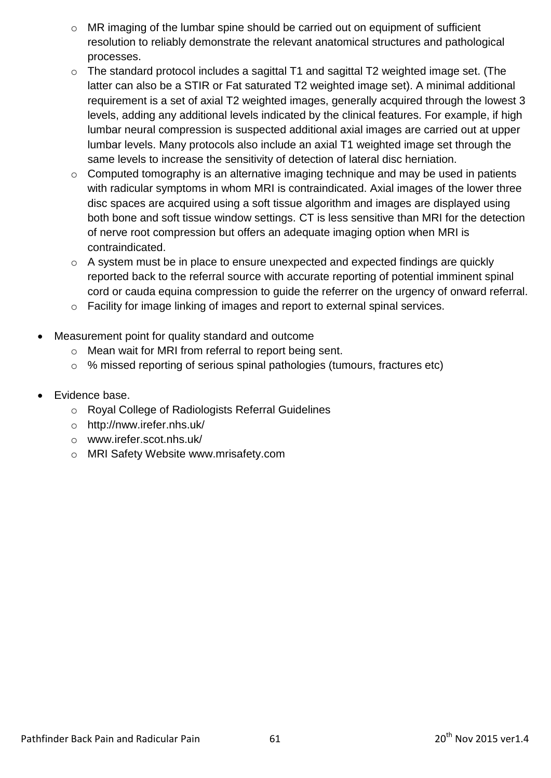- o MR imaging of the lumbar spine should be carried out on equipment of sufficient resolution to reliably demonstrate the relevant anatomical structures and pathological processes.
- o The standard protocol includes a sagittal T1 and sagittal T2 weighted image set. (The latter can also be a STIR or Fat saturated T2 weighted image set). A minimal additional requirement is a set of axial T2 weighted images, generally acquired through the lowest 3 levels, adding any additional levels indicated by the clinical features. For example, if high lumbar neural compression is suspected additional axial images are carried out at upper lumbar levels. Many protocols also include an axial T1 weighted image set through the same levels to increase the sensitivity of detection of lateral disc herniation.
- o Computed tomography is an alternative imaging technique and may be used in patients with radicular symptoms in whom MRI is contraindicated. Axial images of the lower three disc spaces are acquired using a soft tissue algorithm and images are displayed using both bone and soft tissue window settings. CT is less sensitive than MRI for the detection of nerve root compression but offers an adequate imaging option when MRI is contraindicated.
- $\circ$  A system must be in place to ensure unexpected and expected findings are quickly reported back to the referral source with accurate reporting of potential imminent spinal cord or cauda equina compression to guide the referrer on the urgency of onward referral.
- o Facility for image linking of images and report to external spinal services.
- Measurement point for quality standard and outcome
	- o Mean wait for MRI from referral to report being sent.
	- o % missed reporting of serious spinal pathologies (tumours, fractures etc)
- Evidence base.
	- o Royal College of Radiologists Referral Guidelines
	- o <http://nww.irefer.nhs.uk/>
	- o www.irefer.scot.nhs.uk/
	- o MRI Safety Website [www.mrisafety.com](http://www.mrisafety.com/)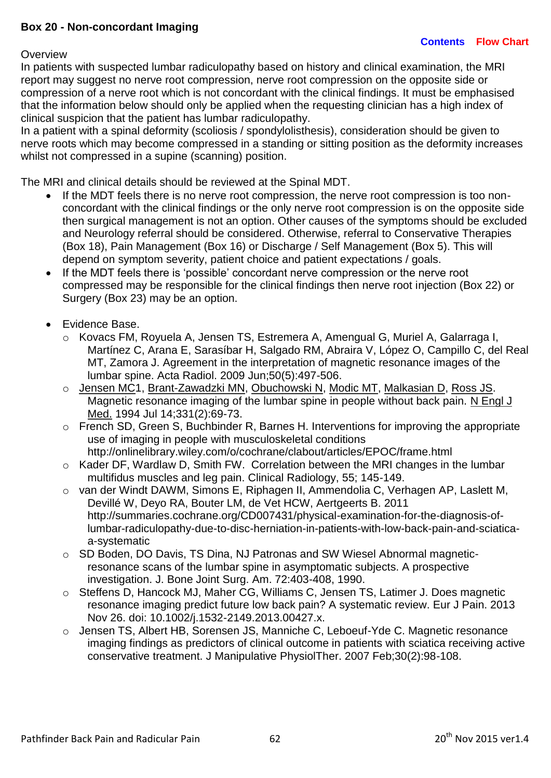### **Box 20 - Non-concordant Imaging**

#### **Overview**

In patients with suspected lumbar radiculopathy based on history and clinical examination, the MRI report may suggest no nerve root compression, nerve root compression on the opposite side or compression of a nerve root which is not concordant with the clinical findings. It must be emphasised that the information below should only be applied when the requesting clinician has a high index of clinical suspicion that the patient has lumbar radiculopathy.

In a patient with a spinal deformity (scoliosis / spondylolisthesis), consideration should be given to nerve roots which may become compressed in a standing or sitting position as the deformity increases whilst not compressed in a supine (scanning) position.

The MRI and clinical details should be reviewed at the Spinal MDT.

- If the MDT feels there is no nerve root compression, the nerve root compression is too nonconcordant with the clinical findings or the only nerve root compression is on the opposite side then surgical management is not an option. Other causes of the symptoms should be excluded and Neurology referral should be considered. Otherwise, referral to Conservative Therapies (Box 18), Pain Management (Box 16) or Discharge / Self Management (Box 5). This will depend on symptom severity, patient choice and patient expectations / goals.
- If the MDT feels there is 'possible' concordant nerve compression or the nerve root compressed may be responsible for the clinical findings then nerve root injection (Box 22) or Surgery (Box 23) may be an option.
- Evidence Base.
	- o Kovacs FM, Royuela A, Jensen TS, Estremera A, Amengual G, Muriel A, Galarraga I, Martínez C, Arana E, Sarasíbar H, Salgado RM, Abraira V, López O, Campillo C, del Real MT, Zamora J. Agreement in the interpretation of magnetic resonance images of the lumbar spine. Acta Radiol. 2009 Jun;50(5):497-506.
	- o [Jensen MC1](http://www.ncbi.nlm.nih.gov/pubmed?term=Jensen%20MC%5BAuthor%5D&cauthor=true&cauthor_uid=8208267), [Brant-Zawadzki MN,](http://www.ncbi.nlm.nih.gov/pubmed?term=Brant-Zawadzki%20MN%5BAuthor%5D&cauthor=true&cauthor_uid=8208267) [Obuchowski N,](http://www.ncbi.nlm.nih.gov/pubmed?term=Obuchowski%20N%5BAuthor%5D&cauthor=true&cauthor_uid=8208267) [Modic MT,](http://www.ncbi.nlm.nih.gov/pubmed?term=Modic%20MT%5BAuthor%5D&cauthor=true&cauthor_uid=8208267) [Malkasian D,](http://www.ncbi.nlm.nih.gov/pubmed?term=Malkasian%20D%5BAuthor%5D&cauthor=true&cauthor_uid=8208267) [Ross JS.](http://www.ncbi.nlm.nih.gov/pubmed?term=Ross%20JS%5BAuthor%5D&cauthor=true&cauthor_uid=8208267) Magnetic resonance imaging of the lumbar spine in people without back pain. N Engl J Med. 1994 Jul 14;331(2):69-73.
	- o French SD, Green S, Buchbinder R, Barnes H. Interventions for improving the appropriate use of imaging in people with musculoskeletal conditions <http://onlinelibrary.wiley.com/o/cochrane/clabout/articles/EPOC/frame.html>
	- o Kader DF, Wardlaw D, Smith FW. Correlation between the MRI changes in the lumbar multifidus muscles and leg pain. Clinical Radiology, 55; 145-149.
	- o van der Windt DAWM, Simons E, Riphagen II, Ammendolia C, Verhagen AP, Laslett M, Devillé W, Deyo RA, Bouter LM, de Vet HCW, Aertgeerts B. 2011 [http://summaries.cochrane.org/CD007431/physical-examination-for-the-diagnosis-of](http://summaries.cochrane.org/CD007431/physical-examination-for-the-diagnosis-of-lumbar-radiculopathy-due-to-disc-herniation-in-patients-with-low-back-pain-and-sciatica-a-systematic)[lumbar-radiculopathy-due-to-disc-herniation-in-patients-with-low-back-pain-and-sciatica](http://summaries.cochrane.org/CD007431/physical-examination-for-the-diagnosis-of-lumbar-radiculopathy-due-to-disc-herniation-in-patients-with-low-back-pain-and-sciatica-a-systematic)[a-systematic](http://summaries.cochrane.org/CD007431/physical-examination-for-the-diagnosis-of-lumbar-radiculopathy-due-to-disc-herniation-in-patients-with-low-back-pain-and-sciatica-a-systematic)
	- o SD Boden, DO Davis, TS Dina, NJ Patronas and SW Wiesel Abnormal magneticresonance scans of the lumbar spine in asymptomatic subjects. A prospective investigation. J. Bone Joint Surg. Am. 72:403-408, 1990.
	- o Steffens D, Hancock MJ, Maher CG, Williams C, Jensen TS, Latimer J. Does magnetic resonance imaging predict future low back pain? A systematic review. Eur J Pain. 2013 Nov 26. doi: 10.1002/j.1532-2149.2013.00427.x.
	- o Jensen TS, Albert HB, Sorensen JS, Manniche C, Leboeuf-Yde C. Magnetic resonance imaging findings as predictors of clinical outcome in patients with sciatica receiving active conservative treatment. J Manipulative PhysiolTher. 2007 Feb;30(2):98-108.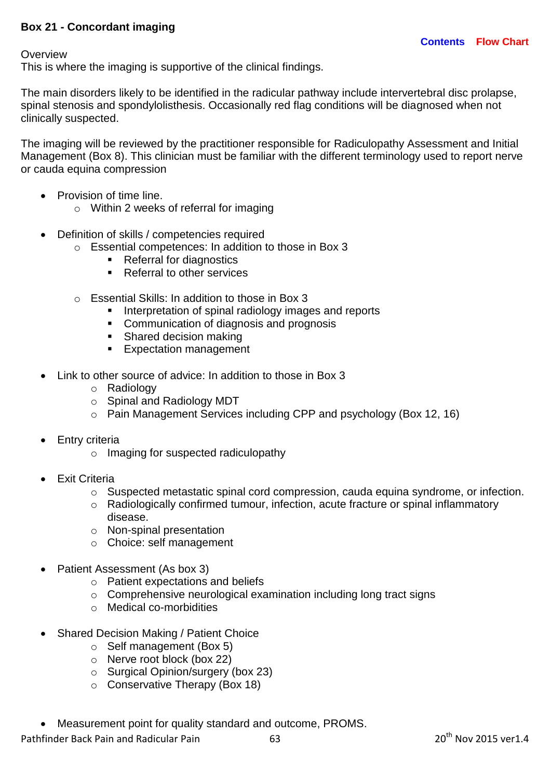### **Box 21 - Concordant imaging**

**Overview** 

This is where the imaging is supportive of the clinical findings.

The main disorders likely to be identified in the radicular pathway include intervertebral disc prolapse, spinal stenosis and spondylolisthesis. Occasionally red flag conditions will be diagnosed when not clinically suspected.

The imaging will be reviewed by the practitioner responsible for Radiculopathy Assessment and Initial Management (Box 8). This clinician must be familiar with the different terminology used to report nerve or cauda equina compression

- Provision of time line.
	- o Within 2 weeks of referral for imaging
- Definition of skills / competencies required
	- o Essential competences: In addition to those in Box 3
		- Referral for diagnostics
		- Referral to other services
	- o Essential Skills: In addition to those in Box 3
		- **Interpretation of spinal radiology images and reports**
		- Communication of diagnosis and prognosis
		- Shared decision making
		- **Expectation management**
- Link to other source of advice: In addition to those in Box 3
	- o Radiology
	- o Spinal and Radiology MDT
	- o Pain Management Services including CPP and psychology (Box 12, 16)
- Entry criteria
	- o Imaging for suspected radiculopathy
- Exit Criteria
	- o Suspected metastatic spinal cord compression, cauda equina syndrome, or infection.
	- o Radiologically confirmed tumour, infection, acute fracture or spinal inflammatory disease.
	- o Non-spinal presentation
	- o Choice: self management
- Patient Assessment (As box 3)
	- o Patient expectations and beliefs
	- o Comprehensive neurological examination including long tract signs
	- o Medical co-morbidities
- Shared Decision Making / Patient Choice
	- o Self management (Box 5)
	- o Nerve root block (box 22)
	- o Surgical Opinion/surgery (box 23)
	- o Conservative Therapy (Box 18)
- Measurement point for quality standard and outcome, PROMS.

Pathfinder Back Pain and Radicular Pain 63 63 20<sup>th</sup> Nov 2015 ver1.4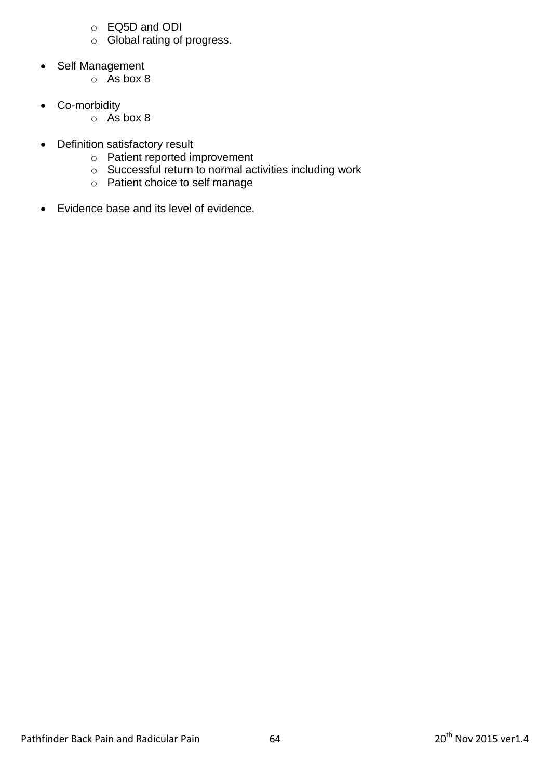- o EQ5D and ODI
- o Global rating of progress.
- Self Management
	- o As box 8
- Co-morbidity
	- o As box 8
- Definition satisfactory result
	- o Patient reported improvement
	- o Successful return to normal activities including work
	- o Patient choice to self manage
- Evidence base and its level of evidence.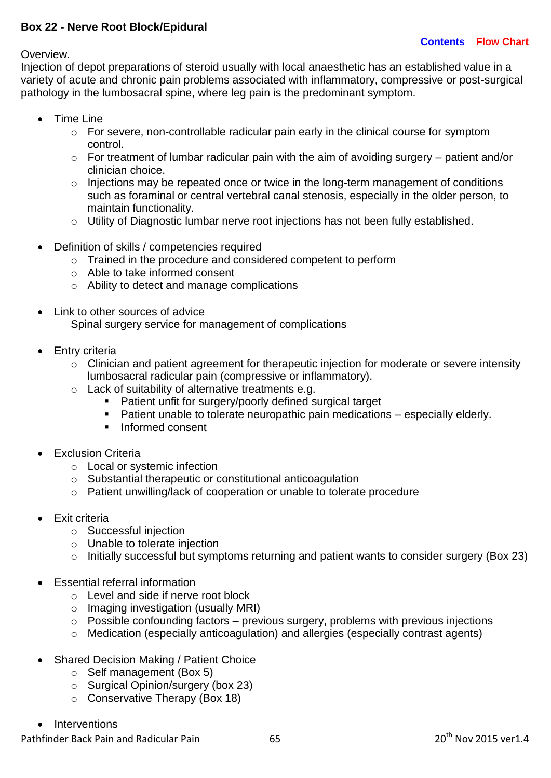### **Box 22 - Nerve Root Block/Epidural**

#### Overview.

Injection of depot preparations of steroid usually with local anaesthetic has an established value in a variety of acute and chronic pain problems associated with inflammatory, compressive or post-surgical pathology in the lumbosacral spine, where leg pain is the predominant symptom.

- Time Line
	- o For severe, non-controllable radicular pain early in the clinical course for symptom control.
	- o For treatment of lumbar radicular pain with the aim of avoiding surgery patient and/or clinician choice.
	- o Injections may be repeated once or twice in the long-term management of conditions such as foraminal or central vertebral canal stenosis, especially in the older person, to maintain functionality.
	- o Utility of Diagnostic lumbar nerve root injections has not been fully established.
- Definition of skills / competencies required
	- o Trained in the procedure and considered competent to perform
	- o Able to take informed consent
	- o Ability to detect and manage complications
- Link to other sources of advice Spinal surgery service for management of complications
- Entry criteria
	- o Clinician and patient agreement for therapeutic injection for moderate or severe intensity lumbosacral radicular pain (compressive or inflammatory).
	- o Lack of suitability of alternative treatments e.g.
		- Patient unfit for surgery/poorly defined surgical target
		- Patient unable to tolerate neuropathic pain medications especially elderly.
		- $\blacksquare$  Informed consent
- Exclusion Criteria
	- o Local or systemic infection
	- o Substantial therapeutic or constitutional anticoagulation
	- o Patient unwilling/lack of cooperation or unable to tolerate procedure
- Exit criteria
	- o Successful injection
	- o Unable to tolerate injection
	- o Initially successful but symptoms returning and patient wants to consider surgery (Box 23)
- Essential referral information
	- o Level and side if nerve root block
	- o Imaging investigation (usually MRI)
	- $\circ$  Possible confounding factors previous surgery, problems with previous injections
	- o Medication (especially anticoagulation) and allergies (especially contrast agents)
- Shared Decision Making / Patient Choice
	- o Self management (Box 5)
	- o Surgical Opinion/surgery (box 23)
	- o Conservative Therapy (Box 18)
- Interventions

Pathfinder Back Pain and Radicular Pain 65 20<sup>th</sup> Nov 2015 ver1.4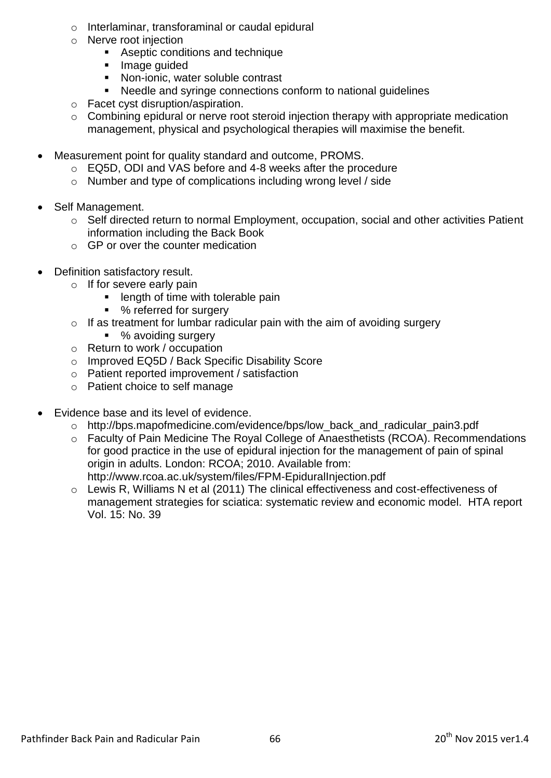- o Interlaminar, transforaminal or caudal epidural
- o Nerve root injection
	- Aseptic conditions and technique
	- **Image guided**
	- **Non-ionic, water soluble contrast**
	- Needle and syringe connections conform to national guidelines
- o Facet cyst disruption/aspiration.
- o Combining epidural or nerve root steroid injection therapy with appropriate medication management, physical and psychological therapies will maximise the benefit.
- Measurement point for quality standard and outcome, PROMS.
	- o EQ5D, ODI and VAS before and 4-8 weeks after the procedure
	- o Number and type of complications including wrong level / side
- Self Management.
	- o Self directed return to normal Employment, occupation, social and other activities Patient information including the Back Book
	- o GP or over the counter medication
- Definition satisfactory result.
	- o If for severe early pain
		- **EXECUTE:** length of time with tolerable pain
		- % referred for surgery
	- $\circ$  If as treatment for lumbar radicular pain with the aim of avoiding surgery
		- % avoiding surgery
	- o Return to work / occupation
	- o Improved EQ5D / Back Specific Disability Score
	- o Patient reported improvement / satisfaction
	- o Patient choice to self manage
- Evidence base and its level of evidence.
	- o [http://bps.mapofmedicine.com/evidence/bps/low\\_back\\_and\\_radicular\\_pain3.pdf](http://bps.mapofmedicine.com/evidence/bps/low_back_and_radicular_pain3.pdf)
	- o Faculty of Pain Medicine The Royal College of Anaesthetists (RCOA). Recommendations for good practice in the use of epidural injection for the management of pain of spinal origin in adults. London: RCOA; 2010. Available from: <http://www.rcoa.ac.uk/system/files/FPM-EpiduralInjection.pdf>
	- o Lewis R, Williams N et al (2011) The clinical effectiveness and cost-effectiveness of management strategies for sciatica: systematic review and economic model. HTA report Vol. 15: No. 39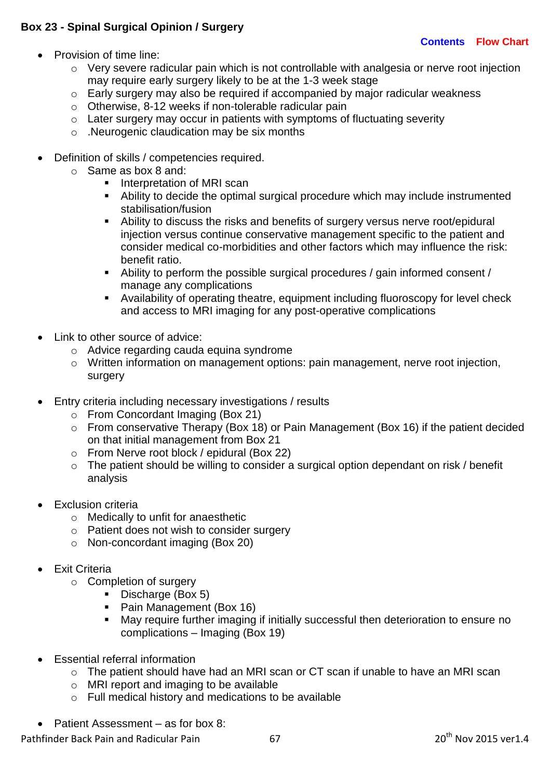# **Box 23 - Spinal Surgical Opinion / Surgery**

#### **[Contents](#page-3-0) [Flow Chart](#page-5-0)**

- Provision of time line:
	- o Very severe radicular pain which is not controllable with analgesia or nerve root injection may require early surgery likely to be at the 1-3 week stage
	- o Early surgery may also be required if accompanied by major radicular weakness
	- o Otherwise, 8-12 weeks if non-tolerable radicular pain
	- $\circ$  Later surgery may occur in patients with symptoms of fluctuating severity
	- o .Neurogenic claudication may be six months
- Definition of skills / competencies required.
	- o Same as box 8 and:
		- **Interpretation of MRI scan**
		- Ability to decide the optimal surgical procedure which may include instrumented stabilisation/fusion
		- Ability to discuss the risks and benefits of surgery versus nerve root/epidural injection versus continue conservative management specific to the patient and consider medical co-morbidities and other factors which may influence the risk: benefit ratio.
		- Ability to perform the possible surgical procedures / gain informed consent / manage any complications
		- Availability of operating theatre, equipment including fluoroscopy for level check and access to MRI imaging for any post-operative complications
- Link to other source of advice:
	- o Advice regarding cauda equina syndrome
	- o Written information on management options: pain management, nerve root injection, surgery
- Entry criteria including necessary investigations / results
	- $\circ$  From Concordant Imaging (Box 21)
	- o From conservative Therapy (Box 18) or Pain Management (Box 16) if the patient decided on that initial management from Box 21
	- o From Nerve root block / epidural (Box 22)
	- o The patient should be willing to consider a surgical option dependant on risk / benefit analysis
- Exclusion criteria
	- o Medically to unfit for anaesthetic
	- o Patient does not wish to consider surgery
	- o Non-concordant imaging (Box 20)
- Exit Criteria
	- o Completion of surgery
		- Discharge (Box 5)
		- **Pain Management (Box 16)**
		- May require further imaging if initially successful then deterioration to ensure no complications – Imaging (Box 19)
- Essential referral information
	- o The patient should have had an MRI scan or CT scan if unable to have an MRI scan
	- o MRI report and imaging to be available
	- o Full medical history and medications to be available
- Patient Assessment as for box 8:

Pathfinder Back Pain and Radicular Pain 67 20<sup>th</sup> Nov 2015 ver1.4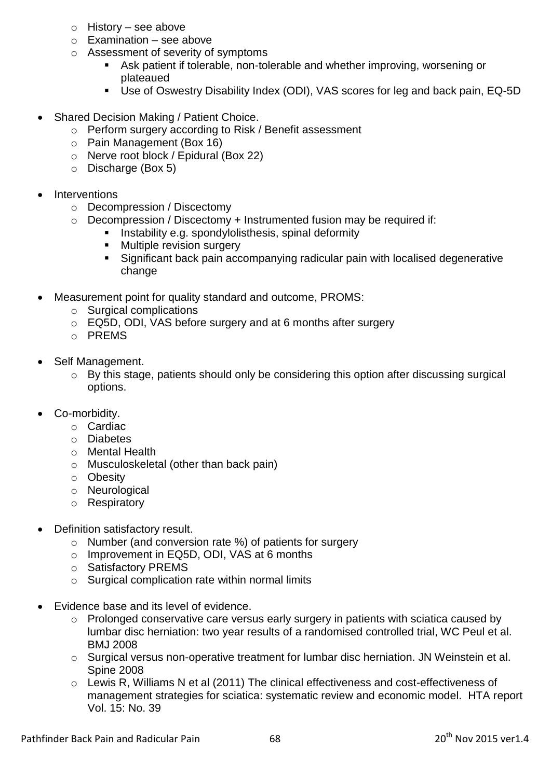- o History see above
- $\circ$  Examination see above
- o Assessment of severity of symptoms
	- Ask patient if tolerable, non-tolerable and whether improving, worsening or plateaued
	- Use of Oswestry Disability Index (ODI), VAS scores for leg and back pain, EQ-5D
- Shared Decision Making / Patient Choice.
	- o Perform surgery according to Risk / Benefit assessment
	- o Pain Management (Box 16)
	- o Nerve root block / Epidural (Box 22)
	- o Discharge (Box 5)
- Interventions
	- o Decompression / Discectomy
	- $\circ$  Decompression / Discectomy + Instrumented fusion may be required if:
		- **Instability e.g. spondylolisthesis, spinal deformity**
		- **Multiple revision surgery**
		- Significant back pain accompanying radicular pain with localised degenerative change
- Measurement point for quality standard and outcome, PROMS:
	- o Surgical complications
	- o EQ5D, ODI, VAS before surgery and at 6 months after surgery
	- o PREMS
- Self Management.
	- o By this stage, patients should only be considering this option after discussing surgical options.
- Co-morbidity.
	- o Cardiac
	- o Diabetes
	- o Mental Health
	- o Musculoskeletal (other than back pain)
	- o Obesity
	- o Neurological
	- o Respiratory
- Definition satisfactory result.
	- o Number (and conversion rate %) of patients for surgery
	- o Improvement in EQ5D, ODI, VAS at 6 months
	- o Satisfactory PREMS
	- o Surgical complication rate within normal limits
- Evidence base and its level of evidence.
	- o Prolonged conservative care versus early surgery in patients with sciatica caused by lumbar disc herniation: two year results of a randomised controlled trial, WC Peul et al. BMJ 2008
	- o Surgical versus non-operative treatment for lumbar disc herniation. JN Weinstein et al. Spine 2008
	- o Lewis R, Williams N et al (2011) The clinical effectiveness and cost-effectiveness of management strategies for sciatica: systematic review and economic model. HTA report Vol. 15: No. 39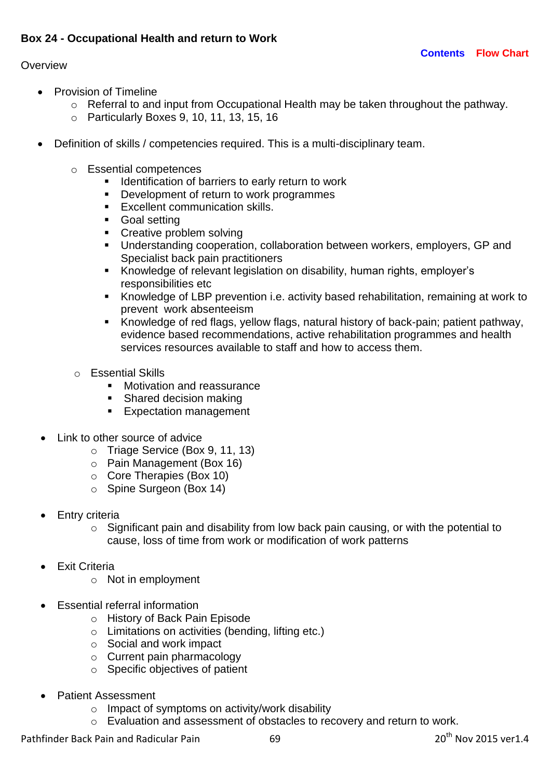#### **Overview**

- Provision of Timeline
	- o Referral to and input from Occupational Health may be taken throughout the pathway.
	- o Particularly Boxes 9, 10, 11, 13, 15, 16
- Definition of skills / competencies required. This is a multi-disciplinary team.
	- o Essential competences
		- **IDENTIFICATE IS A LOCATE IS NOTE I** dentification of barriers to early return to work
		- **•** Development of return to work programmes
		- **Excellent communication skills.**
		- Goal setting
		- **Creative problem solving**
		- Understanding cooperation, collaboration between workers, employers, GP and Specialist back pain practitioners
		- Knowledge of relevant legislation on disability, human rights, employer's responsibilities etc
		- Knowledge of LBP prevention i.e. activity based rehabilitation, remaining at work to prevent work absenteeism
		- Knowledge of red flags, yellow flags, natural history of back-pain; patient pathway, evidence based recommendations, active rehabilitation programmes and health services resources available to staff and how to access them.
	- o Essential Skills
		- **Motivation and reassurance**
		- Shared decision making
		- **Expectation management**
- Link to other source of advice
	- o Triage Service (Box 9, 11, 13)
	- o Pain Management (Box 16)
	- o Core Therapies (Box 10)
	- o Spine Surgeon (Box 14)
- Entry criteria
	- o Significant pain and disability from low back pain causing, or with the potential to cause, loss of time from work or modification of work patterns
- Exit Criteria
	- o Not in employment
- Essential referral information
	- o History of Back Pain Episode
	- o Limitations on activities (bending, lifting etc.)
	- o Social and work impact
	- o Current pain pharmacology
	- o Specific objectives of patient
- Patient Assessment
	- o Impact of symptoms on activity/work disability
	- o Evaluation and assessment of obstacles to recovery and return to work.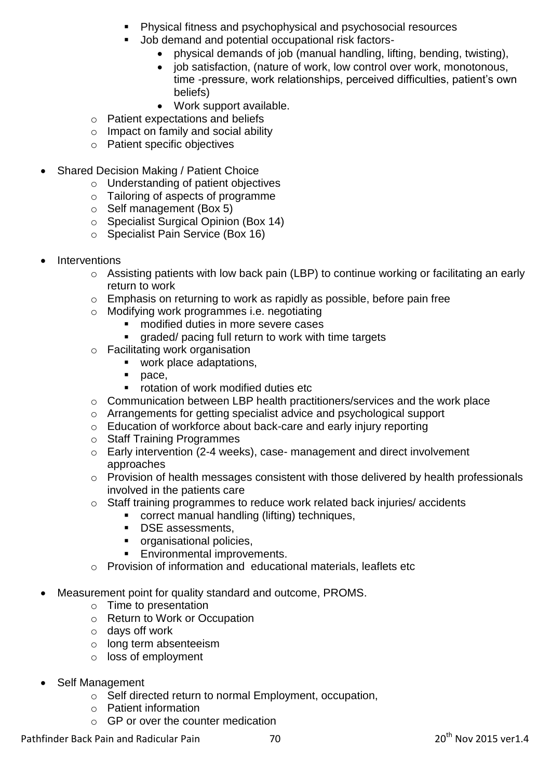- Physical fitness and psychophysical and psychosocial resources
- Job demand and potential occupational risk factors
	- physical demands of job (manual handling, lifting, bending, twisting),
	- job satisfaction, (nature of work, low control over work, monotonous. time -pressure, work relationships, perceived difficulties, patient's own beliefs)
	- Work support available.
- o Patient expectations and beliefs
- o Impact on family and social ability
- o Patient specific objectives
- Shared Decision Making / Patient Choice
	- o Understanding of patient objectives
	- o Tailoring of aspects of programme
	- o Self management (Box 5)
	- o Specialist Surgical Opinion (Box 14)
	- o Specialist Pain Service (Box 16)
- Interventions
	- o Assisting patients with low back pain (LBP) to continue working or facilitating an early return to work
	- o Emphasis on returning to work as rapidly as possible, before pain free
	- o Modifying work programmes i.e. negotiating
		- modified duties in more severe cases
		- **graded/ pacing full return to work with time targets**
	- o Facilitating work organisation
		- **work place adaptations,**
		- **pace**,
		- **•** rotation of work modified duties etc
	- o Communication between LBP health practitioners/services and the work place
	- o Arrangements for getting specialist advice and psychological support
	- o Education of workforce about back-care and early injury reporting
	- o Staff Training Programmes
	- o Early intervention (2-4 weeks), case- management and direct involvement approaches
	- o Provision of health messages consistent with those delivered by health professionals involved in the patients care
	- o Staff training programmes to reduce work related back injuries/ accidents
		- **EXECO rect manual handling (lifting) techniques,**
		- **DSE** assessments,
		- **•** organisational policies.
		- Environmental improvements.
	- o Provision of information and educational materials, leaflets etc
- Measurement point for quality standard and outcome, PROMS.
	- o Time to presentation
	- o Return to Work or Occupation
	- o days off work
	- o long term absenteeism
	- o loss of employment
- Self Management
	- o Self directed return to normal Employment, occupation,
	- o Patient information
	- $\circ$  GP or over the counter medication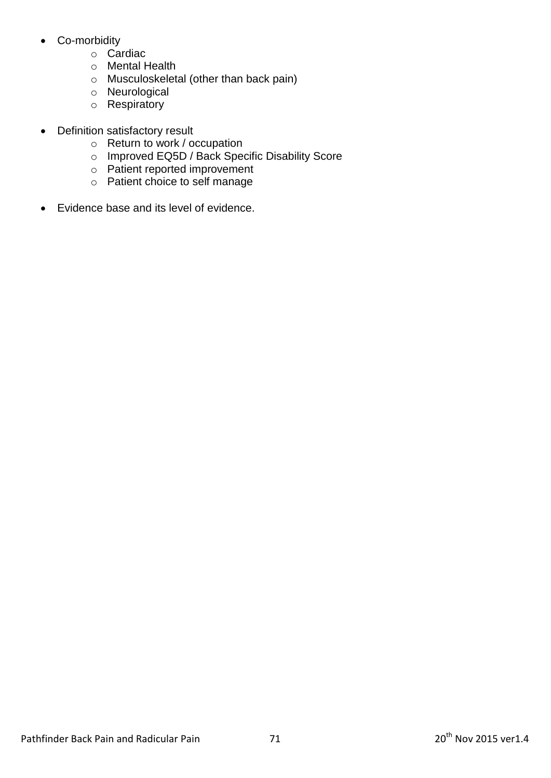- Co-morbidity
	- o Cardiac
	- o Mental Health
	- o Musculoskeletal (other than back pain)
	- o Neurological
	- o Respiratory
- Definition satisfactory result
	- o Return to work / occupation
	- o Improved EQ5D / Back Specific Disability Score
	- o Patient reported improvement
	- o Patient choice to self manage
- Evidence base and its level of evidence.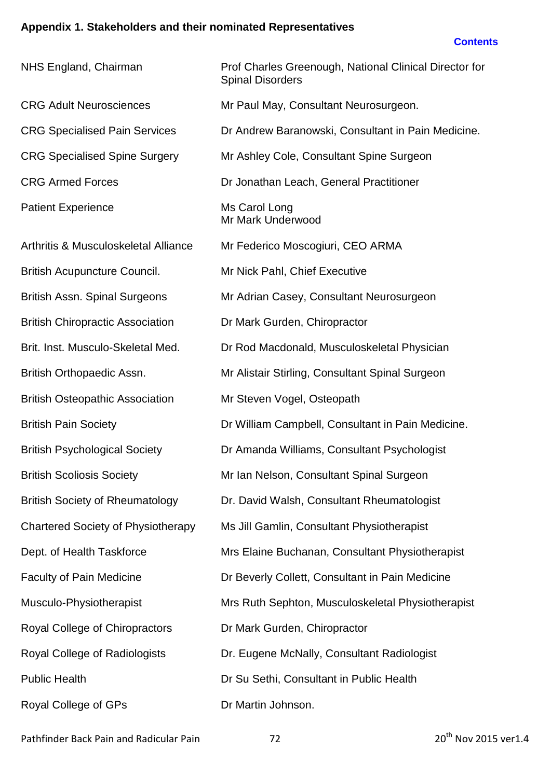# **Appendix 1. Stakeholders and their nominated Representatives**

#### **[Contents](#page-3-0)**

| NHS England, Chairman                     | Prof Charles Greenough, National Clinical Director for<br><b>Spinal Disorders</b> |
|-------------------------------------------|-----------------------------------------------------------------------------------|
| <b>CRG Adult Neurosciences</b>            | Mr Paul May, Consultant Neurosurgeon.                                             |
| <b>CRG Specialised Pain Services</b>      | Dr Andrew Baranowski, Consultant in Pain Medicine.                                |
| <b>CRG Specialised Spine Surgery</b>      | Mr Ashley Cole, Consultant Spine Surgeon                                          |
| <b>CRG Armed Forces</b>                   | Dr Jonathan Leach, General Practitioner                                           |
| <b>Patient Experience</b>                 | Ms Carol Long<br>Mr Mark Underwood                                                |
| Arthritis & Musculoskeletal Alliance      | Mr Federico Moscogiuri, CEO ARMA                                                  |
| <b>British Acupuncture Council.</b>       | Mr Nick Pahl, Chief Executive                                                     |
| <b>British Assn. Spinal Surgeons</b>      | Mr Adrian Casey, Consultant Neurosurgeon                                          |
| <b>British Chiropractic Association</b>   | Dr Mark Gurden, Chiropractor                                                      |
| Brit. Inst. Musculo-Skeletal Med.         | Dr Rod Macdonald, Musculoskeletal Physician                                       |
| British Orthopaedic Assn.                 | Mr Alistair Stirling, Consultant Spinal Surgeon                                   |
| <b>British Osteopathic Association</b>    | Mr Steven Vogel, Osteopath                                                        |
| <b>British Pain Society</b>               | Dr William Campbell, Consultant in Pain Medicine.                                 |
| <b>British Psychological Society</b>      | Dr Amanda Williams, Consultant Psychologist                                       |
| <b>British Scoliosis Society</b>          | Mr Ian Nelson, Consultant Spinal Surgeon                                          |
| <b>British Society of Rheumatology</b>    | Dr. David Walsh, Consultant Rheumatologist                                        |
| <b>Chartered Society of Physiotherapy</b> | Ms Jill Gamlin, Consultant Physiotherapist                                        |
| Dept. of Health Taskforce                 | Mrs Elaine Buchanan, Consultant Physiotherapist                                   |
| <b>Faculty of Pain Medicine</b>           | Dr Beverly Collett, Consultant in Pain Medicine                                   |
| Musculo-Physiotherapist                   | Mrs Ruth Sephton, Musculoskeletal Physiotherapist                                 |
| Royal College of Chiropractors            | Dr Mark Gurden, Chiropractor                                                      |
| Royal College of Radiologists             | Dr. Eugene McNally, Consultant Radiologist                                        |
| <b>Public Health</b>                      | Dr Su Sethi, Consultant in Public Health                                          |
| Royal College of GPs                      | Dr Martin Johnson.                                                                |

Pathfinder Back Pain and Radicular Pain 2015 vertext and 20<sup>th</sup> Nov 2015 vertext Pain Pathfinder Back Pain 1.4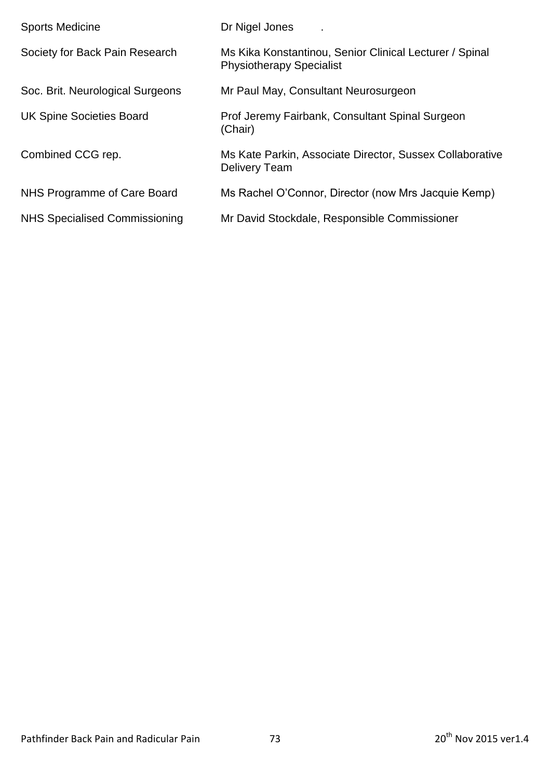| <b>Sports Medicine</b>           | Dr Nigel Jones                                                                             |
|----------------------------------|--------------------------------------------------------------------------------------------|
| Society for Back Pain Research   | Ms Kika Konstantinou, Senior Clinical Lecturer / Spinal<br><b>Physiotherapy Specialist</b> |
| Soc. Brit. Neurological Surgeons | Mr Paul May, Consultant Neurosurgeon                                                       |
| <b>UK Spine Societies Board</b>  | Prof Jeremy Fairbank, Consultant Spinal Surgeon<br>(Chair)                                 |
| Combined CCG rep.                | Ms Kate Parkin, Associate Director, Sussex Collaborative<br>Delivery Team                  |
| NHS Programme of Care Board      | Ms Rachel O'Connor, Director (now Mrs Jacquie Kemp)                                        |
| NHS Specialised Commissioning    | Mr David Stockdale, Responsible Commissioner                                               |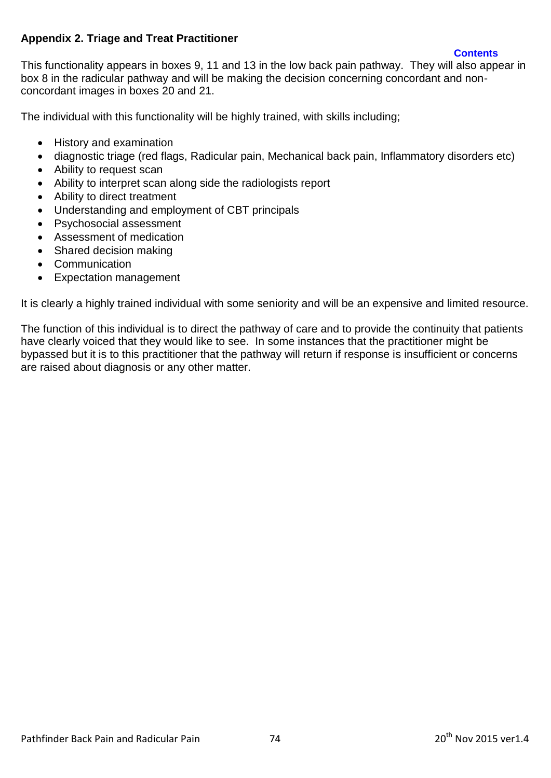### **Appendix 2. Triage and Treat Practitioner**

**[Contents](#page-3-0)**

This functionality appears in boxes 9, 11 and 13 in the low back pain pathway. They will also appear in box 8 in the radicular pathway and will be making the decision concerning concordant and nonconcordant images in boxes 20 and 21.

The individual with this functionality will be highly trained, with skills including;

- History and examination
- diagnostic triage (red flags, Radicular pain, Mechanical back pain, Inflammatory disorders etc)
- Ability to request scan
- Ability to interpret scan along side the radiologists report
- Ability to direct treatment
- Understanding and employment of CBT principals
- Psychosocial assessment
- Assessment of medication
- Shared decision making
- Communication
- Expectation management

It is clearly a highly trained individual with some seniority and will be an expensive and limited resource.

The function of this individual is to direct the pathway of care and to provide the continuity that patients have clearly voiced that they would like to see. In some instances that the practitioner might be bypassed but it is to this practitioner that the pathway will return if response is insufficient or concerns are raised about diagnosis or any other matter.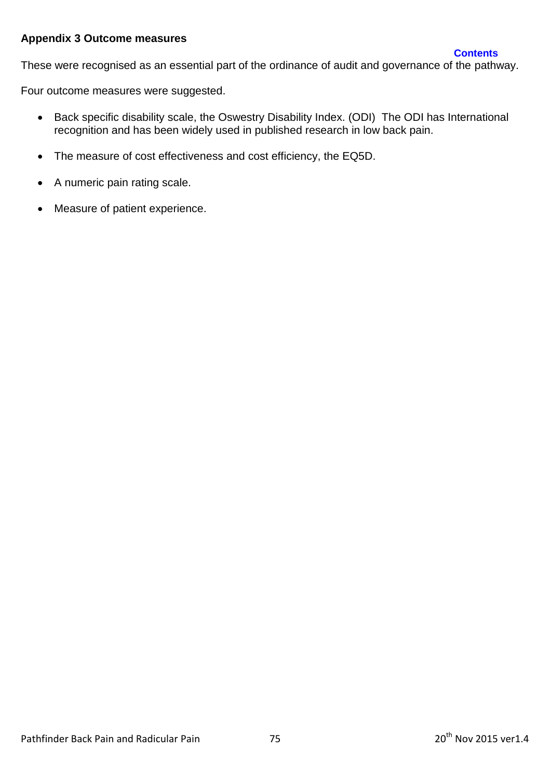#### **Appendix 3 Outcome measures**

These were recognised as an essential part of the ordinance of audit and governance of the pathway.

Four outcome measures were suggested.

- Back specific disability scale, the Oswestry Disability Index. (ODI) The ODI has International recognition and has been widely used in published research in low back pain.
- The measure of cost effectiveness and cost efficiency, the EQ5D.
- A numeric pain rating scale.
- Measure of patient experience.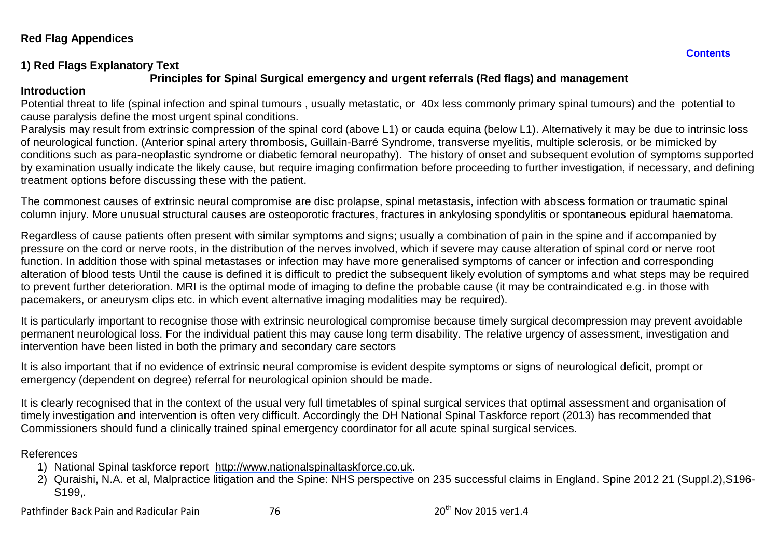### **Red Flag Appendices**

# **1) Red Flags Explanatory Text**

# **Principles for Spinal Surgical emergency and urgent referrals (Red flags) and management**

#### **Introduction**

Potential threat to life (spinal infection and spinal tumours , usually metastatic, or 40x less commonly primary spinal tumours) and the potential to cause paralysis define the most urgent spinal conditions.

Paralysis may result from extrinsic compression of the spinal cord (above L1) or cauda equina (below L1). Alternatively it may be due to intrinsic loss of neurological function. (Anterior spinal artery thrombosis, Guillain-Barré Syndrome, transverse myelitis, multiple sclerosis, or be mimicked by conditions such as para-neoplastic syndrome or diabetic femoral neuropathy). The history of onset and subsequent evolution of symptoms supported by examination usually indicate the likely cause, but require imaging confirmation before proceeding to further investigation, if necessary, and defining treatment options before discussing these with the patient.

The commonest causes of extrinsic neural compromise are disc prolapse, spinal metastasis, infection with abscess formation or traumatic spinal column injury. More unusual structural causes are osteoporotic fractures, fractures in ankylosing spondylitis or spontaneous epidural haematoma.

Regardless of cause patients often present with similar symptoms and signs; usually a combination of pain in the spine and if accompanied by pressure on the cord or nerve roots, in the distribution of the nerves involved, which if severe may cause alteration of spinal cord or nerve root function. In addition those with spinal metastases or infection may have more generalised symptoms of cancer or infection and corresponding alteration of blood tests Until the cause is defined it is difficult to predict the subsequent likely evolution of symptoms and what steps may be required to prevent further deterioration. MRI is the optimal mode of imaging to define the probable cause (it may be contraindicated e.g. in those with pacemakers, or aneurysm clips etc. in which event alternative imaging modalities may be required).

It is particularly important to recognise those with extrinsic neurological compromise because timely surgical decompression may prevent avoidable permanent neurological loss. For the individual patient this may cause long term disability. The relative urgency of assessment, investigation and intervention have been listed in both the primary and secondary care sectors

It is also important that if no evidence of extrinsic neural compromise is evident despite symptoms or signs of neurological deficit, prompt or emergency (dependent on degree) referral for neurological opinion should be made.

It is clearly recognised that in the context of the usual very full timetables of spinal surgical services that optimal assessment and organisation of timely investigation and intervention is often very difficult. Accordingly the DH National Spinal Taskforce report (2013) has recommended that Commissioners should fund a clinically trained spinal emergency coordinator for all acute spinal surgical services.

## References

- 1) National Spinal taskforce report [http://www.nationalspinaltaskforce.co.uk.](http://www.nationalspinaltaskforce.co.uk/)
- 2) Quraishi, N.A. et al, Malpractice litigation and the Spine: NHS perspective on 235 successful claims in England. Spine 2012 21 (Suppl.2),S196- S199,.

Pathfinder Back Pain and Radicular Pain 76 20th Nov 2015 ver1.4

**[Contents](#page-3-1)**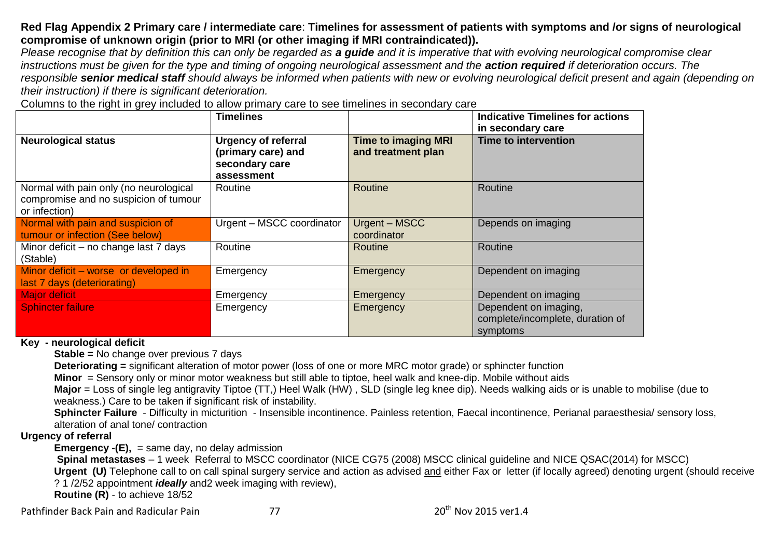### **Red Flag Appendix 2 Primary care / intermediate care**: **Timelines for assessment of patients with symptoms and /or signs of neurological compromise of unknown origin (prior to MRI (or other imaging if MRI contraindicated)).**

*Please recognise that by definition this can only be regarded as a guide and it is imperative that with evolving neurological compromise clear*  instructions must be given for the type and timing of ongoing neurological assessment and the **action required** if deterioration occurs. The *responsible senior medical staff should always be informed when patients with new or evolving neurological deficit present and again (depending on their instruction) if there is significant deterioration.* 

Columns to the right in grey included to allow primary care to see timelines in secondary care

|                                                                                                  | <b>Timelines</b>                                                                 |                                                  | <b>Indicative Timelines for actions</b><br>in secondary care          |
|--------------------------------------------------------------------------------------------------|----------------------------------------------------------------------------------|--------------------------------------------------|-----------------------------------------------------------------------|
| <b>Neurological status</b>                                                                       | <b>Urgency of referral</b><br>(primary care) and<br>secondary care<br>assessment | <b>Time to imaging MRI</b><br>and treatment plan | Time to intervention                                                  |
| Normal with pain only (no neurological<br>compromise and no suspicion of tumour<br>or infection) | Routine                                                                          | Routine                                          | Routine                                                               |
| Normal with pain and suspicion of<br>tumour or infection (See below)                             | Urgent - MSCC coordinator                                                        | Urgent - MSCC<br>coordinator                     | Depends on imaging                                                    |
| Minor deficit – no change last 7 days<br>(Stable)                                                | Routine                                                                          | Routine                                          | Routine                                                               |
| Minor deficit – worse or developed in<br>last 7 days (deteriorating)                             | Emergency                                                                        | Emergency                                        | Dependent on imaging                                                  |
| Major deficit                                                                                    | Emergency                                                                        | Emergency                                        | Dependent on imaging                                                  |
| Sphincter failure                                                                                | Emergency                                                                        | Emergency                                        | Dependent on imaging,<br>complete/incomplete, duration of<br>symptoms |

**Key - neurological deficit** 

**Stable =** No change over previous 7 days

**Deteriorating =** significant alteration of motor power (loss of one or more MRC motor grade) or sphincter function

**Minor** = Sensory only or minor motor weakness but still able to tiptoe, heel walk and knee-dip. Mobile without aids

**Major** = Loss of single leg antigravity Tiptoe (TT,) Heel Walk (HW) , SLD (single leg knee dip). Needs walking aids or is unable to mobilise (due to weakness.) Care to be taken if significant risk of instability.

**Sphincter Failure** - Difficulty in micturition - Insensible incontinence. Painless retention, Faecal incontinence, Perianal paraesthesia/ sensory loss, alteration of anal tone/ contraction

### **Urgency of referral**

**Emergency -(E),** = same day, no delay admission

**Spinal metastases** – 1 week Referral to MSCC coordinator (NICE CG75 (2008) MSCC clinical guideline and NICE QSAC(2014) for MSCC)

**Urgent (U)** Telephone call to on call spinal surgery service and action as advised and either Fax or letter (if locally agreed) denoting urgent (should receive ? 1 /2/52 appointment *ideally* and2 week imaging with review),

**Routine (R)** - to achieve 18/52

Pathfinder Back Pain and Radicular Pain 1986 1997 1998 10:30 10:40 2006 120th Nov 2015 ver1.4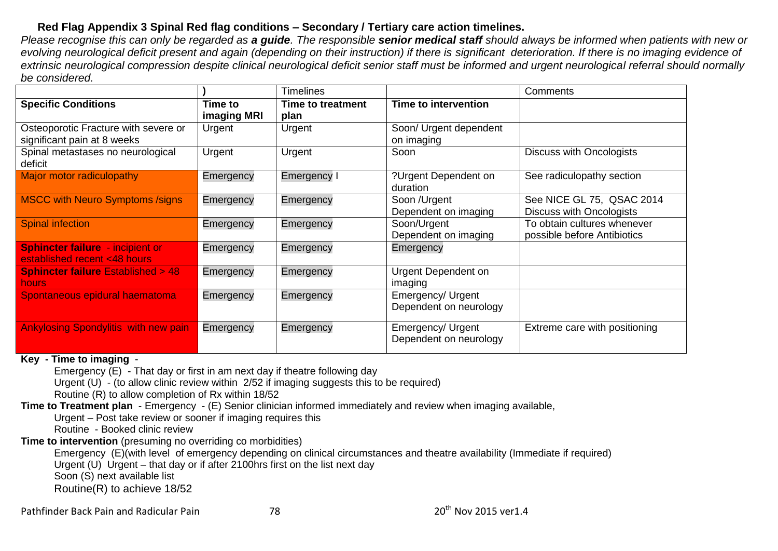# **Red Flag Appendix 3 Spinal Red flag conditions – Secondary / Tertiary care action timelines.**

*Please recognise this can only be regarded as a guide. The responsible senior medical staff should always be informed when patients with new or evolving neurological deficit present and again (depending on their instruction) if there is significant deterioration. If there is no imaging evidence of extrinsic neurological compression despite clinical neurological deficit senior staff must be informed and urgent neurological referral should normally be considered.* 

|                                                                         |             | <b>Timelines</b>         |                                             | Comments                                                     |
|-------------------------------------------------------------------------|-------------|--------------------------|---------------------------------------------|--------------------------------------------------------------|
| <b>Specific Conditions</b>                                              | Time to     | <b>Time to treatment</b> | Time to intervention                        |                                                              |
|                                                                         | imaging MRI | plan                     |                                             |                                                              |
| Osteoporotic Fracture with severe or<br>significant pain at 8 weeks     | Urgent      | Urgent                   | Soon/ Urgent dependent<br>on imaging        |                                                              |
| Spinal metastases no neurological<br>deficit                            | Urgent      | Urgent                   | Soon                                        | <b>Discuss with Oncologists</b>                              |
| Major motor radiculopathy                                               | Emergency   | Emergency I              | ?Urgent Dependent on<br>duration            | See radiculopathy section                                    |
| <b>MSCC with Neuro Symptoms /signs</b>                                  | Emergency   | Emergency                | Soon /Urgent<br>Dependent on imaging        | See NICE GL 75, QSAC 2014<br><b>Discuss with Oncologists</b> |
| <b>Spinal infection</b>                                                 | Emergency   | Emergency                | Soon/Urgent<br>Dependent on imaging         | To obtain cultures whenever<br>possible before Antibiotics   |
| <b>Sphincter failure</b> - incipient or<br>established recent <48 hours | Emergency   | Emergency                | Emergency                                   |                                                              |
| <b>Sphincter failure Established &gt; 48</b><br><b>hours</b>            | Emergency   | Emergency                | Urgent Dependent on<br>imaging              |                                                              |
| Spontaneous epidural haematoma                                          | Emergency   | Emergency                | Emergency/ Urgent<br>Dependent on neurology |                                                              |
| <b>Ankylosing Spondylitis with new pain</b>                             | Emergency   | Emergency                | Emergency/ Urgent<br>Dependent on neurology | Extreme care with positioning                                |

#### **Key - Time to imaging** -

Emergency (E) - That day or first in am next day if theatre following day

Urgent (U) - (to allow clinic review within 2/52 if imaging suggests this to be required)

Routine (R) to allow completion of Rx within 18/52

**Time to Treatment plan** - Emergency - (E) Senior clinician informed immediately and review when imaging available,

Urgent – Post take review or sooner if imaging requires this

Routine - Booked clinic review

**Time to intervention** (presuming no overriding co morbidities)

Emergency (E)(with level of emergency depending on clinical circumstances and theatre availability (Immediate if required) Urgent (U) Urgent – that day or if after 2100hrs first on the list next day

Soon (S) next available list

Routine(R) to achieve 18/52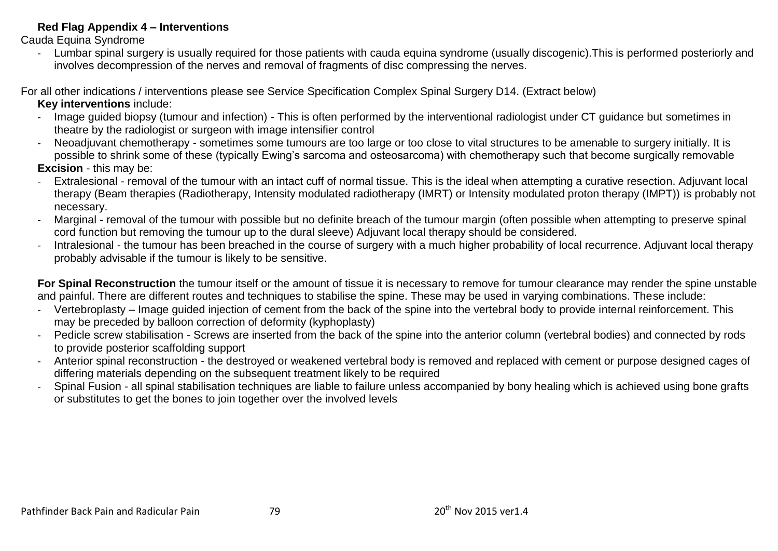### **Red Flag Appendix 4 – Interventions**

Cauda Equina Syndrome

- Lumbar spinal surgery is usually required for those patients with cauda equina syndrome (usually discogenic).This is performed posteriorly and involves decompression of the nerves and removal of fragments of disc compressing the nerves.

For all other indications / interventions please see Service Specification Complex Spinal Surgery D14. (Extract below) **Key interventions** include:

- Image guided biopsy (tumour and infection) This is often performed by the interventional radiologist under CT guidance but sometimes in theatre by the radiologist or surgeon with image intensifier control
- Neoadjuvant chemotherapy sometimes some tumours are too large or too close to vital structures to be amenable to surgery initially. It is possible to shrink some of these (typically Ewing's sarcoma and osteosarcoma) with chemotherapy such that become surgically removable **Excision** - this may be:
- Extralesional removal of the tumour with an intact cuff of normal tissue. This is the ideal when attempting a curative resection. Adjuvant local therapy (Beam therapies (Radiotherapy, Intensity modulated radiotherapy (IMRT) or Intensity modulated proton therapy (IMPT)) is probably not necessary.
- Marginal removal of the tumour with possible but no definite breach of the tumour margin (often possible when attempting to preserve spinal cord function but removing the tumour up to the dural sleeve) Adjuvant local therapy should be considered.
- Intralesional the tumour has been breached in the course of surgery with a much higher probability of local recurrence. Adjuvant local therapy probably advisable if the tumour is likely to be sensitive.

**For Spinal Reconstruction** the tumour itself or the amount of tissue it is necessary to remove for tumour clearance may render the spine unstable and painful. There are different routes and techniques to stabilise the spine. These may be used in varying combinations. These include:

- Vertebroplasty Image guided injection of cement from the back of the spine into the vertebral body to provide internal reinforcement. This may be preceded by balloon correction of deformity (kyphoplasty)
- Pedicle screw stabilisation Screws are inserted from the back of the spine into the anterior column (vertebral bodies) and connected by rods to provide posterior scaffolding support
- Anterior spinal reconstruction the destroyed or weakened vertebral body is removed and replaced with cement or purpose designed cages of differing materials depending on the subsequent treatment likely to be required
- Spinal Fusion all spinal stabilisation techniques are liable to failure unless accompanied by bony healing which is achieved using bone grafts or substitutes to get the bones to join together over the involved levels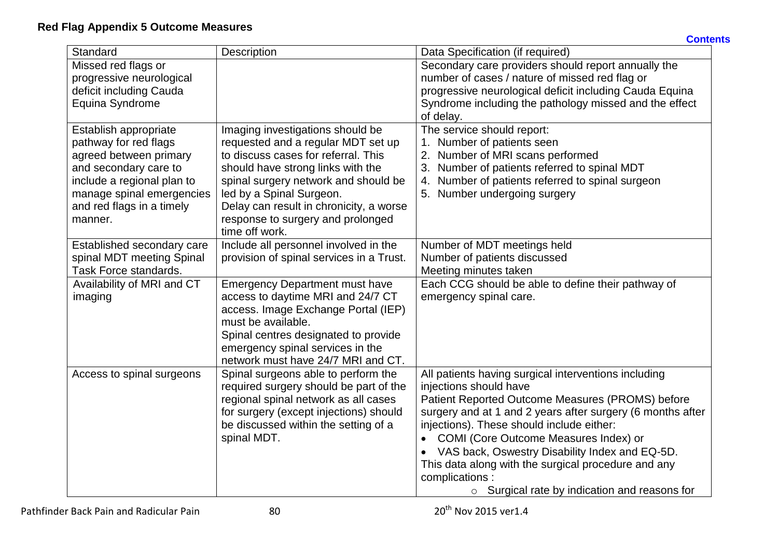| Standard                   | Description                                               | Data Specification (if required)                           |
|----------------------------|-----------------------------------------------------------|------------------------------------------------------------|
| Missed red flags or        |                                                           | Secondary care providers should report annually the        |
| progressive neurological   |                                                           | number of cases / nature of missed red flag or             |
| deficit including Cauda    |                                                           | progressive neurological deficit including Cauda Equina    |
| Equina Syndrome            |                                                           | Syndrome including the pathology missed and the effect     |
|                            |                                                           | of delay.                                                  |
| Establish appropriate      | Imaging investigations should be                          | The service should report:                                 |
| pathway for red flags      | requested and a regular MDT set up                        | 1. Number of patients seen                                 |
| agreed between primary     | to discuss cases for referral. This                       | 2. Number of MRI scans performed                           |
| and secondary care to      | should have strong links with the                         | Number of patients referred to spinal MDT                  |
| include a regional plan to | spinal surgery network and should be                      | Number of patients referred to spinal surgeon<br>4.        |
| manage spinal emergencies  | led by a Spinal Surgeon.                                  | 5. Number undergoing surgery                               |
| and red flags in a timely  | Delay can result in chronicity, a worse                   |                                                            |
| manner.                    | response to surgery and prolonged                         |                                                            |
|                            | time off work.                                            |                                                            |
| Established secondary care | Include all personnel involved in the                     | Number of MDT meetings held                                |
| spinal MDT meeting Spinal  | provision of spinal services in a Trust.                  | Number of patients discussed                               |
| Task Force standards.      |                                                           | Meeting minutes taken                                      |
| Availability of MRI and CT | <b>Emergency Department must have</b>                     | Each CCG should be able to define their pathway of         |
| imaging                    | access to daytime MRI and 24/7 CT                         | emergency spinal care.                                     |
|                            | access. Image Exchange Portal (IEP)<br>must be available. |                                                            |
|                            | Spinal centres designated to provide                      |                                                            |
|                            | emergency spinal services in the                          |                                                            |
|                            | network must have 24/7 MRI and CT.                        |                                                            |
| Access to spinal surgeons  | Spinal surgeons able to perform the                       | All patients having surgical interventions including       |
|                            | required surgery should be part of the                    | injections should have                                     |
|                            | regional spinal network as all cases                      | Patient Reported Outcome Measures (PROMS) before           |
|                            | for surgery (except injections) should                    | surgery and at 1 and 2 years after surgery (6 months after |
|                            | be discussed within the setting of a                      | injections). These should include either:                  |
|                            | spinal MDT.                                               | COMI (Core Outcome Measures Index) or                      |
|                            |                                                           | VAS back, Oswestry Disability Index and EQ-5D.             |
|                            |                                                           | This data along with the surgical procedure and any        |
|                            |                                                           | complications:                                             |
|                            |                                                           | $\circ$ Surgical rate by indication and reasons for        |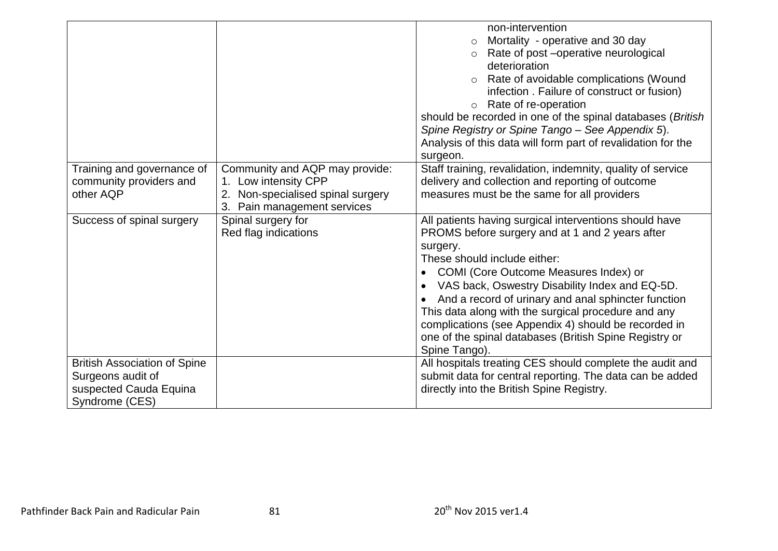|                                                                                                      |                                                                                                                                  | non-intervention<br>Mortality - operative and 30 day<br>Rate of post -operative neurological<br>$\circ$<br>deterioration<br>Rate of avoidable complications (Wound<br>$\circ$<br>infection. Failure of construct or fusion)<br>Rate of re-operation<br>$\circ$<br>should be recorded in one of the spinal databases (British<br>Spine Registry or Spine Tango - See Appendix 5).<br>Analysis of this data will form part of revalidation for the<br>surgeon.                                                   |
|------------------------------------------------------------------------------------------------------|----------------------------------------------------------------------------------------------------------------------------------|----------------------------------------------------------------------------------------------------------------------------------------------------------------------------------------------------------------------------------------------------------------------------------------------------------------------------------------------------------------------------------------------------------------------------------------------------------------------------------------------------------------|
| Training and governance of<br>community providers and<br>other AQP                                   | Community and AQP may provide:<br>1. Low intensity CPP<br>Non-specialised spinal surgery<br>2.<br>3.<br>Pain management services | Staff training, revalidation, indemnity, quality of service<br>delivery and collection and reporting of outcome<br>measures must be the same for all providers                                                                                                                                                                                                                                                                                                                                                 |
| Success of spinal surgery                                                                            | Spinal surgery for<br>Red flag indications                                                                                       | All patients having surgical interventions should have<br>PROMS before surgery and at 1 and 2 years after<br>surgery.<br>These should include either:<br>COMI (Core Outcome Measures Index) or<br>$\bullet$<br>VAS back, Oswestry Disability Index and EQ-5D.<br>And a record of urinary and anal sphincter function<br>This data along with the surgical procedure and any<br>complications (see Appendix 4) should be recorded in<br>one of the spinal databases (British Spine Registry or<br>Spine Tango). |
| <b>British Association of Spine</b><br>Surgeons audit of<br>suspected Cauda Equina<br>Syndrome (CES) |                                                                                                                                  | All hospitals treating CES should complete the audit and<br>submit data for central reporting. The data can be added<br>directly into the British Spine Registry.                                                                                                                                                                                                                                                                                                                                              |